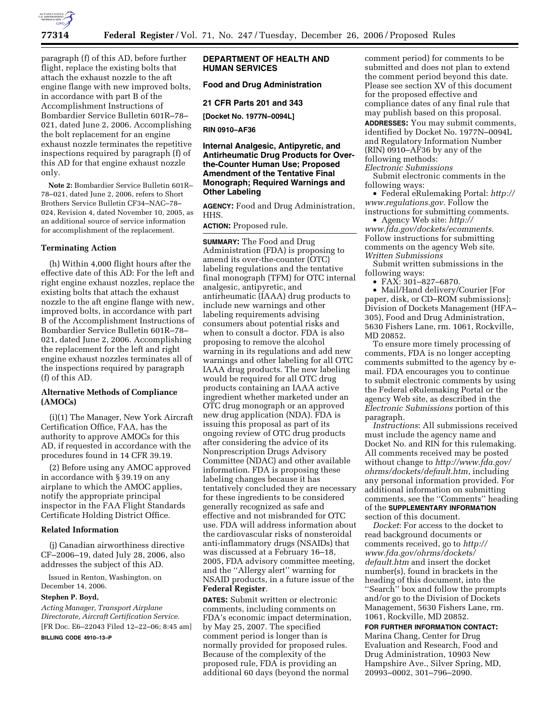

paragraph (f) of this AD, before further flight, replace the existing bolts that attach the exhaust nozzle to the aft engine flange with new improved bolts, in accordance with part B of the Accomplishment Instructions of Bombardier Service Bulletin 601R–78– 021, dated June 2, 2006. Accomplishing the bolt replacement for an engine exhaust nozzle terminates the repetitive inspections required by paragraph (f) of this AD for that engine exhaust nozzle only.

**Note 2:** Bombardier Service Bulletin 601R– 78–021, dated June 2, 2006, refers to Short Brothers Service Bulletin CF34–NAC–78– 024, Revision 4, dated November 10, 2005, as an additional source of service information for accomplishment of the replacement.

#### **Terminating Action**

(h) Within 4,000 flight hours after the effective date of this AD: For the left and right engine exhaust nozzles, replace the existing bolts that attach the exhaust nozzle to the aft engine flange with new, improved bolts, in accordance with part B of the Accomplishment Instructions of Bombardier Service Bulletin 601R–78– 021, dated June 2, 2006. Accomplishing the replacement for the left and right engine exhaust nozzles terminates all of the inspections required by paragraph (f) of this AD.

# **Alternative Methods of Compliance (AMOCs)**

(i)(1) The Manager, New York Aircraft Certification Office, FAA, has the authority to approve AMOCs for this AD, if requested in accordance with the procedures found in 14 CFR 39.19.

(2) Before using any AMOC approved in accordance with § 39.19 on any airplane to which the AMOC applies, notify the appropriate principal inspector in the FAA Flight Standards Certificate Holding District Office.

#### **Related Information**

(j) Canadian airworthiness directive CF–2006–19, dated July 28, 2006, also addresses the subject of this AD.

Issued in Renton, Washington, on December 14, 2006.

### **Stephen P. Boyd,**

*Acting Manager, Transport Airplane Directorate, Aircraft Certification Service.*  [FR Doc. E6–22043 Filed 12–22–06; 8:45 am] **BILLING CODE 4910–13–P** 

**DEPARTMENT OF HEALTH AND HUMAN SERVICES** 

# **Food and Drug Administration**

**21 CFR Parts 201 and 343** 

**[Docket No. 1977N–0094L]** 

**RIN 0910–AF36** 

# **Internal Analgesic, Antipyretic, and Antirheumatic Drug Products for Overthe-Counter Human Use; Proposed Amendment of the Tentative Final Monograph; Required Warnings and Other Labeling**

**AGENCY:** Food and Drug Administration, HHS.

# **ACTION:** Proposed rule.

**SUMMARY:** The Food and Drug Administration (FDA) is proposing to amend its over-the-counter (OTC) labeling regulations and the tentative final monograph (TFM) for OTC internal analgesic, antipyretic, and antirheumatic (IAAA) drug products to include new warnings and other labeling requirements advising consumers about potential risks and when to consult a doctor. FDA is also proposing to remove the alcohol warning in its regulations and add new warnings and other labeling for all OTC IAAA drug products. The new labeling would be required for all OTC drug products containing an IAAA active ingredient whether marketed under an OTC drug monograph or an approved new drug application (NDA). FDA is issuing this proposal as part of its ongoing review of OTC drug products after considering the advice of its Nonprescription Drugs Advisory Committee (NDAC) and other available information. FDA is proposing these labeling changes because it has tentatively concluded they are necessary for these ingredients to be considered generally recognized as safe and effective and not misbranded for OTC use. FDA will address information about the cardiovascular risks of nonsteroidal anti-inflammatory drugs (NSAIDs) that was discussed at a February 16–18, 2005, FDA advisory committee meeting, and the ''Allergy alert'' warning for NSAID products, in a future issue of the **Federal Register**.

**DATES:** Submit written or electronic comments, including comments on FDA's economic impact determination, by May 25, 2007. The specified comment period is longer than is normally provided for proposed rules. Because of the complexity of the proposed rule, FDA is providing an additional 60 days (beyond the normal

comment period) for comments to be submitted and does not plan to extend the comment period beyond this date. Please see section XV of this document for the proposed effective and compliance dates of any final rule that may publish based on this proposal. **ADDRESSES:** You may submit comments, identified by Docket No. 1977N–0094L and Regulatory Information Number  $(RIN)$  0910– $A$ F36 by any of the following methods:

*Electronic Submissions* 

Submit electronic comments in the following ways:

• Federal eRulemaking Portal: *http:// www.regulations.gov*. Follow the instructions for submitting comments.

• Agency Web site: *http:// www.fda.gov/dockets/ecomments*. Follow instructions for submitting comments on the agency Web site. *Written Submissions* 

Submit written submissions in the following ways:

• FAX: 301–827–6870.

• Mail/Hand delivery/Courier [For paper, disk, or CD–ROM submissions]: Division of Dockets Management (HFA– 305), Food and Drug Administration, 5630 Fishers Lane, rm. 1061, Rockville, MD 20852.

To ensure more timely processing of comments, FDA is no longer accepting comments submitted to the agency by email. FDA encourages you to continue to submit electronic comments by using the Federal eRulemaking Portal or the agency Web site, as described in the *Electronic Submissions* portion of this paragraph.

*Instructions*: All submissions received must include the agency name and Docket No. and RIN for this rulemaking. All comments received may be posted without change to *http://www.fda.gov/ ohrms/dockets/default.htm*, including any personal information provided. For additional information on submitting comments, see the ''Comments'' heading of the **SUPPLEMENTARY INFORMATION** section of this document.

*Docket*: For access to the docket to read background documents or comments received, go to *http:// www.fda.gov/ohrms/dockets/ default.htm* and insert the docket number(s), found in brackets in the heading of this document, into the ''Search'' box and follow the prompts and/or go to the Division of Dockets Management, 5630 Fishers Lane, rm. 1061, Rockville, MD 20852.

**FOR FURTHER INFORMATION CONTACT:**  Marina Chang, Center for Drug Evaluation and Research, Food and Drug Administration, 10903 New Hampshire Ave., Silver Spring, MD, 20993–0002, 301–796–2090.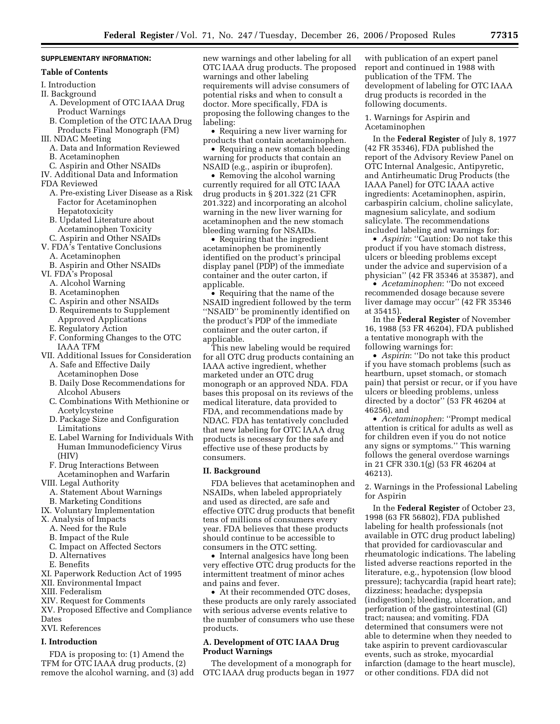## **SUPPLEMENTARY INFORMATION:**

# **Table of Contents**

- I. Introduction
- II. Background
	- A. Development of OTC IAAA Drug Product Warnings
	- B. Completion of the OTC IAAA Drug Products Final Monograph (FM)
- III. NDAC Meeting
- A. Data and Information Reviewed
- B. Acetaminophen
- C. Aspirin and Other NSAIDs
- IV. Additional Data and Information
- FDA Reviewed
	- A. Pre-existing Liver Disease as a Risk Factor for Acetaminophen Hepatotoxicity
	- B. Updated Literature about Acetaminophen Toxicity
	- C. Aspirin and Other NSAIDs
- V. FDA's Tentative Conclusions
	- A. Acetaminophen
- B. Aspirin and Other NSAIDs
- VI. FDA's Proposal
	- A. Alcohol Warning
	- B. Acetaminophen
	- C. Aspirin and other NSAIDs
	- D. Requirements to Supplement
	- Approved Applications
	- E. Regulatory Action
	- F. Conforming Changes to the OTC IAAA TFM
- VII. Additional Issues for Consideration
	- A. Safe and Effective Daily Acetaminophen Dose
	- B. Daily Dose Recommendations for Alcohol Abusers
	- C. Combinations With Methionine or Acetylcysteine
	- D. Package Size and Configuration Limitations
	- E. Label Warning for Individuals With Human Immunodeficiency Virus (HIV)
	- F. Drug Interactions Between Acetaminophen and Warfarin
- VIII. Legal Authority
- A. Statement About Warnings
- B. Marketing Conditions
- IX. Voluntary Implementation
- X. Analysis of Impacts
	- A. Need for the Rule
	- B. Impact of the Rule
	- C. Impact on Affected Sectors
	- D. Alternatives
	- E. Benefits
- XI. Paperwork Reduction Act of 1995
- XII. Environmental Impact
- XIII. Federalism
- XIV. Request for Comments
- XV. Proposed Effective and Compliance
- Dates
- XVI. References

# **I. Introduction**

FDA is proposing to: (1) Amend the TFM for OTC IAAA drug products, (2) remove the alcohol warning, and (3) add new warnings and other labeling for all OTC IAAA drug products. The proposed warnings and other labeling requirements will advise consumers of potential risks and when to consult a doctor. More specifically, FDA is proposing the following changes to the labeling:

• Requiring a new liver warning for products that contain acetaminophen.

• Requiring a new stomach bleeding warning for products that contain an NSAID (e.g., aspirin or ibuprofen).

• Removing the alcohol warning currently required for all OTC IAAA drug products in § 201.322 (21 CFR 201.322) and incorporating an alcohol warning in the new liver warning for acetaminophen and the new stomach bleeding warning for NSAIDs.

• Requiring that the ingredient acetaminophen be prominently identified on the product's principal display panel (PDP) of the immediate container and the outer carton, if applicable.

• Requiring that the name of the NSAID ingredient followed by the term ''NSAID'' be prominently identified on the product's PDP of the immediate container and the outer carton, if applicable.

This new labeling would be required for all OTC drug products containing an IAAA active ingredient, whether marketed under an OTC drug monograph or an approved NDA. FDA bases this proposal on its reviews of the medical literature, data provided to FDA, and recommendations made by NDAC. FDA has tentatively concluded that new labeling for OTC IAAA drug products is necessary for the safe and effective use of these products by consumers.

### **II. Background**

FDA believes that acetaminophen and NSAIDs, when labeled appropriately and used as directed, are safe and effective OTC drug products that benefit tens of millions of consumers every year. FDA believes that these products should continue to be accessible to consumers in the OTC setting.

• Internal analgesics have long been very effective OTC drug products for the intermittent treatment of minor aches and pains and fever.

• At their recommended OTC doses, these products are only rarely associated with serious adverse events relative to the number of consumers who use these products.

# **A. Development of OTC IAAA Drug Product Warnings**

The development of a monograph for OTC IAAA drug products began in 1977

with publication of an expert panel report and continued in 1988 with publication of the TFM. The development of labeling for OTC IAAA drug products is recorded in the following documents.

1. Warnings for Aspirin and Acetaminophen

In the **Federal Register** of July 8, 1977 (42 FR 35346), FDA published the report of the Advisory Review Panel on OTC Internal Analgesic, Antipyretic, and Antirheumatic Drug Products (the IAAA Panel) for OTC IAAA active ingredients: Acetaminophen, aspirin, carbaspirin calcium, choline salicylate, magnesium salicylate, and sodium salicylate. The recommendations included labeling and warnings for:

• *Aspirin*: "Caution: Do not take this product if you have stomach distress, ulcers or bleeding problems except under the advice and supervision of a physician'' (42 FR 35346 at 35387), and

• *Acetaminophen*: ''Do not exceed recommended dosage because severe liver damage may occur'' (42 FR 35346 at 35415).

In the **Federal Register** of November 16, 1988 (53 FR 46204), FDA published a tentative monograph with the following warnings for:

• *Aspirin*: ''Do not take this product if you have stomach problems (such as heartburn, upset stomach, or stomach pain) that persist or recur, or if you have ulcers or bleeding problems, unless directed by a doctor'' (53 FR 46204 at 46256), and

• *Acetaminophen*: ''Prompt medical attention is critical for adults as well as for children even if you do not notice any signs or symptoms.'' This warning follows the general overdose warnings in 21 CFR 330.1(g) (53 FR 46204 at 46213).

2. Warnings in the Professional Labeling for Aspirin

In the **Federal Register** of October 23, 1998 (63 FR 56802), FDA published labeling for health professionals (not available in OTC drug product labeling) that provided for cardiovascular and rheumatologic indications. The labeling listed adverse reactions reported in the literature, e.g., hypotension (low blood pressure); tachycardia (rapid heart rate); dizziness; headache; dyspepsia (indigestion); bleeding, ulceration, and perforation of the gastrointestinal (GI) tract; nausea; and vomiting. FDA determined that consumers were not able to determine when they needed to take aspirin to prevent cardiovascular events, such as stroke, myocardial infarction (damage to the heart muscle), or other conditions. FDA did not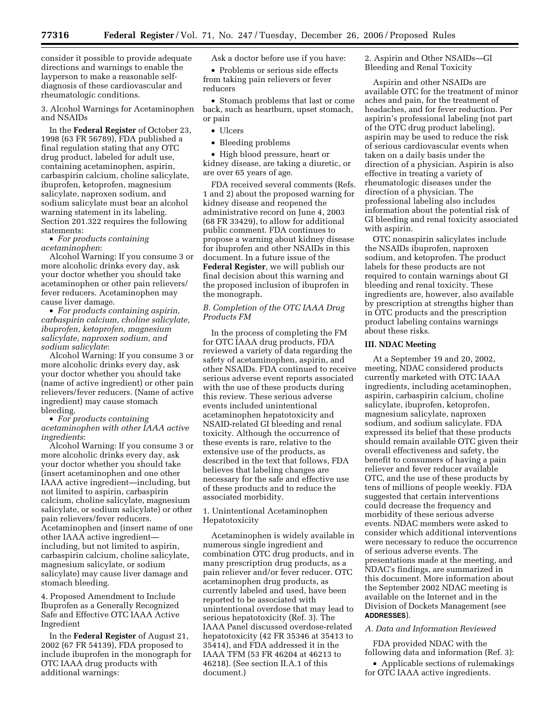consider it possible to provide adequate directions and warnings to enable the layperson to make a reasonable selfdiagnosis of these cardiovascular and rheumatologic conditions.

3. Alcohol Warnings for Acetaminophen and NSAIDs

In the **Federal Register** of October 23, 1998 (63 FR 56789), FDA published a final regulation stating that any OTC drug product, labeled for adult use, containing acetaminophen, aspirin, carbaspirin calcium, choline salicylate, ibuprofen, ketoprofen, magnesium salicylate, naproxen sodium, and sodium salicylate must bear an alcohol warning statement in its labeling. Section 201.322 requires the following statements:

• *For products containing acetaminophen*:

Alcohol Warning: If you consume 3 or more alcoholic drinks every day, ask your doctor whether you should take acetaminophen or other pain relievers/ fever reducers. Acetaminophen may cause liver damage.

• *For products containing aspirin, carbaspirin calcium, choline salicylate, ibuprofen, ketoprofen, magnesium salicylate, naproxen sodium, and sodium salicylate*:

Alcohol Warning: If you consume 3 or more alcoholic drinks every day, ask your doctor whether you should take (name of active ingredient) or other pain relievers/fever reducers. (Name of active ingredient) may cause stomach bleeding.

• *For products containing acetaminophen with other IAAA active ingredients*:

Alcohol Warning: If you consume 3 or more alcoholic drinks every day, ask your doctor whether you should take (insert acetaminophen and one other IAAA active ingredient—including, but not limited to aspirin, carbaspirin calcium, choline salicylate, magnesium salicylate, or sodium salicylate) or other pain relievers/fever reducers. Acetaminophen and (insert name of one other IAAA active ingredient including, but not limited to aspirin, carbaspirin calcium, choline salicylate, magnesium salicylate, or sodium salicylate) may cause liver damage and stomach bleeding.

4. Proposed Amendment to Include Ibuprofen as a Generally Recognized Safe and Effective OTC IAAA Active Ingredient

In the **Federal Register** of August 21, 2002 (67 FR 54139), FDA proposed to include ibuprofen in the monograph for OTC IAAA drug products with additional warnings:

Ask a doctor before use if you have:

• Problems or serious side effects from taking pain relievers or fever reducers

• Stomach problems that last or come back, such as heartburn, upset stomach, or pain

- Ulcers
- Bleeding problems

• High blood pressure, heart or kidney disease, are taking a diuretic, or are over 65 years of age.

FDA received several comments (Refs. 1 and 2) about the proposed warning for kidney disease and reopened the administrative record on June 4, 2003 (68 FR 33429), to allow for additional public comment. FDA continues to propose a warning about kidney disease for ibuprofen and other NSAIDs in this document. In a future issue of the **Federal Register**, we will publish our final decision about this warning and the proposed inclusion of ibuprofen in the monograph.

# *B. Completion of the OTC IAAA Drug Products FM*

In the process of completing the FM for OTC IAAA drug products, FDA reviewed a variety of data regarding the safety of acetaminophen, aspirin, and other NSAIDs. FDA continued to receive serious adverse event reports associated with the use of these products during this review. These serious adverse events included unintentional acetaminophen hepatotoxicity and NSAID-related GI bleeding and renal toxicity. Although the occurrence of these events is rare, relative to the extensive use of the products, as described in the text that follows, FDA believes that labeling changes are necessary for the safe and effective use of these products and to reduce the associated morbidity.

1. Unintentional Acetaminophen Hepatotoxicity

Acetaminophen is widely available in numerous single ingredient and combination OTC drug products, and in many prescription drug products, as a pain reliever and/or fever reducer. OTC acetaminophen drug products, as currently labeled and used, have been reported to be associated with unintentional overdose that may lead to serious hepatotoxicity (Ref. 3). The IAAA Panel discussed overdose-related hepatotoxicity (42 FR 35346 at 35413 to 35414), and FDA addressed it in the IAAA TFM (53 FR 46204 at 46213 to 46218). (See section II.A.1 of this document.)

2. Aspirin and Other NSAIDs—GI Bleeding and Renal Toxicity

Aspirin and other NSAIDs are available OTC for the treatment of minor aches and pain, for the treatment of headaches, and for fever reduction. Per aspirin's professional labeling (not part of the OTC drug product labeling), aspirin may be used to reduce the risk of serious cardiovascular events when taken on a daily basis under the direction of a physician. Aspirin is also effective in treating a variety of rheumatologic diseases under the direction of a physician. The professional labeling also includes information about the potential risk of GI bleeding and renal toxicity associated with aspirin.

OTC nonaspirin salicylates include the NSAIDs ibuprofen, naproxen sodium, and ketoprofen. The product labels for these products are not required to contain warnings about GI bleeding and renal toxicity. These ingredients are, however, also available by prescription at strengths higher than in OTC products and the prescription product labeling contains warnings about these risks.

# **III. NDAC Meeting**

At a September 19 and 20, 2002, meeting, NDAC considered products currently marketed with OTC IAAA ingredients, including acetaminophen, aspirin, carbaspirin calcium, choline salicylate, ibuprofen, ketoprofen, magnesium salicylate, naproxen sodium, and sodium salicylate. FDA expressed its belief that these products should remain available OTC given their overall effectiveness and safety, the benefit to consumers of having a pain reliever and fever reducer available OTC, and the use of these products by tens of millions of people weekly. FDA suggested that certain interventions could decrease the frequency and morbidity of these serious adverse events. NDAC members were asked to consider which additional interventions were necessary to reduce the occurrence of serious adverse events. The presentations made at the meeting, and NDAC's findings, are summarized in this document. More information about the September 2002 NDAC meeting is available on the Internet and in the Division of Dockets Management (see **ADDRESSES**).

### *A. Data and Information Reviewed*

FDA provided NDAC with the following data and information (Ref. 3):

• Applicable sections of rulemakings for OTC IAAA active ingredients.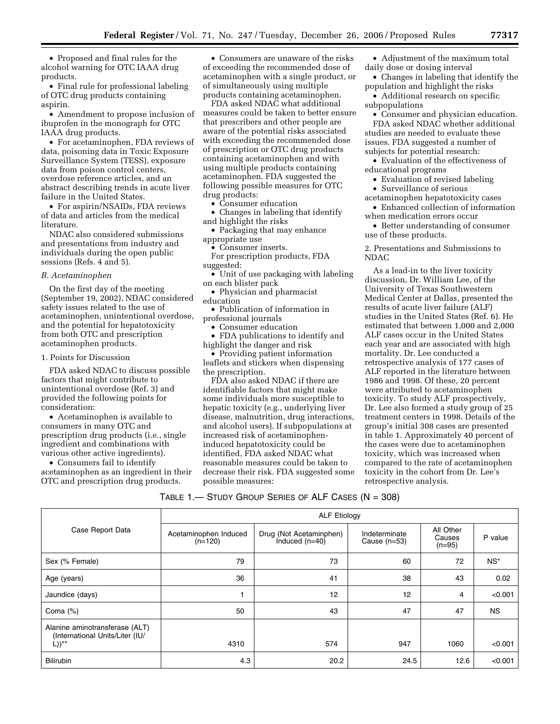• Proposed and final rules for the alcohol warning for OTC IAAA drug products.

• Final rule for professional labeling of OTC drug products containing aspirin.

• Amendment to propose inclusion of ibuprofen in the monograph for OTC IAAA drug products.

• For acetaminophen, FDA reviews of data, poisoning data in Toxic Exposure Surveillance System (TESS), exposure data from poison control centers, overdose reference articles, and an abstract describing trends in acute liver failure in the United States.

• For aspirin/NSAIDs, FDA reviews of data and articles from the medical literature.

NDAC also considered submissions and presentations from industry and individuals during the open public sessions (Refs. 4 and 5).

#### *B. Acetaminophen*

On the first day of the meeting (September 19, 2002), NDAC considered safety issues related to the use of acetaminophen, unintentional overdose, and the potential for hepatotoxicity from both OTC and prescription acetaminophen products.

### 1. Points for Discussion

FDA asked NDAC to discuss possible factors that might contribute to unintentional overdose (Ref. 3) and provided the following points for consideration:

• Acetaminophen is available to consumers in many OTC and prescription drug products (i.e., single ingredient and combinations with various other active ingredients).

• Consumers fail to identify acetaminophen as an ingredient in their OTC and prescription drug products.

• Consumers are unaware of the risks of exceeding the recommended dose of acetaminophen with a single product, or of simultaneously using multiple products containing acetaminophen.

FDA asked NDAC what additional measures could be taken to better ensure that prescribers and other people are aware of the potential risks associated with exceeding the recommended dose of prescription or OTC drug products containing acetaminophen and with using multiple products containing acetaminophen. FDA suggested the following possible measures for OTC drug products:

• Consumer education

• Changes in labeling that identify and highlight the risks

• Packaging that may enhance appropriate use

• Consumer inserts.

For prescription products, FDA suggested:

• Unit of use packaging with labeling on each blister pack

• Physician and pharmacist

- education
- Publication of information in professional journals
	- Consumer education

• FDA publications to identify and highlight the danger and risk

• Providing patient information leaflets and stickers when dispensing the prescription.

FDA also asked NDAC if there are identifiable factors that might make some individuals more susceptible to hepatic toxicity (e.g., underlying liver disease, malnutrition, drug interactions, and alcohol users). If subpopulations at increased risk of acetaminopheninduced hepatotoxicity could be identified, FDA asked NDAC what reasonable measures could be taken to decrease their risk. FDA suggested some possible measures:

• Adjustment of the maximum total daily dose or dosing interval

• Changes in labeling that identify the population and highlight the risks

• Additional research on specific subpopulations

• Consumer and physician education. FDA asked NDAC whether additional studies are needed to evaluate these issues. FDA suggested a number of subjects for potential research:

• Evaluation of the effectiveness of educational programs

• Evaluation of revised labeling

• Surveillance of serious

acetaminophen hepatotoxicity cases • Enhanced collection of information

when medication errors occur • Better understanding of consumer use of these products.

2. Presentations and Submissions to NDAC

As a lead-in to the liver toxicity discussion, Dr. William Lee, of the University of Texas Southwestern Medical Center at Dallas, presented the results of acute liver failure (ALF) studies in the United States (Ref. 6). He estimated that between 1,000 and 2,000 ALF cases occur in the United States each year and are associated with high mortality. Dr. Lee conducted a retrospective analysis of 177 cases of ALF reported in the literature between 1986 and 1998. Of these, 20 percent were attributed to acetaminophen toxicity. To study ALF prospectively, Dr. Lee also formed a study group of 25 treatment centers in 1998. Details of the group's initial 308 cases are presented in table 1. Approximately 40 percent of the cases were due to acetaminophen toxicity, which was increased when compared to the rate of acetaminophen toxicity in the cohort from Dr. Lee's retrospective analysis.

| TABLE 1.— $S$ tudy Group Series of ALF Cases (N = 308) |  |  |
|--------------------------------------------------------|--|--|
|--------------------------------------------------------|--|--|

|                                                                               | <b>ALF Etiology</b>                |                                             |                                 |                                 |           |
|-------------------------------------------------------------------------------|------------------------------------|---------------------------------------------|---------------------------------|---------------------------------|-----------|
| Case Report Data                                                              | Acetaminophen Induced<br>$(n=120)$ | Drug (Not Acetaminphen)<br>Induced $(n=40)$ | Indeterminate<br>Cause $(n=53)$ | All Other<br>Causes<br>$(n=95)$ | P value   |
| Sex (% Female)                                                                | 79                                 | 73                                          | 60                              | 72                              | $NS*$     |
| Age (years)                                                                   | 36                                 | 41                                          | 38                              | 43                              | 0.02      |
| Jaundice (days)                                                               |                                    | 12                                          | 12                              | 4                               | < 0.001   |
| Coma $(%)$                                                                    | 50                                 | 43                                          | 47                              | 47                              | <b>NS</b> |
| Alanine aminotransferase (ALT)<br>(International Units/Liter (IU/<br>$L))$ ** | 4310                               | 574                                         | 947                             | 1060                            | < 0.001   |
| <b>Bilirubin</b>                                                              | 4.3                                | 20.2                                        | 24.5                            | 12.6                            | < 0.001   |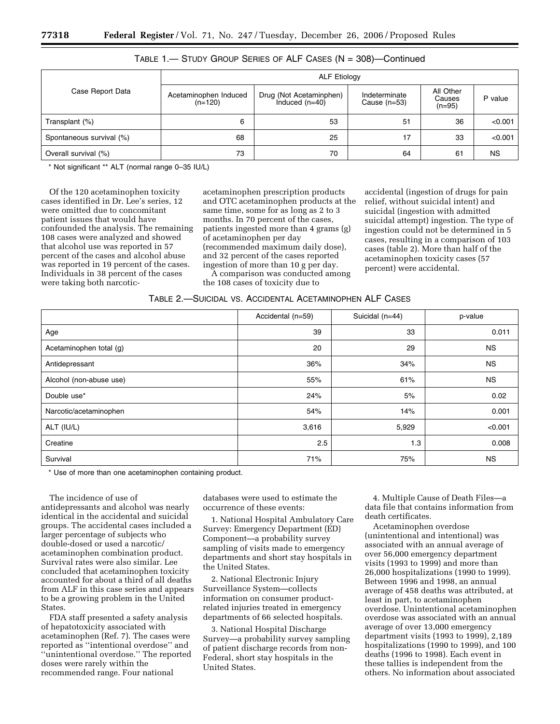|                          | <b>ALF Etiology</b>                |                                             |                                 |                                 |           |
|--------------------------|------------------------------------|---------------------------------------------|---------------------------------|---------------------------------|-----------|
| Case Report Data         | Acetaminophen Induced<br>$(n=120)$ | Drug (Not Acetaminphen)<br>Induced $(n=40)$ | Indeterminate<br>Cause $(n=53)$ | All Other<br>Causes<br>$(n=95)$ | P value   |
| Transplant (%)           | 6                                  | 53                                          | 51                              | 36                              | < 0.001   |
| Spontaneous survival (%) | 68                                 | 25                                          | 17                              | 33                              | < 0.001   |
| Overall survival (%)     | 73                                 | 70                                          | 64                              | 61                              | <b>NS</b> |

# TABLE 1.— STUDY GROUP SERIES OF ALF CASES (N = 308)—Continued

\* Not significant \*\* ALT (normal range 0–35 IU/L)

Of the 120 acetaminophen toxicity cases identified in Dr. Lee's series, 12 were omitted due to concomitant patient issues that would have confounded the analysis. The remaining 108 cases were analyzed and showed that alcohol use was reported in 57 percent of the cases and alcohol abuse was reported in 19 percent of the cases. Individuals in 38 percent of the cases were taking both narcoticacetaminophen prescription products and OTC acetaminophen products at the same time, some for as long as 2 to 3 months. In 70 percent of the cases, patients ingested more than 4 grams (g) of acetaminophen per day (recommended maximum daily dose), and 32 percent of the cases reported ingestion of more than 10 g per day.

A comparison was conducted among the 108 cases of toxicity due to

accidental (ingestion of drugs for pain relief, without suicidal intent) and suicidal (ingestion with admitted suicidal attempt) ingestion. The type of ingestion could not be determined in 5 cases, resulting in a comparison of 103 cases (table 2). More than half of the acetaminophen toxicity cases (57 percent) were accidental.

|  |  | TABLE 2.—SUICIDAL VS. ACCIDENTAL ACETAMINOPHEN ALF CASES |  |
|--|--|----------------------------------------------------------|--|
|--|--|----------------------------------------------------------|--|

|                         | Accidental (n=59) | Suicidal (n=44) | p-value   |
|-------------------------|-------------------|-----------------|-----------|
| Age                     | 39                | 33              | 0.011     |
| Acetaminophen total (g) | 20                | 29              | <b>NS</b> |
| Antidepressant          | 36%               | 34%             | <b>NS</b> |
| Alcohol (non-abuse use) | 55%               | 61%             | <b>NS</b> |
| Double use*             | 24%               | 5%              | 0.02      |
| Narcotic/acetaminophen  | 54%               | 14%             | 0.001     |
| ALT (IU/L)              | 3,616             | 5,929           | < 0.001   |
| Creatine                | 2.5               | 1.3             | 0.008     |
| Survival                | 71%               | 75%             | <b>NS</b> |

\* Use of more than one acetaminophen containing product.

The incidence of use of antidepressants and alcohol was nearly identical in the accidental and suicidal groups. The accidental cases included a larger percentage of subjects who double-dosed or used a narcotic/ acetaminophen combination product. Survival rates were also similar. Lee concluded that acetaminophen toxicity accounted for about a third of all deaths from ALF in this case series and appears to be a growing problem in the United States.

FDA staff presented a safety analysis of hepatotoxicity associated with acetaminophen (Ref. 7). The cases were reported as ''intentional overdose'' and ''unintentional overdose.'' The reported doses were rarely within the recommended range. Four national

databases were used to estimate the occurrence of these events:

1. National Hospital Ambulatory Care Survey: Emergency Department (ED) Component—a probability survey sampling of visits made to emergency departments and short stay hospitals in the United States.

2. National Electronic Injury Surveillance System—collects information on consumer productrelated injuries treated in emergency departments of 66 selected hospitals.

3. National Hospital Discharge Survey—a probability survey sampling of patient discharge records from non-Federal, short stay hospitals in the United States.

4. Multiple Cause of Death Files—a data file that contains information from death certificates.

Acetaminophen overdose (unintentional and intentional) was associated with an annual average of over 56,000 emergency department visits (1993 to 1999) and more than 26,000 hospitalizations (1990 to 1999). Between 1996 and 1998, an annual average of 458 deaths was attributed, at least in part, to acetaminophen overdose. Unintentional acetaminophen overdose was associated with an annual average of over 13,000 emergency department visits (1993 to 1999), 2,189 hospitalizations (1990 to 1999), and 100 deaths (1996 to 1998). Each event in these tallies is independent from the others. No information about associated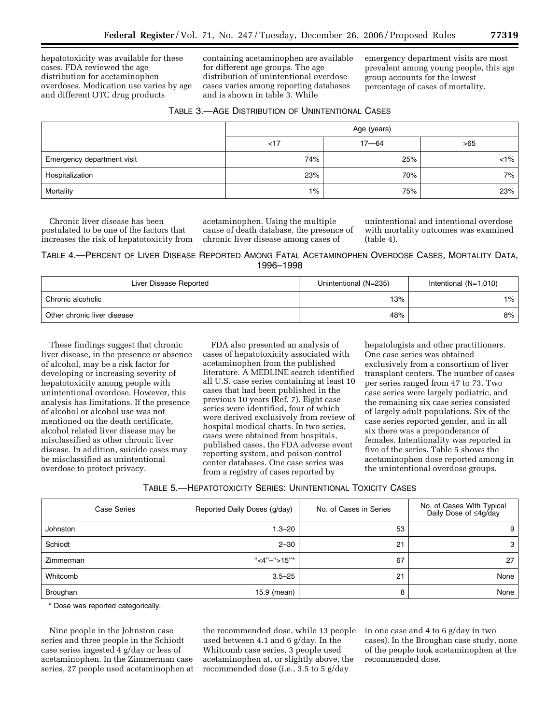hepatotoxicity was available for these cases. FDA reviewed the age distribution for acetaminophen overdoses. Medication use varies by age and different OTC drug products

containing acetaminophen are available for different age groups. The age distribution of unintentional overdose cases varies among reporting databases and is shown in table 3. While

emergency department visits are most prevalent among young people, this age group accounts for the lowest percentage of cases of mortality.

| TABLE 3.—AGE DISTRIBUTION OF UNINTENTIONAL CASES |
|--------------------------------------------------|
|--------------------------------------------------|

|                            | Age (years) |           |         |  |
|----------------------------|-------------|-----------|---------|--|
|                            | < 17        | $17 - 64$ | >65     |  |
| Emergency department visit | 74%         | 25%       | $< 1\%$ |  |
| Hospitalization            | 23%         | 70%       | 7%      |  |
| Mortality                  | $1\%$       | 75%       | 23%     |  |

Chronic liver disease has been postulated to be one of the factors that increases the risk of hepatotoxicity from

acetaminophen. Using the multiple cause of death database, the presence of chronic liver disease among cases of

unintentional and intentional overdose with mortality outcomes was examined (table 4).

# TABLE 4.—PERCENT OF LIVER DISEASE REPORTED AMONG FATAL ACETAMINOPHEN OVERDOSE CASES, MORTALITY DATA, 1996–1998

| Liver Disease Reported      | Unintentional (N=235) | Intentional $(N=1,010)$ |
|-----------------------------|-----------------------|-------------------------|
| Chronic alcoholic           | 13%                   | 1%                      |
| Other chronic liver disease | 48%                   | 8%                      |

These findings suggest that chronic liver disease, in the presence or absence of alcohol, may be a risk factor for developing or increasing severity of hepatotoxicity among people with unintentional overdose. However, this analysis has limitations. If the presence of alcohol or alcohol use was not mentioned on the death certificate, alcohol related liver disease may be misclassified as other chronic liver disease. In addition, suicide cases may be misclassified as unintentional overdose to protect privacy.

FDA also presented an analysis of cases of hepatotoxicity associated with acetaminophen from the published literature. A MEDLINE search identified all U.S. case series containing at least 10 cases that had been published in the previous 10 years (Ref. 7). Eight case series were identified, four of which were derived exclusively from review of hospital medical charts. In two series, cases were obtained from hospitals, published cases, the FDA adverse event reporting system, and poison control center databases. One case series was from a registry of cases reported by

hepatologists and other practitioners. One case series was obtained exclusively from a consortium of liver transplant centers. The number of cases per series ranged from 47 to 73. Two case series were largely pediatric, and the remaining six case series consisted of largely adult populations. Six of the case series reported gender, and in all six there was a preponderance of females. Intentionality was reported in five of the series. Table 5 shows the acetaminophen dose reported among in the unintentional overdose groups.

| Case Series     | Reported Daily Doses (g/day) | No. of Cases in Series | No. of Cases With Typical<br>Daily Dose of ≤4g/day |
|-----------------|------------------------------|------------------------|----------------------------------------------------|
| <b>Johnston</b> | 1.3–20                       | 53                     | 9                                                  |
| Schiodt         | $2 - 30$                     | 21                     | 3                                                  |
| Zimmerman       | "<4"-">15"*                  | 67                     | 27                                                 |
| Whitcomb        | $3.5 - 25$                   | 21                     | None                                               |
| Broughan        | 15.9 (mean)                  | 8                      | None                                               |

\* Dose was reported categorically.

Nine people in the Johnston case series and three people in the Schiodt case series ingested 4 g/day or less of acetaminophen. In the Zimmerman case series, 27 people used acetaminophen at

the recommended dose, while 13 people used between 4.1 and 6 g/day. In the Whitcomb case series, 3 people used acetaminophen at, or slightly above, the recommended dose (i.e., 3.5 to 5 g/day

in one case and 4 to 6 g/day in two cases). In the Broughan case study, none of the people took acetaminophen at the recommended dose.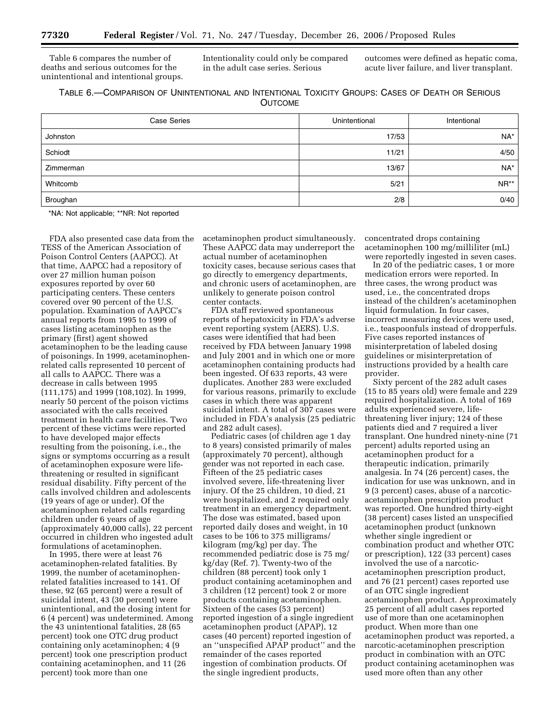Table 6 compares the number of deaths and serious outcomes for the unintentional and intentional groups. Intentionality could only be compared in the adult case series. Serious

outcomes were defined as hepatic coma, acute liver failure, and liver transplant.

| TABLE 6.-COMPARISON OF UNINTENTIONAL AND INTENTIONAL TOXICITY GROUPS: CASES OF DEATH OR SERIOUS |                |  |  |
|-------------------------------------------------------------------------------------------------|----------------|--|--|
|                                                                                                 | <b>OUTCOME</b> |  |  |

| <b>Case Series</b> | Unintentional | Intentional |
|--------------------|---------------|-------------|
| Johnston           | 17/53         | NA*         |
| Schiodt            | 11/21         | 4/50        |
| Zimmerman          | 13/67         | $NA^*$      |
| Whitcomb           | 5/21          | $NR**$      |
| Broughan           | 2/8           | 0/40        |

\*NA: Not applicable; \*\*NR: Not reported

FDA also presented case data from the TESS of the American Association of Poison Control Centers (AAPCC). At that time, AAPCC had a repository of over 27 million human poison exposures reported by over 60 participating centers. These centers covered over 90 percent of the U.S. population. Examination of AAPCC's annual reports from 1995 to 1999 of cases listing acetaminophen as the primary (first) agent showed acetaminophen to be the leading cause of poisonings. In 1999, acetaminophenrelated calls represented 10 percent of all calls to AAPCC. There was a decrease in calls between 1995 (111,175) and 1999 (108,102). In 1999, nearly 50 percent of the poison victims associated with the calls received treatment in health care facilities. Two percent of these victims were reported to have developed major effects resulting from the poisoning, i.e., the signs or symptoms occurring as a result of acetaminophen exposure were lifethreatening or resulted in significant residual disability. Fifty percent of the calls involved children and adolescents (19 years of age or under). Of the acetaminophen related calls regarding children under 6 years of age (approximately 40,000 calls), 22 percent occurred in children who ingested adult formulations of acetaminophen.

In 1995, there were at least 76 acetaminophen-related fatalities. By 1999, the number of acetaminophenrelated fatalities increased to 141. Of these, 92 (65 percent) were a result of suicidal intent, 43 (30 percent) were unintentional, and the dosing intent for 6 (4 percent) was undetermined. Among the 43 unintentional fatalities, 28 (65 percent) took one OTC drug product containing only acetaminophen; 4 (9 percent) took one prescription product containing acetaminophen, and 11 (26 percent) took more than one

acetaminophen product simultaneously. These AAPCC data may underreport the actual number of acetaminophen toxicity cases, because serious cases that go directly to emergency departments, and chronic users of acetaminophen, are unlikely to generate poison control center contacts.

FDA staff reviewed spontaneous reports of hepatoxicity in FDA's adverse event reporting system (AERS). U.S. cases were identified that had been received by FDA between January 1998 and July 2001 and in which one or more acetaminophen containing products had been ingested. Of 633 reports, 43 were duplicates. Another 283 were excluded for various reasons, primarily to exclude cases in which there was apparent suicidal intent. A total of 307 cases were included in FDA's analysis (25 pediatric and 282 adult cases).

Pediatric cases (of children age 1 day to 8 years) consisted primarily of males (approximately 70 percent), although gender was not reported in each case. Fifteen of the 25 pediatric cases involved severe, life-threatening liver injury. Of the 25 children, 10 died, 21 were hospitalized, and 2 required only treatment in an emergency department. The dose was estimated, based upon reported daily doses and weight, in 10 cases to be 106 to 375 milligrams/ kilogram (mg/kg) per day. The recommended pediatric dose is 75 mg/ kg/day (Ref. 7). Twenty-two of the children (88 percent) took only 1 product containing acetaminophen and 3 children (12 percent) took 2 or more products containing acetaminophen. Sixteen of the cases (53 percent) reported ingestion of a single ingredient acetaminophen product (APAP), 12 cases (40 percent) reported ingestion of an ''unspecified APAP product'' and the remainder of the cases reported ingestion of combination products. Of the single ingredient products,

concentrated drops containing acetaminophen 100 mg/milliliter (mL) were reportedly ingested in seven cases.

In 20 of the pediatric cases, 1 or more medication errors were reported. In three cases, the wrong product was used, i.e., the concentrated drops instead of the children's acetaminophen liquid formulation. In four cases, incorrect measuring devices were used, i.e., teaspoonfuls instead of dropperfuls. Five cases reported instances of misinterpretation of labeled dosing guidelines or misinterpretation of instructions provided by a health care provider.

Sixty percent of the 282 adult cases (15 to 85 years old) were female and 229 required hospitalization. A total of 169 adults experienced severe, lifethreatening liver injury; 124 of these patients died and 7 required a liver transplant. One hundred ninety-nine (71 percent) adults reported using an acetaminophen product for a therapeutic indication, primarily analgesia. In 74 (26 percent) cases, the indication for use was unknown, and in 9 (3 percent) cases, abuse of a narcoticacetaminophen prescription product was reported. One hundred thirty-eight (38 percent) cases listed an unspecified acetaminophen product (unknown whether single ingredient or combination product and whether OTC or prescription), 122 (33 percent) cases involved the use of a narcoticacetaminophen prescription product, and 76 (21 percent) cases reported use of an OTC single ingredient acetaminophen product. Approximately 25 percent of all adult cases reported use of more than one acetaminophen product. When more than one acetaminophen product was reported, a narcotic-acetaminophen prescription product in combination with an OTC product containing acetaminophen was used more often than any other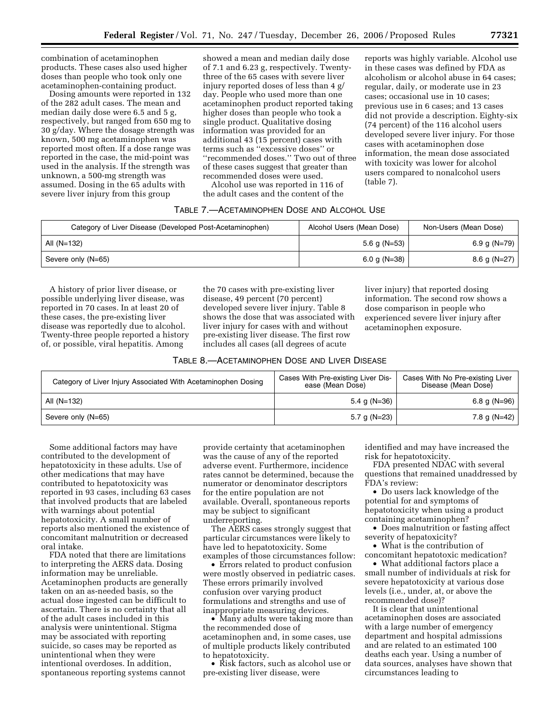combination of acetaminophen products. These cases also used higher doses than people who took only one acetaminophen-containing product.

Dosing amounts were reported in 132 of the 282 adult cases. The mean and median daily dose were 6.5 and 5 g, respectively, but ranged from 650 mg to 30 g/day. Where the dosage strength was known, 500 mg acetaminophen was reported most often. If a dose range was reported in the case, the mid-point was used in the analysis. If the strength was unknown, a 500-mg strength was assumed. Dosing in the 65 adults with severe liver injury from this group

showed a mean and median daily dose of 7.1 and 6.23 g, respectively. Twentythree of the 65 cases with severe liver injury reported doses of less than 4 g/ day. People who used more than one acetaminophen product reported taking higher doses than people who took a single product. Qualitative dosing information was provided for an additional 43 (15 percent) cases with terms such as ''excessive doses'' or ''recommended doses.'' Two out of three of these cases suggest that greater than recommended doses were used.

Alcohol use was reported in 116 of the adult cases and the content of the

# TABLE 7.—ACETAMINOPHEN DOSE AND ALCOHOL USE

| Category of Liver Disease (Developed Post-Acetaminophen) | Alcohol Users (Mean Dose) | Non-Users (Mean Dose) |
|----------------------------------------------------------|---------------------------|-----------------------|
| All $(N=132)$                                            | 5.6 g ( $N=53$ )          | 6.9 g (N=79)          |
| Severe only (N=65)                                       | 6.0 g (N=38)              | 8.6 g (N=27)          |

A history of prior liver disease, or possible underlying liver disease, was reported in 70 cases. In at least 20 of these cases, the pre-existing liver disease was reportedly due to alcohol. Twenty-three people reported a history of, or possible, viral hepatitis. Among

the 70 cases with pre-existing liver disease, 49 percent (70 percent) developed severe liver injury. Table 8 shows the dose that was associated with liver injury for cases with and without pre-existing liver disease. The first row includes all cases (all degrees of acute

liver injury) that reported dosing information. The second row shows a dose comparison in people who experienced severe liver injury after acetaminophen exposure.

(table 7).

reports was highly variable. Alcohol use in these cases was defined by FDA as alcoholism or alcohol abuse in 64 cases; regular, daily, or moderate use in 23 cases; occasional use in 10 cases; previous use in 6 cases; and 13 cases did not provide a description. Eighty-six (74 percent) of the 116 alcohol users developed severe liver injury. For those cases with acetaminophen dose information, the mean dose associated with toxicity was lower for alcohol users compared to nonalcohol users

| Category of Liver Injury Associated With Acetaminophen Dosing | Cases With Pre-existing Liver Dis-<br>ease (Mean Dose) | Cases With No Pre-existing Liver<br>Disease (Mean Dose) |
|---------------------------------------------------------------|--------------------------------------------------------|---------------------------------------------------------|
| All (N=132)                                                   | 5.4 g (N=36)                                           | 6.8 g (N=96)                                            |
| Severe only (N=65)                                            | 5.7 g (N=23)                                           | 7.8 g (N=42)                                            |

Some additional factors may have contributed to the development of hepatotoxicity in these adults. Use of other medications that may have contributed to hepatotoxicity was reported in 93 cases, including 63 cases that involved products that are labeled with warnings about potential hepatotoxicity. A small number of reports also mentioned the existence of concomitant malnutrition or decreased oral intake.

FDA noted that there are limitations to interpreting the AERS data. Dosing information may be unreliable. Acetaminophen products are generally taken on an as-needed basis, so the actual dose ingested can be difficult to ascertain. There is no certainty that all of the adult cases included in this analysis were unintentional. Stigma may be associated with reporting suicide, so cases may be reported as unintentional when they were intentional overdoses. In addition, spontaneous reporting systems cannot

provide certainty that acetaminophen was the cause of any of the reported adverse event. Furthermore, incidence rates cannot be determined, because the numerator or denominator descriptors for the entire population are not available. Overall, spontaneous reports may be subject to significant underreporting.

The AERS cases strongly suggest that particular circumstances were likely to have led to hepatotoxicity. Some examples of those circumstances follow:

• Errors related to product confusion were mostly observed in pediatric cases. These errors primarily involved confusion over varying product formulations and strengths and use of inappropriate measuring devices.

• Many adults were taking more than the recommended dose of acetaminophen and, in some cases, use of multiple products likely contributed to hepatotoxicity.

• Risk factors, such as alcohol use or pre-existing liver disease, were

identified and may have increased the risk for hepatotoxicity.

FDA presented NDAC with several questions that remained unaddressed by FDA's review:

• Do users lack knowledge of the potential for and symptoms of hepatotoxicity when using a product containing acetaminophen?

• Does malnutrition or fasting affect severity of hepatoxicity?

• What is the contribution of concomitant hepatotoxic medication?

• What additional factors place a small number of individuals at risk for severe hepatotoxicity at various dose levels (i.e., under, at, or above the recommended dose)?

It is clear that unintentional acetaminophen doses are associated with a large number of emergency department and hospital admissions and are related to an estimated 100 deaths each year. Using a number of data sources, analyses have shown that circumstances leading to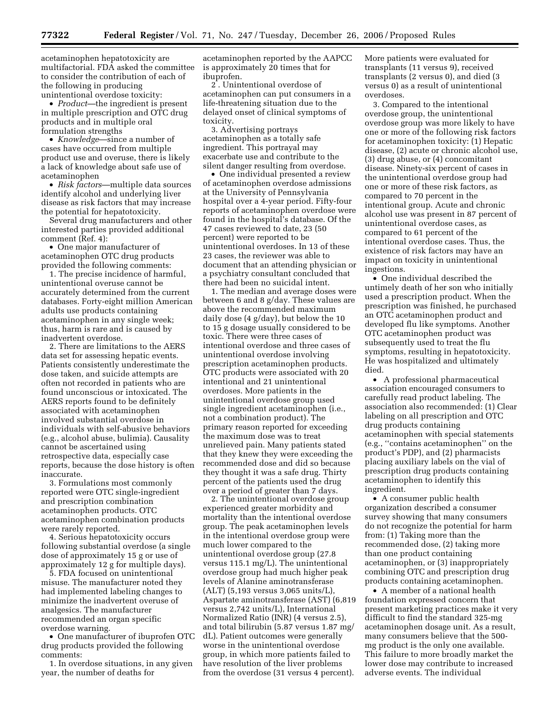acetaminophen hepatotoxicity are multifactorial. FDA asked the committee to consider the contribution of each of the following in producing

unintentional overdose toxicity: • *Product*—the ingredient is present in multiple prescription and OTC drug products and in multiple oral formulation strengths

• *Knowledge*—since a number of cases have occurred from multiple product use and overuse, there is likely a lack of knowledge about safe use of acetaminophen

• *Risk factors*—multiple data sources identify alcohol and underlying liver disease as risk factors that may increase the potential for hepatotoxicity.

Several drug manufacturers and other interested parties provided additional comment (Ref. 4):

• One major manufacturer of acetaminophen OTC drug products provided the following comments:

1. The precise incidence of harmful, unintentional overuse cannot be accurately determined from the current databases. Forty-eight million American adults use products containing acetaminophen in any single week; thus, harm is rare and is caused by inadvertent overdose.

2. There are limitations to the AERS data set for assessing hepatic events. Patients consistently underestimate the dose taken, and suicide attempts are often not recorded in patients who are found unconscious or intoxicated. The AERS reports found to be definitely associated with acetaminophen involved substantial overdose in individuals with self-abusive behaviors (e.g., alcohol abuse, bulimia). Causality cannot be ascertained using retrospective data, especially case reports, because the dose history is often inaccurate.

3. Formulations most commonly reported were OTC single-ingredient and prescription combination acetaminophen products. OTC acetaminophen combination products were rarely reported.

4. Serious hepatotoxicity occurs following substantial overdose (a single dose of approximately 15 g or use of approximately 12 g for multiple days).

5. FDA focused on unintentional misuse. The manufacturer noted they had implemented labeling changes to minimize the inadvertent overuse of analgesics. The manufacturer recommended an organ specific overdose warning.

• One manufacturer of ibuprofen OTC drug products provided the following comments:

1. In overdose situations, in any given year, the number of deaths for

acetaminophen reported by the AAPCC is approximately 20 times that for ibuprofen.

2 . Unintentional overdose of acetaminophen can put consumers in a life-threatening situation due to the delayed onset of clinical symptoms of toxicity.

3. Advertising portrays acetaminophen as a totally safe ingredient. This portrayal may exacerbate use and contribute to the silent danger resulting from overdose.

• One individual presented a review of acetaminophen overdose admissions at the University of Pennsylvania hospital over a 4-year period. Fifty-four reports of acetaminophen overdose were found in the hospital's database. Of the 47 cases reviewed to date, 23 (50 percent) were reported to be unintentional overdoses. In 13 of these 23 cases, the reviewer was able to document that an attending physician or a psychiatry consultant concluded that there had been no suicidal intent.

1. The median and average doses were between 6 and 8 g/day. These values are above the recommended maximum daily dose (4 g/day), but below the 10 to 15 g dosage usually considered to be toxic. There were three cases of intentional overdose and three cases of unintentional overdose involving prescription acetaminophen products. OTC products were associated with 20 intentional and 21 unintentional overdoses. More patients in the unintentional overdose group used single ingredient acetaminophen (i.e., not a combination product). The primary reason reported for exceeding the maximum dose was to treat unrelieved pain. Many patients stated that they knew they were exceeding the recommended dose and did so because they thought it was a safe drug. Thirty percent of the patients used the drug over a period of greater than 7 days.

2. The unintentional overdose group experienced greater morbidity and mortality than the intentional overdose group. The peak acetaminophen levels in the intentional overdose group were much lower compared to the unintentional overdose group (27.8 versus 115.1 mg/L). The unintentional overdose group had much higher peak levels of Alanine aminotransferase (ALT) (5,193 versus 3,065 units/L), Aspartate aminotransferase (AST) (6,819 versus 2,742 units/L), International Normalized Ratio (INR) (4 versus 2.5), and total bilirubin (5.87 versus 1.87 mg/ dL). Patient outcomes were generally worse in the unintentional overdose group, in which more patients failed to have resolution of the liver problems from the overdose (31 versus 4 percent).

More patients were evaluated for transplants (11 versus 9), received transplants (2 versus 0), and died (3 versus 0) as a result of unintentional overdoses.

3. Compared to the intentional overdose group, the unintentional overdose group was more likely to have one or more of the following risk factors for acetaminophen toxicity: (1) Hepatic disease, (2) acute or chronic alcohol use, (3) drug abuse, or (4) concomitant disease. Ninety-six percent of cases in the unintentional overdose group had one or more of these risk factors, as compared to 70 percent in the intentional group. Acute and chronic alcohol use was present in 87 percent of unintentional overdose cases, as compared to 61 percent of the intentional overdose cases. Thus, the existence of risk factors may have an impact on toxicity in unintentional ingestions.

• One individual described the untimely death of her son who initially used a prescription product. When the prescription was finished, he purchased an OTC acetaminophen product and developed flu like symptoms. Another OTC acetaminophen product was subsequently used to treat the flu symptoms, resulting in hepatotoxicity. He was hospitalized and ultimately died.

• A professional pharmaceutical association encouraged consumers to carefully read product labeling. The association also recommended: (1) Clear labeling on all prescription and OTC drug products containing acetaminophen with special statements (e.g., ''contains acetaminophen'' on the product's PDP), and (2) pharmacists placing auxiliary labels on the vial of prescription drug products containing acetaminophen to identify this ingredient.

• A consumer public health organization described a consumer survey showing that many consumers do not recognize the potential for harm from: (1) Taking more than the recommended dose, (2) taking more than one product containing acetaminophen, or (3) inappropriately combining OTC and prescription drug products containing acetaminophen.

• A member of a national health foundation expressed concern that present marketing practices make it very difficult to find the standard 325-mg acetaminophen dosage unit. As a result, many consumers believe that the 500 mg product is the only one available. This failure to more broadly market the lower dose may contribute to increased adverse events. The individual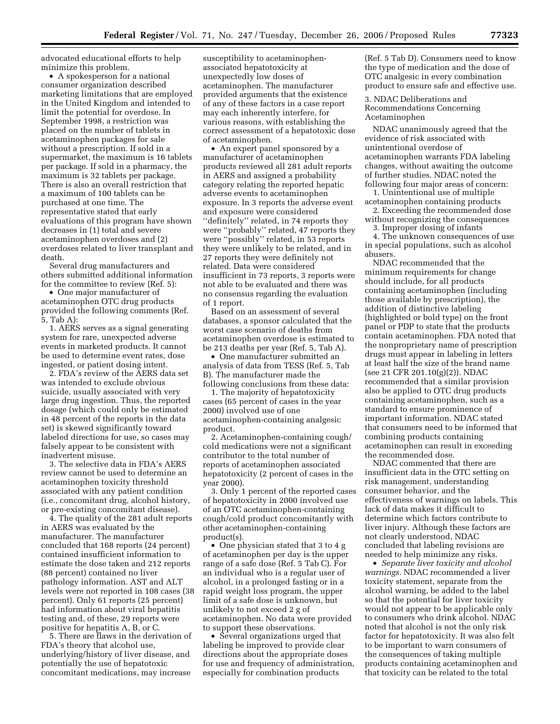advocated educational efforts to help minimize this problem.

• A spokesperson for a national consumer organization described marketing limitations that are employed in the United Kingdom and intended to limit the potential for overdose. In September 1998, a restriction was placed on the number of tablets in acetaminophen packages for sale without a prescription. If sold in a supermarket, the maximum is 16 tablets per package. If sold in a pharmacy, the maximum is 32 tablets per package. There is also an overall restriction that a maximum of 100 tablets can be purchased at one time. The representative stated that early evaluations of this program have shown decreases in (1) total and severe acetaminophen overdoses and (2) overdoses related to liver transplant and death.

Several drug manufacturers and others submitted additional information for the committee to review (Ref. 5):

• One major manufacturer of acetaminophen OTC drug products provided the following comments (Ref. 5, Tab A):

1. AERS serves as a signal generating system for rare, unexpected adverse events in marketed products. It cannot be used to determine event rates, dose ingested, or patient dosing intent.

2. FDA's review of the AERS data set was intended to exclude obvious suicide, usually associated with very large drug ingestion. Thus, the reported dosage (which could only be estimated in 48 percent of the reports in the data set) is skewed significantly toward labeled directions for use, so cases may falsely appear to be consistent with inadvertent misuse.

3. The selective data in FDA's AERS review cannot be used to determine an acetaminophen toxicity threshold associated with any patient condition (i.e., concomitant drug, alcohol history, or pre-existing concomitant disease).

4. The quality of the 281 adult reports in AERS was evaluated by the manufacturer. The manufacturer concluded that 168 reports (24 percent) contained insufficient information to estimate the dose taken and 212 reports (88 percent) contained no liver pathology information. AST and ALT levels were not reported in 108 cases (38 percent). Only 61 reports (25 percent) had information about viral hepatitis testing and, of these, 29 reports were positive for hepatitis A, B, or C.

5. There are flaws in the derivation of FDA's theory that alcohol use, underlying/history of liver disease, and potentially the use of hepatotoxic concomitant medications, may increase

susceptibility to acetaminophenassociated hepatotoxicity at unexpectedly low doses of acetaminophen. The manufacturer provided arguments that the existence of any of these factors in a case report may each inherently interfere, for various reasons, with establishing the correct assessment of a hepatotoxic dose of acetaminophen.

• An expert panel sponsored by a manufacturer of acetaminophen products reviewed all 281 adult reports in AERS and assigned a probability category relating the reported hepatic adverse events to acetaminophen exposure. In 3 reports the adverse event and exposure were considered ''definitely'' related, in 74 reports they were ''probably'' related, 47 reports they were ''possibly'' related, in 53 reports they were unlikely to be related, and in 27 reports they were definitely not related. Data were considered insufficient in 73 reports, 3 reports were not able to be evaluated and there was no consensus regarding the evaluation of 1 report.

Based on an assessment of several databases, a sponsor calculated that the worst case scenario of deaths from acetaminophen overdose is estimated to be 213 deaths per year (Ref. 5, Tab A).

• One manufacturer submitted an analysis of data from TESS (Ref. 5, Tab B). The manufacturer made the following conclusions from these data:

1. The majority of hepatotoxicity cases (65 percent of cases in the year 2000) involved use of one acetaminophen-containing analgesic product.

2. Acetaminophen-containing cough/ cold medications were not a significant contributor to the total number of reports of acetaminophen associated hepatotoxicity (2 percent of cases in the year 2000).

3. Only 1 percent of the reported cases of hepatotoxicity in 2000 involved use of an OTC acetaminophen-containing cough/cold product concomitantly with other acetaminophen-containing product(s).

• One physician stated that 3 to 4 g of acetaminophen per day is the upper range of a safe dose (Ref. 5 Tab C). For an individual who is a regular user of alcohol, in a prolonged fasting or in a rapid weight loss program, the upper limit of a safe dose is unknown, but unlikely to not exceed 2 g of acetaminophen. No data were provided to support these observations.

• Several organizations urged that labeling be improved to provide clear directions about the appropriate doses for use and frequency of administration, especially for combination products

(Ref. 5 Tab D). Consumers need to know the type of medication and the dose of OTC analgesic in every combination product to ensure safe and effective use.

3. NDAC Deliberations and Recommendations Concerning Acetaminophen

NDAC unanimously agreed that the evidence of risk associated with unintentional overdose of acetaminophen warrants FDA labeling changes, without awaiting the outcome of further studies. NDAC noted the following four major areas of concern:

1. Unintentional use of multiple acetaminophen containing products

2. Exceeding the recommended dose without recognizing the consequences

3. Improper dosing of infants

4. The unknown consequences of use in special populations, such as alcohol abusers.

NDAC recommended that the minimum requirements for change should include, for all products containing acetaminophen (including those available by prescription), the addition of distinctive labeling (highlighted or bold type) on the front panel or PDP to state that the products contain acetaminophen. FDA noted that the nonproprietary name of prescription drugs must appear in labeling in letters at least half the size of the brand name (see 21 CFR 201.10(g)(2)). NDAC recommended that a similar provision also be applied to OTC drug products containing acetaminophen, such as a standard to ensure prominence of important information. NDAC stated that consumers need to be informed that combining products containing acetaminophen can result in exceeding the recommended dose.

NDAC commented that there are insufficient data in the OTC setting on risk management, understanding consumer behavior, and the effectiveness of warnings on labels. This lack of data makes it difficult to determine which factors contribute to liver injury. Although these factors are not clearly understood, NDAC concluded that labeling revisions are needed to help minimize any risks.

• *Separate liver toxicity and alcohol warnings*. NDAC recommended a liver toxicity statement, separate from the alcohol warning, be added to the label so that the potential for liver toxicity would not appear to be applicable only to consumers who drink alcohol. NDAC noted that alcohol is not the only risk factor for hepatotoxicity. It was also felt to be important to warn consumers of the consequences of taking multiple products containing acetaminophen and that toxicity can be related to the total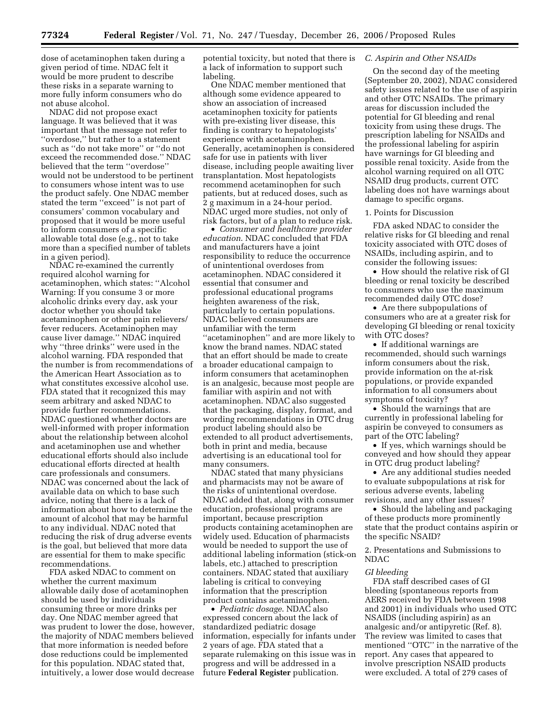dose of acetaminophen taken during a given period of time. NDAC felt it would be more prudent to describe these risks in a separate warning to more fully inform consumers who do not abuse alcohol.

NDAC did not propose exact language. It was believed that it was important that the message not refer to ''overdose,'' but rather to a statement such as ''do not take more'' or ''do not exceed the recommended dose.'' NDAC believed that the term ''overdose'' would not be understood to be pertinent to consumers whose intent was to use the product safely. One NDAC member stated the term ''exceed'' is not part of consumers' common vocabulary and proposed that it would be more useful to inform consumers of a specific allowable total dose (e.g., not to take more than a specified number of tablets in a given period).

NDAC re-examined the currently required alcohol warning for acetaminophen, which states: ''Alcohol Warning: If you consume 3 or more alcoholic drinks every day, ask your doctor whether you should take acetaminophen or other pain relievers/ fever reducers. Acetaminophen may cause liver damage.'' NDAC inquired why ''three drinks'' were used in the alcohol warning. FDA responded that the number is from recommendations of the American Heart Association as to what constitutes excessive alcohol use. FDA stated that it recognized this may seem arbitrary and asked NDAC to provide further recommendations. NDAC questioned whether doctors are well-informed with proper information about the relationship between alcohol and acetaminophen use and whether educational efforts should also include educational efforts directed at health care professionals and consumers. NDAC was concerned about the lack of available data on which to base such advice, noting that there is a lack of information about how to determine the amount of alcohol that may be harmful to any individual. NDAC noted that reducing the risk of drug adverse events is the goal, but believed that more data are essential for them to make specific recommendations.

FDA asked NDAC to comment on whether the current maximum allowable daily dose of acetaminophen should be used by individuals consuming three or more drinks per day. One NDAC member agreed that was prudent to lower the dose, however, the majority of NDAC members believed that more information is needed before dose reductions could be implemented for this population. NDAC stated that, intuitively, a lower dose would decrease potential toxicity, but noted that there is a lack of information to support such labeling.

One NDAC member mentioned that although some evidence appeared to show an association of increased acetaminophen toxicity for patients with pre-existing liver disease, this finding is contrary to hepatologists' experience with acetaminophen. Generally, acetaminophen is considered safe for use in patients with liver disease, including people awaiting liver transplantation. Most hepatologists recommend acetaminophen for such patients, but at reduced doses, such as 2 g maximum in a 24-hour period. NDAC urged more studies, not only of risk factors, but of a plan to reduce risk.

• *Consumer and healthcare provider education*. NDAC concluded that FDA and manufacturers have a joint responsibility to reduce the occurrence of unintentional overdoses from acetaminophen. NDAC considered it essential that consumer and professional educational programs heighten awareness of the risk, particularly to certain populations. NDAC believed consumers are unfamiliar with the term ''acetaminophen'' and are more likely to know the brand names. NDAC stated that an effort should be made to create a broader educational campaign to inform consumers that acetaminophen is an analgesic, because most people are familiar with aspirin and not with acetaminophen. NDAC also suggested that the packaging, display, format, and wording recommendations in OTC drug product labeling should also be extended to all product advertisements, both in print and media, because advertising is an educational tool for many consumers.

NDAC stated that many physicians and pharmacists may not be aware of the risks of unintentional overdose. NDAC added that, along with consumer education, professional programs are important, because prescription products containing acetaminophen are widely used. Education of pharmacists would be needed to support the use of additional labeling information (stick-on labels, etc.) attached to prescription containers. NDAC stated that auxiliary labeling is critical to conveying information that the prescription product contains acetaminophen.

• *Pediatric dosage*. NDAC also expressed concern about the lack of standardized pediatric dosage information, especially for infants under 2 years of age. FDA stated that a separate rulemaking on this issue was in progress and will be addressed in a future **Federal Register** publication.

# *C. Aspirin and Other NSAIDs*

On the second day of the meeting (September 20, 2002), NDAC considered safety issues related to the use of aspirin and other OTC NSAIDs. The primary areas for discussion included the potential for GI bleeding and renal toxicity from using these drugs. The prescription labeling for NSAIDs and the professional labeling for aspirin have warnings for GI bleeding and possible renal toxicity. Aside from the alcohol warning required on all OTC NSAID drug products, current OTC labeling does not have warnings about damage to specific organs.

#### 1. Points for Discussion

FDA asked NDAC to consider the relative risks for GI bleeding and renal toxicity associated with OTC doses of NSAIDs, including aspirin, and to consider the following issues:

• How should the relative risk of GI bleeding or renal toxicity be described to consumers who use the maximum recommended daily OTC dose?

• Are there subpopulations of consumers who are at a greater risk for developing GI bleeding or renal toxicity with OTC doses?

• If additional warnings are recommended, should such warnings inform consumers about the risk, provide information on the at-risk populations, or provide expanded information to all consumers about symptoms of toxicity?

• Should the warnings that are currently in professional labeling for aspirin be conveyed to consumers as part of the OTC labeling?

• If yes, which warnings should be conveyed and how should they appear in OTC drug product labeling?

• Are any additional studies needed to evaluate subpopulations at risk for serious adverse events, labeling revisions, and any other issues?

• Should the labeling and packaging of these products more prominently state that the product contains aspirin or the specific NSAID?

2. Presentations and Submissions to NDAC

#### *GI bleeding*

FDA staff described cases of GI bleeding (spontaneous reports from AERS received by FDA between 1998 and 2001) in individuals who used OTC NSAIDS (including aspirin) as an analgesic and/or antipyretic (Ref. 8). The review was limited to cases that mentioned ''OTC'' in the narrative of the report. Any cases that appeared to involve prescription NSAID products were excluded. A total of 279 cases of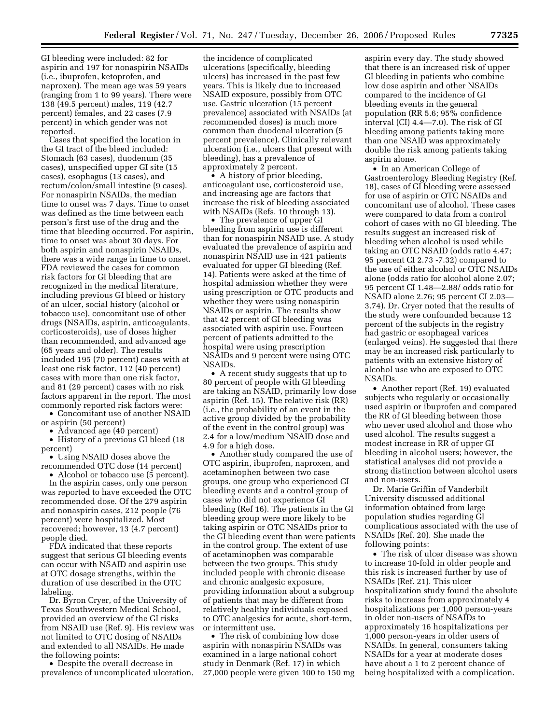GI bleeding were included: 82 for aspirin and 197 for nonaspirin NSAIDs (i.e., ibuprofen, ketoprofen, and naproxen). The mean age was 59 years (ranging from 1 to 99 years). There were 138 (49.5 percent) males, 119 (42.7 percent) females, and 22 cases (7.9 percent) in which gender was not reported.

Cases that specified the location in the GI tract of the bleed included: Stomach (63 cases), duodenum (35 cases), unspecified upper GI site (15 cases), esophagus (13 cases), and rectum/colon/small intestine (9 cases). For nonaspirin NSAIDs, the median time to onset was 7 days. Time to onset was defined as the time between each person's first use of the drug and the time that bleeding occurred. For aspirin, time to onset was about 30 days. For both aspirin and nonaspirin NSAIDs, there was a wide range in time to onset. FDA reviewed the cases for common risk factors for GI bleeding that are recognized in the medical literature, including previous GI bleed or history of an ulcer, social history (alcohol or tobacco use), concomitant use of other drugs (NSAIDs, aspirin, anticoagulants, corticosteroids), use of doses higher than recommended, and advanced age (65 years and older). The results included 195 (70 percent) cases with at least one risk factor, 112 (40 percent) cases with more than one risk factor, and 81 (29 percent) cases with no risk factors apparent in the report. The most commonly reported risk factors were:

• Concomitant use of another NSAID or aspirin (50 percent)

• Advanced age (40 percent) • History of a previous GI bleed (18 percent)

• Using NSAID doses above the recommended OTC dose (14 percent)

• Alcohol or tobacco use (5 percent). In the aspirin cases, only one person was reported to have exceeded the OTC recommended dose. Of the 279 aspirin and nonaspirin cases, 212 people (76 percent) were hospitalized. Most recovered; however, 13 (4.7 percent) people died.

FDA indicated that these reports suggest that serious GI bleeding events can occur with NSAID and aspirin use at OTC dosage strengths, within the duration of use described in the OTC labeling.

Dr. Byron Cryer, of the University of Texas Southwestern Medical School, provided an overview of the GI risks from NSAID use (Ref. 9). His review was not limited to OTC dosing of NSAIDs and extended to all NSAIDs. He made the following points:

• Despite the overall decrease in prevalence of uncomplicated ulceration,

the incidence of complicated ulcerations (specifically, bleeding ulcers) has increased in the past few years. This is likely due to increased NSAID exposure, possibly from OTC use. Gastric ulceration (15 percent prevalence) associated with NSAIDs (at recommended doses) is much more common than duodenal ulceration (5 percent prevalence). Clinically relevant ulceration (i.e., ulcers that present with bleeding), has a prevalence of approximately 2 percent.

• A history of prior bleeding, anticoagulant use, corticosteroid use, and increasing age are factors that increase the risk of bleeding associated with NSAIDs (Refs. 10 through 13).

• The prevalence of upper GI bleeding from aspirin use is different than for nonaspirin NSAID use. A study evaluated the prevalence of aspirin and nonaspirin NSAID use in 421 patients evaluated for upper GI bleeding (Ref. 14). Patients were asked at the time of hospital admission whether they were using prescription or OTC products and whether they were using nonaspirin NSAIDs or aspirin. The results show that 42 percent of GI bleeding was associated with aspirin use. Fourteen percent of patients admitted to the hospital were using prescription NSAIDs and 9 percent were using OTC NSAIDs.

• A recent study suggests that up to 80 percent of people with GI bleeding are taking an NSAID, primarily low dose aspirin (Ref. 15). The relative risk (RR) (i.e., the probability of an event in the active group divided by the probability of the event in the control group) was 2.4 for a low/medium NSAID dose and 4.9 for a high dose.

• Another study compared the use of OTC aspirin, ibuprofen, naproxen, and acetaminophen between two case groups, one group who experienced GI bleeding events and a control group of cases who did not experience GI bleeding (Ref 16). The patients in the GI bleeding group were more likely to be taking aspirin or OTC NSAIDs prior to the GI bleeding event than were patients in the control group. The extent of use of acetaminophen was comparable between the two groups. This study included people with chronic disease and chronic analgesic exposure, providing information about a subgroup of patients that may be different from relatively healthy individuals exposed to OTC analgesics for acute, short-term, or intermittent use.

• The risk of combining low dose aspirin with nonaspirin NSAIDs was examined in a large national cohort study in Denmark (Ref. 17) in which 27,000 people were given 100 to 150 mg

aspirin every day. The study showed that there is an increased risk of upper GI bleeding in patients who combine low dose aspirin and other NSAIDs compared to the incidence of GI bleeding events in the general population (RR 5.6; 95% confidence interval (CI) 4.4—7.0). The risk of GI bleeding among patients taking more than one NSAID was approximately double the risk among patients taking aspirin alone.

• In an American College of Gastroenterology Bleeding Registry (Ref. 18), cases of GI bleeding were assessed for use of aspirin or OTC NSAIDs and concomitant use of alcohol. These cases were compared to data from a control cohort of cases with no GI bleeding. The results suggest an increased risk of bleeding when alcohol is used while taking an OTC NSAID (odds ratio 4.47; 95 percent CI 2.73 -7.32) compared to the use of either alcohol or OTC NSAIDs alone (odds ratio for alcohol alone 2.07; 95 percent CI 1.48—2.88/ odds ratio for NSAID alone 2.76; 95 percent CI 2.03— 3.74). Dr. Cryer noted that the results of the study were confounded because 12 percent of the subjects in the registry had gastric or esophageal varices (enlarged veins). He suggested that there may be an increased risk particularly to patients with an extensive history of alcohol use who are exposed to OTC NSAIDs.

• Another report (Ref. 19) evaluated subjects who regularly or occasionally used aspirin or ibuprofen and compared the RR of GI bleeding between those who never used alcohol and those who used alcohol. The results suggest a modest increase in RR of upper GI bleeding in alcohol users; however, the statistical analyses did not provide a strong distinction between alcohol users and non-users.

Dr. Marie Griffin of Vanderbilt University discussed additional information obtained from large population studies regarding GI complications associated with the use of NSAIDs (Ref. 20). She made the following points:

• The risk of ulcer disease was shown to increase 10-fold in older people and this risk is increased further by use of NSAIDs (Ref. 21). This ulcer hospitalization study found the absolute risks to increase from approximately 4 hospitalizations per 1,000 person-years in older non-users of NSAIDs to approximately 16 hospitalizations per 1,000 person-years in older users of NSAIDs. In general, consumers taking NSAIDs for a year at moderate doses have about a 1 to 2 percent chance of being hospitalized with a complication.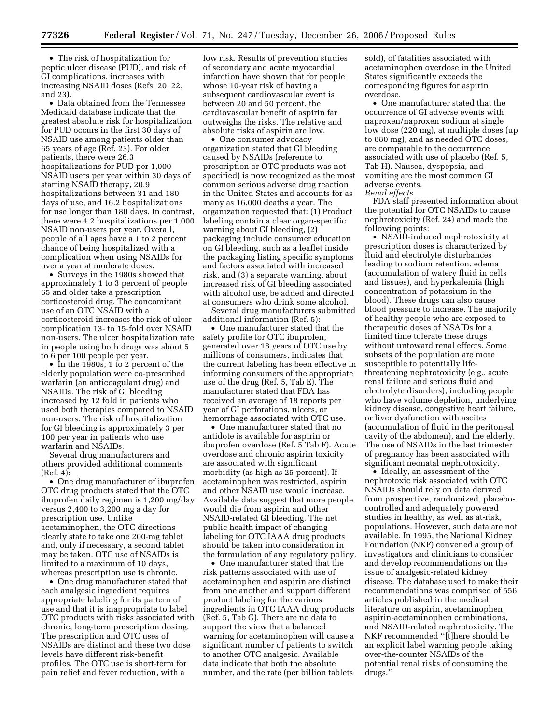• The risk of hospitalization for peptic ulcer disease (PUD), and risk of GI complications, increases with increasing NSAID doses (Refs. 20, 22, and 23).

• Data obtained from the Tennessee Medicaid database indicate that the greatest absolute risk for hospitalization for PUD occurs in the first 30 days of NSAID use among patients older than 65 years of age (Ref. 23). For older patients, there were 26.3 hospitalizations for PUD per 1,000 NSAID users per year within 30 days of starting NSAID therapy, 20.9 hospitalizations between 31 and 180 days of use, and 16.2 hospitalizations for use longer than 180 days. In contrast, there were 4.2 hospitalizations per 1,000 NSAID non-users per year. Overall, people of all ages have a 1 to 2 percent chance of being hospitalized with a complication when using NSAIDs for over a year at moderate doses.

• Surveys in the 1980s showed that approximately 1 to 3 percent of people 65 and older take a prescription corticosteroid drug. The concomitant use of an OTC NSAID with a corticosteroid increases the risk of ulcer complication 13- to 15-fold over NSAID non-users. The ulcer hospitalization rate in people using both drugs was about 5 to 6 per 100 people per year.

• In the 1980s, 1 to 2 percent of the elderly population were co-prescribed warfarin (an anticoagulant drug) and NSAIDs. The risk of GI bleeding increased by 12 fold in patients who used both therapies compared to NSAID non-users. The risk of hospitalization for GI bleeding is approximately 3 per 100 per year in patients who use warfarin and NSAIDs.

Several drug manufacturers and others provided additional comments (Ref. 4):

• One drug manufacturer of ibuprofen OTC drug products stated that the OTC ibuprofen daily regimen is 1,200 mg/day versus 2,400 to 3,200 mg a day for prescription use. Unlike acetaminophen, the OTC directions clearly state to take one 200-mg tablet and, only if necessary, a second tablet may be taken. OTC use of NSAIDs is limited to a maximum of 10 days, whereas prescription use is chronic.

• One drug manufacturer stated that each analgesic ingredient requires appropriate labeling for its pattern of use and that it is inappropriate to label OTC products with risks associated with chronic, long-term prescription dosing. The prescription and OTC uses of NSAIDs are distinct and these two dose levels have different risk-benefit profiles. The OTC use is short-term for pain relief and fever reduction, with a

low risk. Results of prevention studies of secondary and acute myocardial infarction have shown that for people whose 10-year risk of having a subsequent cardiovascular event is between 20 and 50 percent, the cardiovascular benefit of aspirin far outweighs the risks. The relative and absolute risks of aspirin are low.

• One consumer advocacy organization stated that GI bleeding caused by NSAIDs (reference to prescription or OTC products was not specified) is now recognized as the most common serious adverse drug reaction in the United States and accounts for as many as 16,000 deaths a year. The organization requested that: (1) Product labeling contain a clear organ-specific warning about GI bleeding, (2) packaging include consumer education on GI bleeding, such as a leaflet inside the packaging listing specific symptoms and factors associated with increased risk, and (3) a separate warning, about increased risk of GI bleeding associated with alcohol use, be added and directed at consumers who drink some alcohol.

Several drug manufacturers submitted additional information (Ref. 5):

• One manufacturer stated that the safety profile for OTC ibuprofen, generated over 18 years of OTC use by millions of consumers, indicates that the current labeling has been effective in informing consumers of the appropriate use of the drug (Ref. 5, Tab E). The manufacturer stated that FDA has received an average of 18 reports per year of GI perforations, ulcers, or hemorrhage associated with OTC use.

• One manufacturer stated that no antidote is available for aspirin or ibuprofen overdose (Ref. 5 Tab F). Acute overdose and chronic aspirin toxicity are associated with significant morbidity (as high as 25 percent). If acetaminophen was restricted, aspirin and other NSAID use would increase. Available data suggest that more people would die from aspirin and other NSAID-related GI bleeding. The net public health impact of changing labeling for OTC IAAA drug products should be taken into consideration in the formulation of any regulatory policy.

• One manufacturer stated that the risk patterns associated with use of acetaminophen and aspirin are distinct from one another and support different product labeling for the various ingredients in OTC IAAA drug products (Ref. 5, Tab G). There are no data to support the view that a balanced warning for acetaminophen will cause a significant number of patients to switch to another OTC analgesic. Available data indicate that both the absolute number, and the rate (per billion tablets

sold), of fatalities associated with acetaminophen overdose in the United States significantly exceeds the corresponding figures for aspirin overdose.

• One manufacturer stated that the occurrence of GI adverse events with naproxen/naproxen sodium at single low dose (220 mg), at multiple doses (up to 880 mg), and as needed OTC doses, are comparable to the occurrence associated with use of placebo (Ref. 5, Tab H). Nausea, dyspepsia, and vomiting are the most common GI adverse events. *Renal effects* 

FDA staff presented information about the potential for OTC NSAIDs to cause nephrotoxicity (Ref. 24) and made the following points:

• NSAID-induced nephrotoxicity at prescription doses is characterized by fluid and electrolyte disturbances leading to sodium retention, edema (accumulation of watery fluid in cells and tissues), and hyperkalemia (high concentration of potassium in the blood). These drugs can also cause blood pressure to increase. The majority of healthy people who are exposed to therapeutic doses of NSAIDs for a limited time tolerate these drugs without untoward renal effects. Some subsets of the population are more susceptible to potentially lifethreatening nephrotoxicity (e.g., acute renal failure and serious fluid and electrolyte disorders), including people who have volume depletion, underlying kidney disease, congestive heart failure, or liver dysfunction with ascites (accumulation of fluid in the peritoneal cavity of the abdomen), and the elderly. The use of NSAIDs in the last trimester of pregnancy has been associated with significant neonatal nephrotoxicity.

• Ideally, an assessment of the nephrotoxic risk associated with OTC NSAIDs should rely on data derived from prospective, randomized, placebocontrolled and adequately powered studies in healthy, as well as at-risk, populations. However, such data are not available. In 1995, the National Kidney Foundation (NKF) convened a group of investigators and clinicians to consider and develop recommendations on the issue of analgesic-related kidney disease. The database used to make their recommendations was comprised of 556 articles published in the medical literature on aspirin, acetaminophen, aspirin-acetaminophen combinations, and NSAID-related nephrotoxicity. The NKF recommended ''[t]here should be an explicit label warning people taking over-the-counter NSAIDs of the potential renal risks of consuming the drugs.''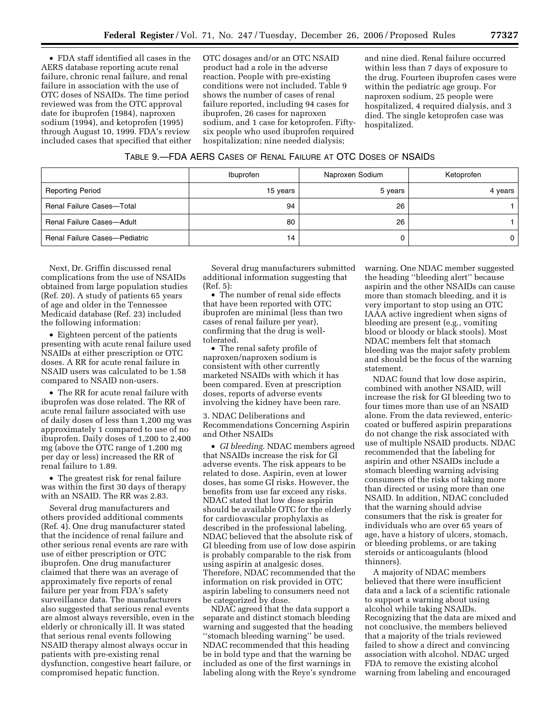• FDA staff identified all cases in the AERS database reporting acute renal failure, chronic renal failure, and renal failure in association with the use of OTC doses of NSAIDs. The time period reviewed was from the OTC approval date for ibuprofen (1984), naproxen sodium (1994), and ketoprofen (1995) through August 10, 1999. FDA's review included cases that specified that either OTC dosages and/or an OTC NSAID product had a role in the adverse reaction. People with pre-existing conditions were not included. Table 9 shows the number of cases of renal failure reported, including 94 cases for ibuprofen, 26 cases for naproxen sodium, and 1 case for ketoprofen. Fiftysix people who used ibuprofen required hospitalization; nine needed dialysis;

and nine died. Renal failure occurred within less than 7 days of exposure to the drug. Fourteen ibuprofen cases were within the pediatric age group. For naproxen sodium, 25 people were hospitalized, 4 required dialysis, and 3 died. The single ketoprofen case was hospitalized.

|                                  | Ibuprofen | Naproxen Sodium | Ketoprofen |  |
|----------------------------------|-----------|-----------------|------------|--|
| <b>Reporting Period</b>          | 15 years  | 5 years         | 4 years    |  |
| <b>Renal Failure Cases-Total</b> | 94        | 26              |            |  |
| Renal Failure Cases-Adult        | 80        | 26              |            |  |
| Renal Failure Cases-Pediatric    | 14        |                 |            |  |

Next, Dr. Griffin discussed renal complications from the use of NSAIDs obtained from large population studies (Ref. 20). A study of patients 65 years of age and older in the Tennessee Medicaid database (Ref. 23) included the following information:

• Eighteen percent of the patients presenting with acute renal failure used NSAIDs at either prescription or OTC doses. A RR for acute renal failure in NSAID users was calculated to be 1.58 compared to NSAID non-users.

• The RR for acute renal failure with ibuprofen was dose related. The RR of acute renal failure associated with use of daily doses of less than 1,200 mg was approximately 1 compared to use of no ibuprofen. Daily doses of 1,200 to 2,400 mg (above the OTC range of 1,200 mg per day or less) increased the RR of renal failure to 1.89.

• The greatest risk for renal failure was within the first 30 days of therapy with an NSAID. The RR was 2.83.

Several drug manufacturers and others provided additional comments (Ref. 4). One drug manufacturer stated that the incidence of renal failure and other serious renal events are rare with use of either prescription or OTC ibuprofen. One drug manufacturer claimed that there was an average of approximately five reports of renal failure per year from FDA's safety surveillance data. The manufacturers also suggested that serious renal events are almost always reversible, even in the elderly or chronically ill. It was stated that serious renal events following NSAID therapy almost always occur in patients with pre-existing renal dysfunction, congestive heart failure, or compromised hepatic function.

Several drug manufacturers submitted additional information suggesting that (Ref. 5):

• The number of renal side effects that have been reported with OTC ibuprofen are minimal (less than two cases of renal failure per year), confirming that the drug is welltolerated.

• The renal safety profile of naproxen/naproxen sodium is consistent with other currently marketed NSAIDs with which it has been compared. Even at prescription doses, reports of adverse events involving the kidney have been rare.

3. NDAC Deliberations and Recommendations Concerning Aspirin and Other NSAIDs

• *GI bleeding*. NDAC members agreed that NSAIDs increase the risk for GI adverse events. The risk appears to be related to dose. Aspirin, even at lower doses, has some GI risks. However, the benefits from use far exceed any risks. NDAC stated that low dose aspirin should be available OTC for the elderly for cardiovascular prophylaxis as described in the professional labeling. NDAC believed that the absolute risk of GI bleeding from use of low dose aspirin is probably comparable to the risk from using aspirin at analgesic doses. Therefore, NDAC recommended that the information on risk provided in OTC aspirin labeling to consumers need not be categorized by dose.

NDAC agreed that the data support a separate and distinct stomach bleeding warning and suggested that the heading ''stomach bleeding warning'' be used. NDAC recommended that this heading be in bold type and that the warning be included as one of the first warnings in labeling along with the Reye's syndrome warning. One NDAC member suggested the heading ''bleeding alert'' because aspirin and the other NSAIDs can cause more than stomach bleeding, and it is very important to stop using an OTC IAAA active ingredient when signs of bleeding are present (e.g., vomiting blood or bloody or black stools). Most NDAC members felt that stomach bleeding was the major safety problem and should be the focus of the warning statement.

NDAC found that low dose aspirin, combined with another NSAID, will increase the risk for GI bleeding two to four times more than use of an NSAID alone. From the data reviewed, entericcoated or buffered aspirin preparations do not change the risk associated with use of multiple NSAID products. NDAC recommended that the labeling for aspirin and other NSAIDs include a stomach bleeding warning advising consumers of the risks of taking more than directed or using more than one NSAID. In addition, NDAC concluded that the warning should advise consumers that the risk is greater for individuals who are over 65 years of age, have a history of ulcers, stomach, or bleeding problems, or are taking steroids or anticoagulants (blood thinners).

A majority of NDAC members believed that there were insufficient data and a lack of a scientific rationale to support a warning about using alcohol while taking NSAIDs. Recognizing that the data are mixed and not conclusive, the members believed that a majority of the trials reviewed failed to show a direct and convincing association with alcohol. NDAC urged FDA to remove the existing alcohol warning from labeling and encouraged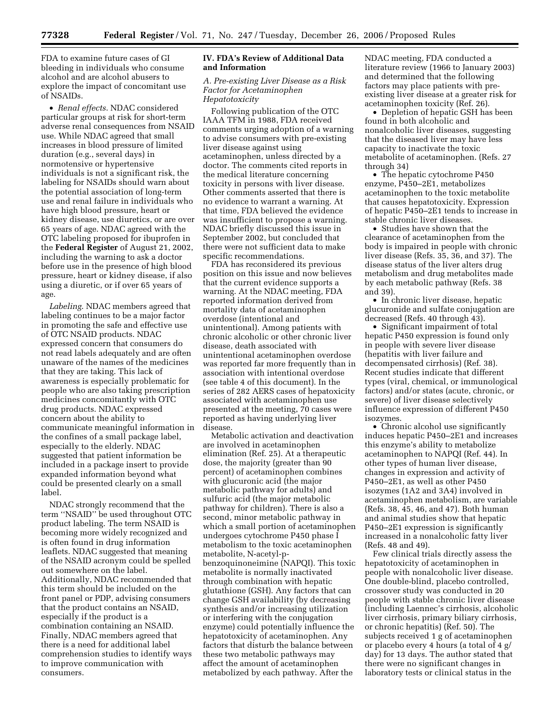FDA to examine future cases of GI bleeding in individuals who consume alcohol and are alcohol abusers to explore the impact of concomitant use of NSAIDs.

• *Renal effects*. NDAC considered particular groups at risk for short-term adverse renal consequences from NSAID use. While NDAC agreed that small increases in blood pressure of limited duration (e.g., several days) in normotensive or hypertensive individuals is not a significant risk, the labeling for NSAIDs should warn about the potential association of long-term use and renal failure in individuals who have high blood pressure, heart or kidney disease, use diuretics, or are over 65 years of age. NDAC agreed with the OTC labeling proposed for ibuprofen in the **Federal Register** of August 21, 2002, including the warning to ask a doctor before use in the presence of high blood pressure, heart or kidney disease, if also using a diuretic, or if over 65 years of age.

*Labeling*. NDAC members agreed that labeling continues to be a major factor in promoting the safe and effective use of OTC NSAID products. NDAC expressed concern that consumers do not read labels adequately and are often unaware of the names of the medicines that they are taking. This lack of awareness is especially problematic for people who are also taking prescription medicines concomitantly with OTC drug products. NDAC expressed concern about the ability to communicate meaningful information in the confines of a small package label, especially to the elderly. NDAC suggested that patient information be included in a package insert to provide expanded information beyond what could be presented clearly on a small label.

NDAC strongly recommend that the term ''NSAID'' be used throughout OTC product labeling. The term NSAID is becoming more widely recognized and is often found in drug information leaflets. NDAC suggested that meaning of the NSAID acronym could be spelled out somewhere on the label. Additionally, NDAC recommended that this term should be included on the front panel or PDP, advising consumers that the product contains an NSAID, especially if the product is a combination containing an NSAID. Finally, NDAC members agreed that there is a need for additional label comprehension studies to identify ways to improve communication with consumers.

## **IV. FDA's Review of Additional Data and Information**

*A. Pre-existing Liver Disease as a Risk Factor for Acetaminophen Hepatotoxicity* 

Following publication of the OTC IAAA TFM in 1988, FDA received comments urging adoption of a warning to advise consumers with pre-existing liver disease against using acetaminophen, unless directed by a doctor. The comments cited reports in the medical literature concerning toxicity in persons with liver disease. Other comments asserted that there is no evidence to warrant a warning. At that time, FDA believed the evidence was insufficient to propose a warning. NDAC briefly discussed this issue in September 2002, but concluded that there were not sufficient data to make specific recommendations.

FDA has reconsidered its previous position on this issue and now believes that the current evidence supports a warning. At the NDAC meeting, FDA reported information derived from mortality data of acetaminophen overdose (intentional and unintentional). Among patients with chronic alcoholic or other chronic liver disease, death associated with unintentional acetaminophen overdose was reported far more frequently than in association with intentional overdose (see table 4 of this document). In the series of 282 AERS cases of hepatoxicity associated with acetaminophen use presented at the meeting, 70 cases were reported as having underlying liver disease.

Metabolic activation and deactivation are involved in acetaminophen elimination (Ref. 25). At a therapeutic dose, the majority (greater than 90 percent) of acetaminophen combines with glucuronic acid (the major metabolic pathway for adults) and sulfuric acid (the major metabolic pathway for children). There is also a second, minor metabolic pathway in which a small portion of acetaminophen undergoes cytochrome P450 phase I metabolism to the toxic acetaminophen metabolite, N-acetyl-pbenzoquinoneimine (NAPQI). This toxic metabolite is normally inactivated through combination with hepatic glutathione (GSH). Any factors that can change GSH availability (by decreasing synthesis and/or increasing utilization or interfering with the conjugation enzyme) could potentially influence the hepatotoxicity of acetaminophen. Any factors that disturb the balance between these two metabolic pathways may affect the amount of acetaminophen metabolized by each pathway. After the

NDAC meeting, FDA conducted a literature review (1966 to January 2003) and determined that the following factors may place patients with preexisting liver disease at a greater risk for acetaminophen toxicity (Ref. 26).

• Depletion of hepatic GSH has been found in both alcoholic and nonalcoholic liver diseases, suggesting that the diseased liver may have less capacity to inactivate the toxic metabolite of acetaminophen. (Refs. 27 through 34)

• The hepatic cytochrome P450 enzyme, P450–2E1, metabolizes acetaminophen to the toxic metabolite that causes hepatotoxicity. Expression of hepatic P450–2E1 tends to increase in stable chronic liver diseases.

• Studies have shown that the clearance of acetaminophen from the body is impaired in people with chronic liver disease (Refs. 35, 36, and 37). The disease status of the liver alters drug metabolism and drug metabolites made by each metabolic pathway (Refs. 38 and 39).

• In chronic liver disease, hepatic glucuronide and sulfate conjugation are decreased (Refs. 40 through 43).

• Significant impairment of total hepatic P450 expression is found only in people with severe liver disease (hepatitis with liver failure and decompensated cirrhosis) (Ref. 38). Recent studies indicate that different types (viral, chemical, or immunological factors) and/or states (acute, chronic, or severe) of liver disease selectively influence expression of different P450 isozymes.

• Chronic alcohol use significantly induces hepatic P450–2E1 and increases this enzyme's ability to metabolize acetaminophen to NAPQI (Ref. 44). In other types of human liver disease, changes in expression and activity of P450–2E1, as well as other P450 isozymes (1A2 and 3A4) involved in acetaminophen metabolism, are variable (Refs. 38, 45, 46, and 47). Both human and animal studies show that hepatic P450–2E1 expression is significantly increased in a nonalcoholic fatty liver (Refs. 48 and 49).

Few clinical trials directly assess the hepatotoxicity of acetaminophen in people with nonalcoholic liver disease. One double-blind, placebo controlled, crossover study was conducted in 20 people with stable chronic liver disease (including Laennec's cirrhosis, alcoholic liver cirrhosis, primary biliary cirrhosis, or chronic hepatitis) (Ref. 50). The subjects received 1 g of acetaminophen or placebo every 4 hours (a total of 4 g/ day) for 13 days. The author stated that there were no significant changes in laboratory tests or clinical status in the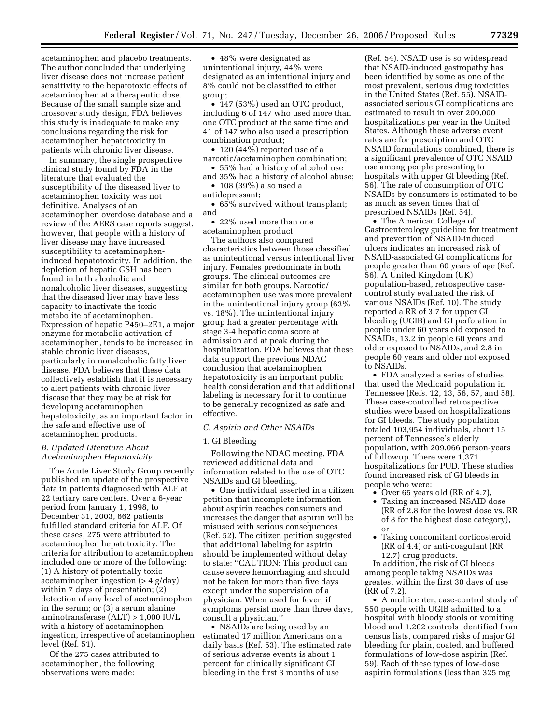acetaminophen and placebo treatments. The author concluded that underlying liver disease does not increase patient sensitivity to the hepatotoxic effects of acetaminophen at a therapeutic dose. Because of the small sample size and crossover study design, FDA believes this study is inadequate to make any conclusions regarding the risk for acetaminophen hepatotoxicity in patients with chronic liver disease.

In summary, the single prospective clinical study found by FDA in the literature that evaluated the susceptibility of the diseased liver to acetaminophen toxicity was not definitive. Analyses of an acetaminophen overdose database and a review of the AERS case reports suggest, however, that people with a history of liver disease may have increased susceptibility to acetaminopheninduced hepatotoxicity. In addition, the depletion of hepatic GSH has been found in both alcoholic and nonalcoholic liver diseases, suggesting that the diseased liver may have less capacity to inactivate the toxic metabolite of acetaminophen. Expression of hepatic P450–2E1, a major enzyme for metabolic activation of acetaminophen, tends to be increased in stable chronic liver diseases, particularly in nonalcoholic fatty liver disease. FDA believes that these data collectively establish that it is necessary to alert patients with chronic liver disease that they may be at risk for developing acetaminophen hepatotoxicity, as an important factor in the safe and effective use of acetaminophen products.

# *B. Updated Literature About Acetaminophen Hepatoxicity*

The Acute Liver Study Group recently published an update of the prospective data in patients diagnosed with ALF at 22 tertiary care centers. Over a 6-year period from January 1, 1998, to December 31, 2003, 662 patients fulfilled standard criteria for ALF. Of these cases, 275 were attributed to acetaminophen hepatotoxicity. The criteria for attribution to acetaminophen included one or more of the following: (1) A history of potentially toxic acetaminophen ingestion (> 4 g/day) within 7 days of presentation; (2) detection of any level of acetaminophen in the serum; or (3) a serum alanine aminotransferase (ALT) > 1,000 IU/L with a history of acetaminophen ingestion, irrespective of acetaminophen level (Ref. 51).

Of the 275 cases attributed to acetaminophen, the following observations were made:

• 48% were designated as unintentional injury, 44% were designated as an intentional injury and 8% could not be classified to either group;

• 147 (53%) used an OTC product, including 6 of 147 who used more than one OTC product at the same time and 41 of 147 who also used a prescription combination product;

• 120  $(44\%)$  reported use of a narcotic/acetaminophen combination;

• 55% had a history of alcohol use and 35% had a history of alcohol abuse;

• 108 (39%) also used a antidepressant;

• 65% survived without transplant; and

• 22% used more than one acetaminophen product.

The authors also compared characteristics between those classified as unintentional versus intentional liver injury. Females predominate in both groups. The clinical outcomes are similar for both groups. Narcotic/ acetaminophen use was more prevalent in the unintentional injury group (63% vs. 18%). The unintentional injury group had a greater percentage with stage 3-4 hepatic coma score at admission and at peak during the hospitalization. FDA believes that these data support the previous NDAC conclusion that acetaminophen hepatotoxicity is an important public health consideration and that additional labeling is necessary for it to continue to be generally recognized as safe and effective.

### *C. Aspirin and Other NSAIDs*

# 1. GI Bleeding

Following the NDAC meeting, FDA reviewed additional data and information related to the use of OTC NSAIDs and GI bleeding.

• One individual asserted in a citizen petition that incomplete information about aspirin reaches consumers and increases the danger that aspirin will be misused with serious consequences (Ref. 52). The citizen petition suggested that additional labeling for aspirin should be implemented without delay to state: ''CAUTION: This product can cause severe hemorrhaging and should not be taken for more than five days except under the supervision of a physician. When used for fever, if symptoms persist more than three days, consult a physician.''

• NSAIDs are being used by an estimated 17 million Americans on a daily basis (Ref. 53). The estimated rate of serious adverse events is about 1 percent for clinically significant GI bleeding in the first 3 months of use

(Ref. 54). NSAID use is so widespread that NSAID-induced gastropathy has been identified by some as one of the most prevalent, serious drug toxicities in the United States (Ref. 55). NSAIDassociated serious GI complications are estimated to result in over 200,000 hospitalizations per year in the United States. Although these adverse event rates are for prescription and OTC NSAID formulations combined, there is a significant prevalence of OTC NSAID use among people presenting to hospitals with upper GI bleeding (Ref. 56). The rate of consumption of OTC NSAIDs by consumers is estimated to be as much as seven times that of prescribed NSAIDs (Ref. 54).

• The American College of Gastroenterology guideline for treatment and prevention of NSAID-induced ulcers indicates an increased risk of NSAID-associated GI complications for people greater than 60 years of age (Ref. 56). A United Kingdom (UK) population-based, retrospective casecontrol study evaluated the risk of various NSAIDs (Ref. 10). The study reported a RR of 3.7 for upper GI bleeding (UGIB) and GI perforation in people under 60 years old exposed to NSAIDs, 13.2 in people 60 years and older exposed to NSAIDs, and 2.8 in people 60 years and older not exposed to NSAIDs.

• FDA analyzed a series of studies that used the Medicaid population in Tennessee (Refs. 12, 13, 56, 57, and 58). These case-controlled retrospective studies were based on hospitalizations for GI bleeds. The study population totaled 103,954 individuals, about 15 percent of Tennessee's elderly population, with 209,066 person-years of followup. There were 1,371 hospitalizations for PUD. These studies found increased risk of GI bleeds in people who were:

- Over 65 years old (RR of 4.7),
- Taking an increased NSAID dose (RR of 2.8 for the lowest dose vs. RR of 8 for the highest dose category), or
- Taking concomitant corticosteroid (RR of 4.4) or anti-coagulant (RR 12.7) drug products.

In addition, the risk of GI bleeds among people taking NSAIDs was greatest within the first 30 days of use (RR of 7.2).

• A multicenter, case-control study of 550 people with UGIB admitted to a hospital with bloody stools or vomiting blood and 1,202 controls identified from census lists, compared risks of major GI bleeding for plain, coated, and buffered formulations of low-dose aspirin (Ref. 59). Each of these types of low-dose aspirin formulations (less than 325 mg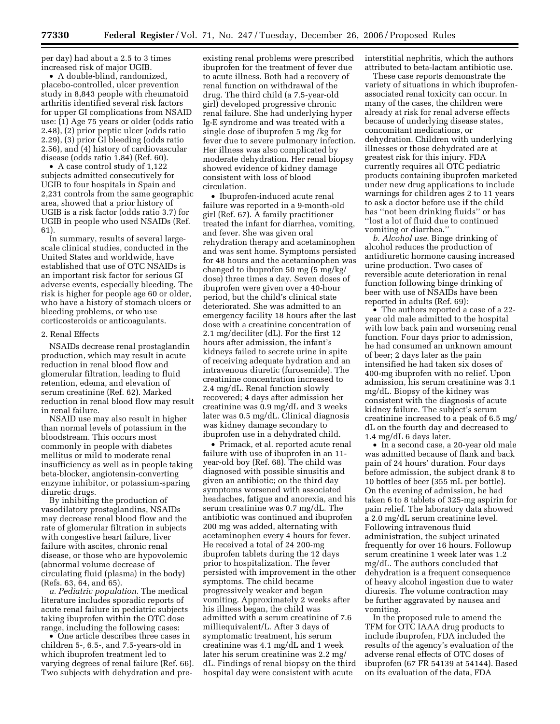per day) had about a 2.5 to 3 times increased risk of major UGIB.

• A double-blind, randomized, placebo-controlled, ulcer prevention study in 8,843 people with rheumatoid arthritis identified several risk factors for upper GI complications from NSAID use: (1) Age 75 years or older (odds ratio 2.48), (2) prior peptic ulcer (odds ratio 2.29), (3) prior GI bleeding (odds ratio 2.56), and (4) history of cardiovascular disease (odds ratio 1.84) (Ref. 60).

• A case control study of 1,122 subjects admitted consecutively for UGIB to four hospitals in Spain and 2,231 controls from the same geographic area, showed that a prior history of UGIB is a risk factor (odds ratio 3.7) for UGIB in people who used NSAIDs (Ref. 61).

In summary, results of several largescale clinical studies, conducted in the United States and worldwide, have established that use of OTC NSAIDs is an important risk factor for serious GI adverse events, especially bleeding. The risk is higher for people age 60 or older, who have a history of stomach ulcers or bleeding problems, or who use corticosteroids or anticoagulants.

## 2. Renal Effects

NSAIDs decrease renal prostaglandin production, which may result in acute reduction in renal blood flow and glomerular filtration, leading to fluid retention, edema, and elevation of serum creatinine (Ref. 62). Marked reduction in renal blood flow may result in renal failure.

NSAID use may also result in higher than normal levels of potassium in the bloodstream. This occurs most commonly in people with diabetes mellitus or mild to moderate renal insufficiency as well as in people taking beta-blocker, angiotensin-converting enzyme inhibitor, or potassium-sparing diuretic drugs.

By inhibiting the production of vasodilatory prostaglandins, NSAIDs may decrease renal blood flow and the rate of glomerular filtration in subjects with congestive heart failure, liver failure with ascites, chronic renal disease, or those who are hypovolemic (abnormal volume decrease of circulating fluid (plasma) in the body) (Refs. 63, 64, and 65).

*a. Pediatric population*. The medical literature includes sporadic reports of acute renal failure in pediatric subjects taking ibuprofen within the OTC dose range, including the following cases:

• One article describes three cases in children 5-, 6.5-, and 7.5-years-old in which ibuprofen treatment led to varying degrees of renal failure (Ref. 66). Two subjects with dehydration and pre-

existing renal problems were prescribed ibuprofen for the treatment of fever due to acute illness. Both had a recovery of renal function on withdrawal of the drug. The third child (a 7.5-year-old girl) developed progressive chronic renal failure. She had underlying hyper Ig-E syndrome and was treated with a single dose of ibuprofen 5 mg /kg for fever due to severe pulmonary infection. Her illness was also complicated by moderate dehydration. Her renal biopsy showed evidence of kidney damage consistent with loss of blood circulation.

• Ibuprofen-induced acute renal failure was reported in a 9-month-old girl (Ref. 67). A family practitioner treated the infant for diarrhea, vomiting, and fever. She was given oral rehydration therapy and acetaminophen and was sent home. Symptoms persisted for 48 hours and the acetaminophen was changed to ibuprofen 50 mg (5 mg/kg/ dose) three times a day. Seven doses of ibuprofen were given over a 40-hour period, but the child's clinical state deteriorated. She was admitted to an emergency facility 18 hours after the last dose with a creatinine concentration of 2.1 mg/deciliter (dL). For the first 12 hours after admission, the infant's kidneys failed to secrete urine in spite of receiving adequate hydration and an intravenous diuretic (furosemide). The creatinine concentration increased to 2.4 mg/dL. Renal function slowly recovered; 4 days after admission her creatinine was 0.9 mg/dL and 3 weeks later was 0.5 mg/dL. Clinical diagnosis was kidney damage secondary to ibuprofen use in a dehydrated child.

• Primack, et al. reported acute renal failure with use of ibuprofen in an 11 year-old boy (Ref. 68). The child was diagnosed with possible sinusitis and given an antibiotic; on the third day symptoms worsened with associated headaches, fatigue and anorexia, and his serum creatinine was 0.7 mg/dL. The antibiotic was continued and ibuprofen 200 mg was added, alternating with acetaminophen every 4 hours for fever. He received a total of 24 200-mg ibuprofen tablets during the 12 days prior to hospitalization. The fever persisted with improvement in the other symptoms. The child became progressively weaker and began vomiting. Approximately 2 weeks after his illness began, the child was admitted with a serum creatinine of 7.6 milliequivalent/L. After 3 days of symptomatic treatment, his serum creatinine was 4.1 mg/dL and 1 week later his serum creatinine was 2.2 mg/ dL. Findings of renal biopsy on the third hospital day were consistent with acute

interstitial nephritis, which the authors attributed to beta-lactam antibiotic use.

These case reports demonstrate the variety of situations in which ibuprofenassociated renal toxicity can occur. In many of the cases, the children were already at risk for renal adverse effects because of underlying disease states, concomitant medications, or dehydration. Children with underlying illnesses or those dehydrated are at greatest risk for this injury. FDA currently requires all OTC pediatric products containing ibuprofen marketed under new drug applications to include warnings for children ages 2 to 11 years to ask a doctor before use if the child has ''not been drinking fluids'' or has ''lost a lot of fluid due to continued vomiting or diarrhea.''

*b. Alcohol use*. Binge drinking of alcohol reduces the production of antidiuretic hormone causing increased urine production. Two cases of reversible acute deterioration in renal function following binge drinking of beer with use of NSAIDs have been reported in adults (Ref. 69):

• The authors reported a case of a 22 year old male admitted to the hospital with low back pain and worsening renal function. Four days prior to admission, he had consumed an unknown amount of beer; 2 days later as the pain intensified he had taken six doses of 400-mg ibuprofen with no relief. Upon admission, his serum creatinine was 3.1 mg/dL. Biopsy of the kidney was consistent with the diagnosis of acute kidney failure. The subject's serum creatinine increased to a peak of 6.5 mg/ dL on the fourth day and decreased to 1.4 mg/dL 6 days later.

• In a second case, a 20-year old male was admitted because of flank and back pain of 24 hours' duration. Four days before admission, the subject drank 8 to 10 bottles of beer (355 mL per bottle). On the evening of admission, he had taken 6 to 8 tablets of 325-mg aspirin for pain relief. The laboratory data showed a 2.0 mg/dL serum creatinine level. Following intravenous fluid administration, the subject urinated frequently for over 16 hours. Followup serum creatinine 1 week later was 1.2 mg/dL. The authors concluded that dehydration is a frequent consequence of heavy alcohol ingestion due to water diuresis. The volume contraction may be further aggravated by nausea and vomiting.

In the proposed rule to amend the TFM for OTC IAAA drug products to include ibuprofen, FDA included the results of the agency's evaluation of the adverse renal effects of OTC doses of ibuprofen (67 FR 54139 at 54144). Based on its evaluation of the data, FDA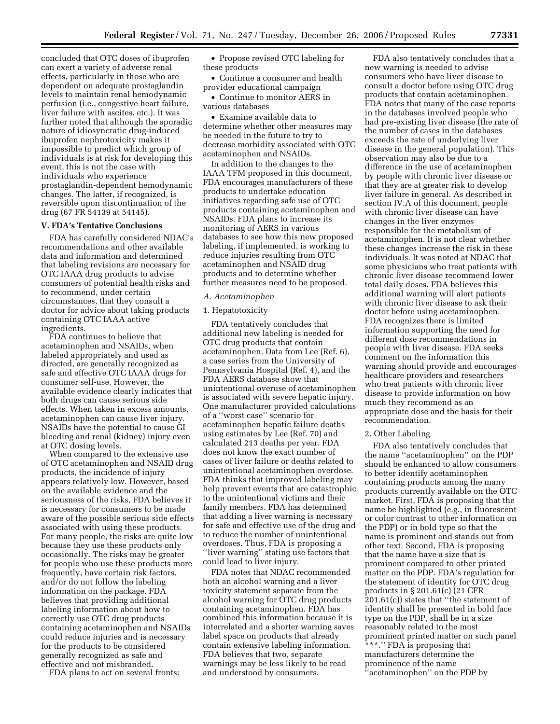concluded that OTC doses of ibuprofen can exert a variety of adverse renal effects, particularly in those who are dependent on adequate prostaglandin levels to maintain renal hemodynamic perfusion (i.e., congestive heart failure, liver failure with ascites, etc.). It was further noted that although the sporadic nature of idiosyncratic drug-induced ibuprofen nephrotoxicity makes it impossible to predict which group of individuals is at risk for developing this event, this is not the case with individuals who experience prostaglandin-dependent hemodynamic changes. The latter, if recognized, is reversible upon discontinuation of the drug (67 FR 54139 at 54145).

#### **V. FDA's Tentative Conclusions**

FDA has carefully considered NDAC's recommendations and other available data and information and determined that labeling revisions are necessary for OTC IAAA drug products to advise consumers of potential health risks and to recommend, under certain circumstances, that they consult a doctor for advice about taking products containing OTC IAAA active ingredients.

FDA continues to believe that acetaminophen and NSAIDs, when labeled appropriately and used as directed, are generally recognized as safe and effective OTC IAAA drugs for consumer self-use. However, the available evidence clearly indicates that both drugs can cause serious side effects. When taken in excess amounts, acetaminophen can cause liver injury. NSAIDs have the potential to cause GI bleeding and renal (kidney) injury even at OTC dosing levels.

When compared to the extensive use of OTC acetaminophen and NSAID drug products, the incidence of injury appears relatively low. However, based on the available evidence and the seriousness of the risks, FDA believes it is necessary for consumers to be made aware of the possible serious side effects associated with using these products. For many people, the risks are quite low because they use these products only occasionally. The risks may be greater for people who use these products more frequently, have certain risk factors, and/or do not follow the labeling information on the package. FDA believes that providing additional labeling information about how to correctly use OTC drug products containing acetaminophen and NSAIDs could reduce injuries and is necessary for the products to be considered generally recognized as safe and effective and not misbranded.

FDA plans to act on several fronts:

• Propose revised OTC labeling for these products

• Continue a consumer and health provider educational campaign

• Continue to monitor AERS in various databases

• Examine available data to determine whether other measures may be needed in the future to try to decrease morbidity associated with OTC acetaminophen and NSAIDs.

In addition to the changes to the IAAA TFM proposed in this document, FDA encourages manufacturers of these products to undertake education initiatives regarding safe use of OTC products containing acetaminophen and NSAIDs. FDA plans to increase its monitoring of AERS in various databases to see how this new proposed labeling, if implemented, is working to reduce injuries resulting from OTC acetaminophen and NSAID drug products and to determine whether further measures need to be proposed.

## *A. Acetaminophen*

### 1. Hepatotoxicity

FDA tentatively concludes that additional new labeling is needed for OTC drug products that contain acetaminophen. Data from Lee (Ref. 6), a case series from the University of Pennsylvania Hospital (Ref. 4), and the FDA AERS database show that unintentional overuse of acetaminophen is associated with severe hepatic injury. One manufacturer provided calculations of a ''worst case'' scenario for acetaminophen hepatic failure deaths using estimates by Lee (Ref. 70) and calculated 213 deaths per year. FDA does not know the exact number of cases of liver failure or deaths related to unintentional acetaminophen overdose. FDA thinks that improved labeling may help prevent events that are catastrophic to the unintentional victims and their family members. FDA has determined that adding a liver warning is necessary for safe and effective use of the drug and to reduce the number of unintentional overdoses. Thus, FDA is proposing a ''liver warning'' stating use factors that could lead to liver injury.

FDA notes that NDAC recommended both an alcohol warning and a liver toxicity statement separate from the alcohol warning for OTC drug products containing acetaminophen. FDA has combined this information because it is interrelated and a shorter warning saves label space on products that already contain extensive labeling information. FDA believes that two, separate warnings may be less likely to be read and understood by consumers.

FDA also tentatively concludes that a new warning is needed to advise consumers who have liver disease to consult a doctor before using OTC drug products that contain acetaminophen. FDA notes that many of the case reports in the databases involved people who had pre-existing liver disease (the rate of the number of cases in the databases exceeds the rate of underlying liver disease in the general population). This observation may also be due to a difference in the use of acetaminophen by people with chronic liver disease or that they are at greater risk to develop liver failure in general. As described in section IV.A of this document, people with chronic liver disease can have changes in the liver enzymes responsible for the metabolism of acetaminophen. It is not clear whether these changes increase the risk in these individuals. It was noted at NDAC that some physicians who treat patients with chronic liver disease recommend lower total daily doses. FDA believes this additional warning will alert patients with chronic liver disease to ask their doctor before using acetaminophen. FDA recognizes there is limited information supporting the need for different dose recommendations in people with liver disease. FDA seeks comment on the information this warning should provide and encourages healthcare providers and researchers who treat patients with chronic liver disease to provide information on how much they recommend as an appropriate dose and the basis for their recommendation.

# 2. Other Labeling

FDA also tentatively concludes that the name ''acetaminophen'' on the PDP should be enhanced to allow consumers to better identify acetaminophen containing products among the many products currently available on the OTC market. First, FDA is proposing that the name be highlighted (e.g., in fluorescent or color contrast to other information on the PDP) or in bold type so that the name is prominent and stands out from other text. Second, FDA is proposing that the name have a size that is prominent compared to other printed matter on the PDP. FDA's regulation for the statement of identity for OTC drug products in § 201.61(c) (21 CFR 201.61(c)) states that ''the statement of identity shall be presented in bold face type on the PDP, shall be in a size reasonably related to the most prominent printed matter on such panel \*\*\*.'' FDA is proposing that manufacturers determine the prominence of the name ''acetaminophen'' on the PDP by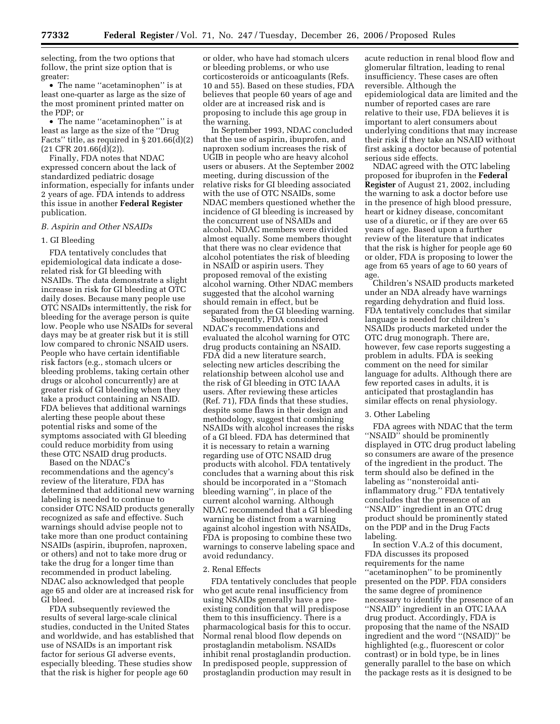selecting, from the two options that follow, the print size option that is greater:

• The name ''acetaminophen'' is at least one-quarter as large as the size of the most prominent printed matter on the PDP; or

• The name "acetaminophen" is at least as large as the size of the ''Drug Facts" title, as required in  $\S 201.66(d)(2)$  $(21$  CFR 201.66 $(d)(2)$ ).

Finally, FDA notes that NDAC expressed concern about the lack of standardized pediatric dosage information, especially for infants under 2 years of age. FDA intends to address this issue in another **Federal Register**  publication.

### *B. Aspirin and Other NSAIDs*

## 1. GI Bleeding

FDA tentatively concludes that epidemiological data indicate a doserelated risk for GI bleeding with NSAIDs. The data demonstrate a slight increase in risk for GI bleeding at OTC daily doses. Because many people use OTC NSAIDs intermittently, the risk for bleeding for the average person is quite low. People who use NSAIDs for several days may be at greater risk but it is still low compared to chronic NSAID users. People who have certain identifiable risk factors (e.g., stomach ulcers or bleeding problems, taking certain other drugs or alcohol concurrently) are at greater risk of GI bleeding when they take a product containing an NSAID. FDA believes that additional warnings alerting these people about these potential risks and some of the symptoms associated with GI bleeding could reduce morbidity from using these OTC NSAID drug products.

Based on the NDAC's recommendations and the agency's review of the literature, FDA has determined that additional new warning labeling is needed to continue to consider OTC NSAID products generally recognized as safe and effective. Such warnings should advise people not to take more than one product containing NSAIDs (aspirin, ibuprofen, naproxen, or others) and not to take more drug or take the drug for a longer time than recommended in product labeling. NDAC also acknowledged that people age 65 and older are at increased risk for GI bleed.

FDA subsequently reviewed the results of several large-scale clinical studies, conducted in the United States and worldwide, and has established that use of NSAIDs is an important risk factor for serious GI adverse events, especially bleeding. These studies show that the risk is higher for people age 60

or older, who have had stomach ulcers or bleeding problems, or who use corticosteroids or anticoagulants (Refs. 10 and 55). Based on these studies, FDA believes that people 60 years of age and older are at increased risk and is proposing to include this age group in the warning.

In September 1993, NDAC concluded that the use of aspirin, ibuprofen, and naproxen sodium increases the risk of UGIB in people who are heavy alcohol users or abusers. At the September 2002 meeting, during discussion of the relative risks for GI bleeding associated with the use of OTC NSAIDs, some NDAC members questioned whether the incidence of GI bleeding is increased by the concurrent use of NSAIDs and alcohol. NDAC members were divided almost equally. Some members thought that there was no clear evidence that alcohol potentiates the risk of bleeding in NSAID or aspirin users. They proposed removal of the existing alcohol warning. Other NDAC members suggested that the alcohol warning should remain in effect, but be separated from the GI bleeding warning.

Subsequently, FDA considered NDAC's recommendations and evaluated the alcohol warning for OTC drug products containing an NSAID. FDA did a new literature search, selecting new articles describing the relationship between alcohol use and the risk of GI bleeding in OTC IAAA users. After reviewing these articles (Ref. 71), FDA finds that these studies, despite some flaws in their design and methodology, suggest that combining NSAIDs with alcohol increases the risks of a GI bleed. FDA has determined that it is necessary to retain a warning regarding use of OTC NSAID drug products with alcohol. FDA tentatively concludes that a warning about this risk should be incorporated in a ''Stomach bleeding warning'', in place of the current alcohol warning. Although NDAC recommended that a GI bleeding warning be distinct from a warning against alcohol ingestion with NSAIDs, FDA is proposing to combine these two warnings to conserve labeling space and avoid redundancy.

#### 2. Renal Effects

FDA tentatively concludes that people who get acute renal insufficiency from using NSAIDs generally have a preexisting condition that will predispose them to this insufficiency. There is a pharmacological basis for this to occur. Normal renal blood flow depends on prostaglandin metabolism. NSAIDs inhibit renal prostaglandin production. In predisposed people, suppression of prostaglandin production may result in

acute reduction in renal blood flow and glomerular filtration, leading to renal insufficiency. These cases are often reversible. Although the epidemiological data are limited and the number of reported cases are rare relative to their use, FDA believes it is important to alert consumers about underlying conditions that may increase their risk if they take an NSAID without first asking a doctor because of potential serious side effects.

NDAC agreed with the OTC labeling proposed for ibuprofen in the **Federal Register** of August 21, 2002, including the warning to ask a doctor before use in the presence of high blood pressure, heart or kidney disease, concomitant use of a diuretic, or if they are over 65 years of age. Based upon a further review of the literature that indicates that the risk is higher for people age 60 or older, FDA is proposing to lower the age from 65 years of age to 60 years of age.

Children's NSAID products marketed under an NDA already have warnings regarding dehydration and fluid loss. FDA tentatively concludes that similar language is needed for children's NSAIDs products marketed under the OTC drug monograph. There are, however, few case reports suggesting a problem in adults. FDA is seeking comment on the need for similar language for adults. Although there are few reported cases in adults, it is anticipated that prostaglandin has similar effects on renal physiology.

#### 3. Other Labeling

FDA agrees with NDAC that the term ''NSAID'' should be prominently displayed in OTC drug product labeling so consumers are aware of the presence of the ingredient in the product. The term should also be defined in the labeling as ''nonsteroidal antiinflammatory drug.'' FDA tentatively concludes that the presence of an ''NSAID'' ingredient in an OTC drug product should be prominently stated on the PDP and in the Drug Facts labeling.

In section V.A.2 of this document, FDA discusses its proposed requirements for the name ''acetaminophen'' to be prominently presented on the PDP. FDA considers the same degree of prominence necessary to identify the presence of an ''NSAID'' ingredient in an OTC IAAA drug product. Accordingly, FDA is proposing that the name of the NSAID ingredient and the word ''(NSAID)'' be highlighted (e.g., fluorescent or color contrast) or in bold type, be in lines generally parallel to the base on which the package rests as it is designed to be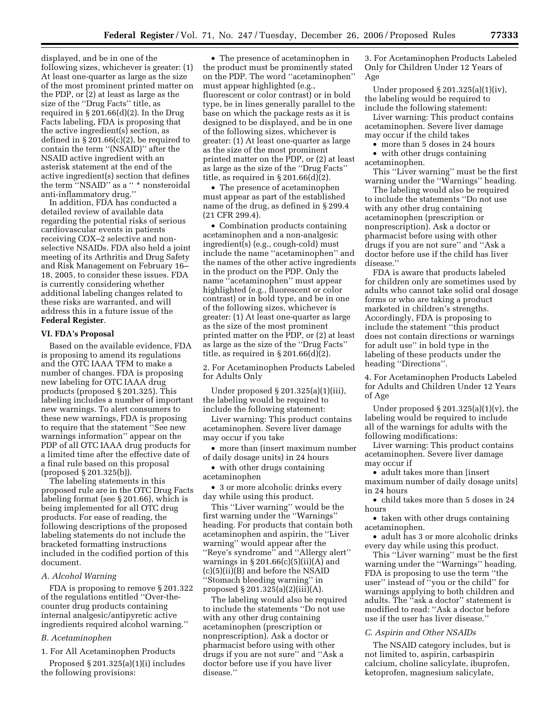displayed, and be in one of the following sizes, whichever is greater: (1) At least one-quarter as large as the size of the most prominent printed matter on the PDP, or (2) at least as large as the size of the ''Drug Facts'' title, as required in § 201.66(d)(2). In the Drug Facts labeling, FDA is proposing that the active ingredient(s) section, as defined in § 201.66(c)(2), be required to contain the term ''(NSAID)'' after the NSAID active ingredient with an asterisk statement at the end of the active ingredient(s) section that defines the term "NSAID" as a " \* nonsteroidal anti-inflammatory drug.''

In addition, FDA has conducted a detailed review of available data regarding the potential risks of serious cardiovascular events in patients receiving COX–2 selective and nonselective NSAIDs. FDA also held a joint meeting of its Arthritis and Drug Safety and Risk Management on February 16– 18, 2005, to consider these issues. FDA is currently considering whether additional labeling changes related to these risks are warranted, and will address this in a future issue of the **Federal Register**.

#### **VI. FDA's Proposal**

Based on the available evidence, FDA is proposing to amend its regulations and the OTC IAAA TFM to make a number of changes. FDA is proposing new labeling for OTC IAAA drug products (proposed § 201.325). This labeling includes a number of important new warnings. To alert consumers to these new warnings, FDA is proposing to require that the statement ''See new warnings information'' appear on the PDP of all OTC IAAA drug products for a limited time after the effective date of a final rule based on this proposal (proposed § 201.325(b)).

The labeling statements in this proposed rule are in the OTC Drug Facts labeling format (see § 201.66), which is being implemented for all OTC drug products. For ease of reading, the following descriptions of the proposed labeling statements do not include the bracketed formatting instructions included in the codified portion of this document.

#### *A. Alcohol Warning*

FDA is proposing to remove § 201.322 of the regulations entitled ''Over-thecounter drug products containing internal analgesic/antipyretic active ingredients required alcohol warning.''

#### *B. Acetaminophen*

1. For All Acetaminophen Products

Proposed  $\S 201.325(a)(1)(i)$  includes the following provisions:

• The presence of acetaminophen in the product must be prominently stated on the PDP. The word ''acetaminophen'' must appear highlighted (e.g., fluorescent or color contrast) or in bold type, be in lines generally parallel to the base on which the package rests as it is designed to be displayed, and be in one of the following sizes, whichever is greater: (1) At least one-quarter as large as the size of the most prominent printed matter on the PDP, or (2) at least as large as the size of the ''Drug Facts'' title, as required in § 201.66(d)(2).

• The presence of acetaminophen must appear as part of the established name of the drug, as defined in § 299.4 (21 CFR 299.4).

• Combination products containing acetaminophen and a non-analgesic ingredient(s) (e.g., cough-cold) must include the name ''acetaminophen'' and the names of the other active ingredients in the product on the PDP. Only the name ''acetaminophen'' must appear highlighted (e.g., fluorescent or color contrast) or in bold type, and be in one of the following sizes, whichever is greater: (1) At least one-quarter as large as the size of the most prominent printed matter on the PDP, or (2) at least as large as the size of the ''Drug Facts'' title, as required in  $\S 201.66(d)(2)$ .

2. For Acetaminophen Products Labeled for Adults Only

Under proposed § 201.325(a)(1)(iii), the labeling would be required to include the following statement:

Liver warning: This product contains acetaminophen. Severe liver damage may occur if you take

• more than (insert maximum number of daily dosage units) in 24 hours

• with other drugs containing acetaminophen

• 3 or more alcoholic drinks every day while using this product.

This ''Liver warning'' would be the first warning under the ''Warnings'' heading. For products that contain both acetaminophen and aspirin, the ''Liver warning'' would appear after the ''Reye's syndrome'' and ''Allergy alert'' warnings in  $\S 201.66(c)(5)(ii)(A)$  and (c)(5)(ii)(B) and before the NSAID ''Stomach bleeding warning'' in proposed § 201.325(a)(2)(iii)(A).

The labeling would also be required to include the statements ''Do not use with any other drug containing acetaminophen (prescription or nonprescription). Ask a doctor or pharmacist before using with other drugs if you are not sure'' and ''Ask a doctor before use if you have liver disease.''

3. For Acetaminophen Products Labeled Only for Children Under 12 Years of Age

Under proposed § 201.325(a)(1)(iv), the labeling would be required to include the following statement:

Liver warning: This product contains acetaminophen. Severe liver damage may occur if the child takes

• more than 5 doses in 24 hours

• with other drugs containing acetaminophen.

This ''Liver warning'' must be the first warning under the ''Warnings'' heading.

The labeling would also be required to include the statements ''Do not use with any other drug containing acetaminophen (prescription or nonprescription). Ask a doctor or pharmacist before using with other drugs if you are not sure'' and ''Ask a doctor before use if the child has liver disease.''

FDA is aware that products labeled for children only are sometimes used by adults who cannot take solid oral dosage forms or who are taking a product marketed in children's strengths. Accordingly, FDA is proposing to include the statement ''this product does not contain directions or warnings for adult use'' in bold type in the labeling of these products under the heading "Directions".

4. For Acetaminophen Products Labeled for Adults and Children Under 12 Years of Age

Under proposed  $\S 201.325(a)(1)(v)$ , the labeling would be required to include all of the warnings for adults with the following modifications:

Liver warning: This product contains acetaminophen. Severe liver damage may occur if

• adult takes more than [insert maximum number of daily dosage units] in 24 hours

• child takes more than 5 doses in 24 hours

• taken with other drugs containing acetaminophen.

• adult has 3 or more alcoholic drinks every day while using this product.

This ''Liver warning'' must be the first warning under the ''Warnings'' heading. FDA is proposing to use the term ''the user'' instead of ''you or the child'' for warnings applying to both children and adults. The ''ask a doctor'' statement is modified to read: ''Ask a doctor before use if the user has liver disease.''

#### *C. Aspirin and Other NSAIDs*

The NSAID category includes, but is not limited to, aspirin, carbaspirin calcium, choline salicylate, ibuprofen, ketoprofen, magnesium salicylate,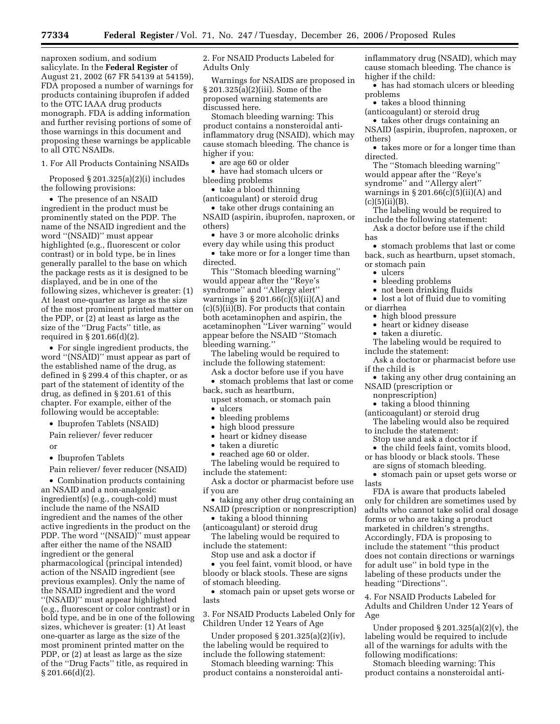naproxen sodium, and sodium salicylate. In the **Federal Register** of August 21, 2002 (67 FR 54139 at 54159), FDA proposed a number of warnings for products containing ibuprofen if added to the OTC IAAA drug products monograph. FDA is adding information and further revising portions of some of those warnings in this document and proposing these warnings be applicable to all OTC NSAIDs.

1. For All Products Containing NSAIDs

Proposed § 201.325(a)(2)(i) includes the following provisions:

• The presence of an NSAID ingredient in the product must be prominently stated on the PDP. The name of the NSAID ingredient and the word ''(NSAID)'' must appear highlighted (e.g., fluorescent or color contrast) or in bold type, be in lines generally parallel to the base on which the package rests as it is designed to be displayed, and be in one of the following sizes, whichever is greater: (1) At least one-quarter as large as the size of the most prominent printed matter on the PDP, or (2) at least as large as the size of the ''Drug Facts'' title, as required in § 201.66(d)(2).

• For single ingredient products, the word ''(NSAID)'' must appear as part of the established name of the drug, as defined in § 299.4 of this chapter, or as part of the statement of identity of the drug, as defined in § 201.61 of this chapter. For example, either of the following would be acceptable:

• Ibuprofen Tablets (NSAID)

Pain reliever/ fever reducer or

• Ibuprofen Tablets

Pain reliever/ fever reducer (NSAID)

• Combination products containing an NSAID and a non-analgesic ingredient(s) (e.g., cough-cold) must include the name of the NSAID ingredient and the names of the other active ingredients in the product on the PDP. The word ''(NSAID)'' must appear after either the name of the NSAID ingredient or the general pharmacological (principal intended) action of the NSAID ingredient (see previous examples). Only the name of the NSAID ingredient and the word ''(NSAID)'' must appear highlighted (e.g., fluorescent or color contrast) or in bold type, and be in one of the following sizes, whichever is greater: (1) At least one-quarter as large as the size of the most prominent printed matter on the PDP, or (2) at least as large as the size of the ''Drug Facts'' title, as required in § 201.66(d)(2).

2. For NSAID Products Labeled for Adults Only

Warnings for NSAIDS are proposed in § 201.325(a)(2)(iii). Some of the proposed warning statements are discussed here.

Stomach bleeding warning: This product contains a nonsteroidal antiinflammatory drug (NSAID), which may cause stomach bleeding. The chance is higher if you:

• are age 60 or older

• have had stomach ulcers or bleeding problems

• take a blood thinning

(anticoagulant) or steroid drug • take other drugs containing an

NSAID (aspirin, ibuprofen, naproxen, or others)

• have 3 or more alcoholic drinks every day while using this product

• take more or for a longer time than directed.

This ''Stomach bleeding warning'' would appear after the ''Reye's syndrome'' and ''Allergy alert'' warnings in  $\S 201.66(c)(5)(ii)(A)$  and  $(c)(5)(ii)(B)$ . For products that contain both acetaminophen and aspirin, the acetaminophen ''Liver warning'' would appear before the NSAID ''Stomach bleeding warning.''

The labeling would be required to include the following statement:

Ask a doctor before use if you have

• stomach problems that last or come back, such as heartburn,

upset stomach, or stomach pain • ulcers

- 
- bleeding problems
- high blood pressure
- heart or kidney disease

• taken a diuretic

• reached age 60 or older. The labeling would be required to include the statement:

Ask a doctor or pharmacist before use if you are

• taking any other drug containing an NSAID (prescription or nonprescription)

• taking a blood thinning (anticoagulant) or steroid drug

The labeling would be required to include the statement:

Stop use and ask a doctor if

• you feel faint, vomit blood, or have bloody or black stools. These are signs of stomach bleeding.

• stomach pain or upset gets worse or lasts

3. For NSAID Products Labeled Only for Children Under 12 Years of Age

Under proposed § 201.325(a)(2)(iv), the labeling would be required to include the following statement:

Stomach bleeding warning: This product contains a nonsteroidal antiinflammatory drug (NSAID), which may cause stomach bleeding. The chance is higher if the child:

• has had stomach ulcers or bleeding problems

• takes a blood thinning

(anticoagulant) or steroid drug

• takes other drugs containing an NSAID (aspirin, ibuprofen, naproxen, or others)

• takes more or for a longer time than directed.

The ''Stomach bleeding warning'' would appear after the ''Reye's syndrome'' and ''Allergy alert'' warnings in  $\S 201.66(c)(5)(ii)(A)$  and  $(c)(5)(ii)(B).$ 

The labeling would be required to include the following statement:

Ask a doctor before use if the child has

• stomach problems that last or come back, such as heartburn, upset stomach, or stomach pain

• ulcers

- bleeding problems
- not been drinking fluids
- lost a lot of fluid due to vomiting

or diarrhea

- high blood pressure
- heart or kidney disease

• taken a diuretic.

The labeling would be required to include the statement:

Ask a doctor or pharmacist before use if the child is

• taking any other drug containing an NSAID (prescription or

nonprescription)

• taking a blood thinning

(anticoagulant) or steroid drug

The labeling would also be required to include the statement:

Stop use and ask a doctor if

• the child feels faint, vomits blood, or has bloody or black stools. These

are signs of stomach bleeding.

• stomach pain or upset gets worse or lasts

FDA is aware that products labeled only for children are sometimes used by adults who cannot take solid oral dosage forms or who are taking a product marketed in children's strengths. Accordingly, FDA is proposing to include the statement ''this product does not contain directions or warnings for adult use'' in bold type in the labeling of these products under the heading ''Directions''.

4. For NSAID Products Labeled for Adults and Children Under 12 Years of Age

Under proposed  $\S 201.325(a)(2)(v)$ , the labeling would be required to include all of the warnings for adults with the following modifications:

Stomach bleeding warning: This product contains a nonsteroidal anti-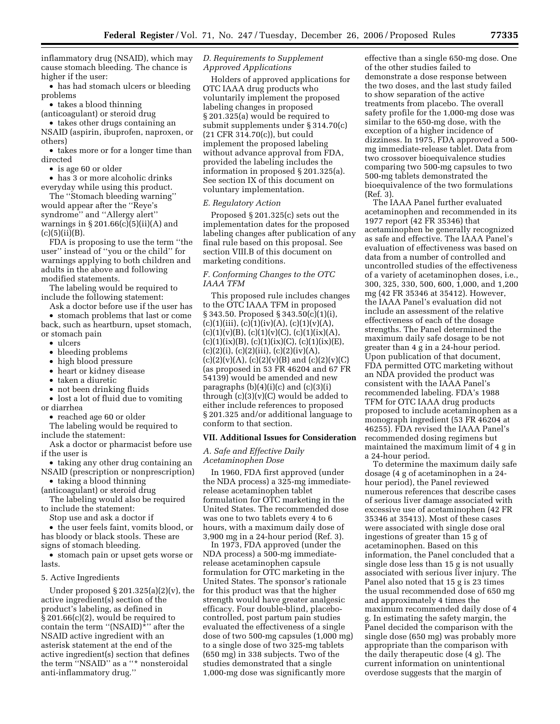inflammatory drug (NSAID), which may cause stomach bleeding. The chance is higher if the user:

• has had stomach ulcers or bleeding problems

• takes a blood thinning

(anticoagulant) or steroid drug

• takes other drugs containing an NSAID (aspirin, ibuprofen, naproxen, or others)

• takes more or for a longer time than directed

• is age 60 or older

• has 3 or more alcoholic drinks everyday while using this product.

The ''Stomach bleeding warning'' would appear after the ''Reye's syndrome'' and ''Allergy alert'' warnings in  $\S 201.66(c)(5)(ii)(A)$  and  $(c)(5)(ii)(B).$ 

FDA is proposing to use the term ''the user'' instead of ''you or the child'' for warnings applying to both children and adults in the above and following modified statements.

The labeling would be required to include the following statement:

Ask a doctor before use if the user has

• stomach problems that last or come back, such as heartburn, upset stomach, or stomach pain

- ulcers
- bleeding problems
- high blood pressure
- heart or kidney disease
- taken a diuretic
- not been drinking fluids

• lost a lot of fluid due to vomiting or diarrhea

• reached age 60 or older

The labeling would be required to include the statement:

Ask a doctor or pharmacist before use if the user is

• taking any other drug containing an

NSAID (prescription or nonprescription) • taking a blood thinning

(anticoagulant) or steroid drug

The labeling would also be required to include the statement:

Stop use and ask a doctor if

• the user feels faint, vomits blood, or has bloody or black stools. These are signs of stomach bleeding.

• stomach pain or upset gets worse or lasts.

#### 5. Active Ingredients

Under proposed  $\S 201.325(a)(2)(v)$ , the active ingredient(s) section of the product's labeling, as defined in  $\S 201.66(c)(2)$ , would be required to contain the term " $(NSAID)^*$ " after the NSAID active ingredient with an asterisk statement at the end of the active ingredient(s) section that defines the term ''NSAID'' as a ''\* nonsteroidal anti-inflammatory drug.''

# *D. Requirements to Supplement Approved Applications*

Holders of approved applications for OTC IAAA drug products who voluntarily implement the proposed labeling changes in proposed § 201.325(a) would be required to submit supplements under § 314.70(c) (21 CFR 314.70(c)), but could implement the proposed labeling without advance approval from FDA, provided the labeling includes the information in proposed § 201.325(a). See section IX of this document on voluntary implementation.

#### *E. Regulatory Action*

Proposed § 201.325(c) sets out the implementation dates for the proposed labeling changes after publication of any final rule based on this proposal. See section VIII.B of this document on marketing conditions.

# *F. Conforming Changes to the OTC IAAA TFM*

This proposed rule includes changes to the OTC IAAA TFM in proposed § 343.50. Proposed § 343.50(c)(1)(i),  $(c)(1)(iii), (c)(1)(iv)(A), (c)(1)(v)(A),$  $(c)(1)(v)(B), (c)(1)(v)(C), (c)(1)(ix)(A),$  $(c)(1)(ix)(B), (c)(1)(ix)(C), (c)(1)(ix)(E),$  $(c)(2)(i)$ ,  $(c)(2)(iii)$ ,  $(c)(2)(iv)(A)$ ,  $(c)(2)(v)(A), (c)(2)(v)(B)$  and  $(c)(2)(v)(C)$ (as proposed in 53 FR 46204 and 67 FR 54139) would be amended and new paragraphs  $(b)(4)(i)(c)$  and  $(c)(3)(i)$ through  $(c)(3)(v)(C)$  would be added to either include references to proposed § 201.325 and/or additional language to conform to that section.

### **VII. Additional Issues for Consideration**

### *A. Safe and Effective Daily Acetaminophen Dose*

In 1960, FDA first approved (under the NDA process) a 325-mg immediaterelease acetaminophen tablet formulation for OTC marketing in the United States. The recommended dose was one to two tablets every 4 to 6 hours, with a maximum daily dose of 3,900 mg in a 24-hour period (Ref. 3).

In 1973, FDA approved (under the NDA process) a 500-mg immediaterelease acetaminophen capsule formulation for OTC marketing in the United States. The sponsor's rationale for this product was that the higher strength would have greater analgesic efficacy. Four double-blind, placebocontrolled, post partum pain studies evaluated the effectiveness of a single dose of two 500-mg capsules (1,000 mg) to a single dose of two 325-mg tablets (650 mg) in 338 subjects. Two of the studies demonstrated that a single 1,000-mg dose was significantly more

effective than a single 650-mg dose. One of the other studies failed to demonstrate a dose response between the two doses, and the last study failed to show separation of the active treatments from placebo. The overall safety profile for the 1,000-mg dose was similar to the 650-mg dose, with the exception of a higher incidence of dizziness. In 1975, FDA approved a 500 mg immediate-release tablet. Data from two crossover bioequivalence studies comparing two 500-mg capsules to two 500-mg tablets demonstrated the bioequivalence of the two formulations (Ref. 3).

The IAAA Panel further evaluated acetaminophen and recommended in its 1977 report (42 FR 35346) that acetaminophen be generally recognized as safe and effective. The IAAA Panel's evaluation of effectiveness was based on data from a number of controlled and uncontrolled studies of the effectiveness of a variety of acetaminophen doses, i.e., 300, 325, 330, 500, 600, 1,000, and 1,200 mg (42 FR 35346 at 35412). However, the IAAA Panel's evaluation did not include an assessment of the relative effectiveness of each of the dosage strengths. The Panel determined the maximum daily safe dosage to be not greater than 4 g in a 24-hour period. Upon publication of that document, FDA permitted OTC marketing without an NDA provided the product was consistent with the IAAA Panel's recommended labeling. FDA's 1988 TFM for OTC IAAA drug products proposed to include acetaminophen as a monograph ingredient (53 FR 46204 at 46255). FDA revised the IAAA Panel's recommended dosing regimens but maintained the maximum limit of 4 g in a 24-hour period.

To determine the maximum daily safe dosage (4 g of acetaminophen in a 24 hour period), the Panel reviewed numerous references that describe cases of serious liver damage associated with excessive use of acetaminophen (42 FR 35346 at 35413). Most of these cases were associated with single dose oral ingestions of greater than 15 g of acetaminophen. Based on this information, the Panel concluded that a single dose less than 15 g is not usually associated with serious liver injury. The Panel also noted that 15 g is 23 times the usual recommended dose of 650 mg and approximately 4 times the maximum recommended daily dose of 4 g. In estimating the safety margin, the Panel decided the comparison with the single dose (650 mg) was probably more appropriate than the comparison with the daily therapeutic dose (4 g). The current information on unintentional overdose suggests that the margin of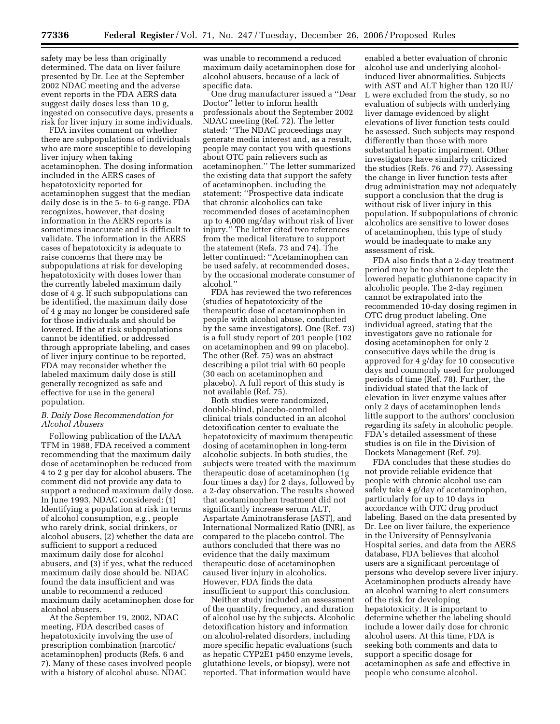safety may be less than originally determined. The data on liver failure presented by Dr. Lee at the September 2002 NDAC meeting and the adverse event reports in the FDA AERS data suggest daily doses less than 10 g, ingested on consecutive days, presents a risk for liver injury in some individuals.

FDA invites comment on whether there are subpopulations of individuals who are more susceptible to developing liver injury when taking acetaminophen. The dosing information included in the AERS cases of hepatotoxicity reported for acetaminophen suggest that the median daily dose is in the 5- to 6-g range. FDA recognizes, however, that dosing information in the AERS reports is sometimes inaccurate and is difficult to validate. The information in the AERS cases of hepatotoxicity is adequate to raise concerns that there may be subpopulations at risk for developing hepatotoxicity with doses lower than the currently labeled maximum daily dose of 4 g. If such subpopulations can be identified, the maximum daily dose of 4 g may no longer be considered safe for those individuals and should be lowered. If the at risk subpopulations cannot be identified, or addressed through appropriate labeling, and cases of liver injury continue to be reported, FDA may reconsider whether the labeled maximum daily dose is still generally recognized as safe and effective for use in the general population.

# *B. Daily Dose Recommendation for Alcohol Abusers*

Following publication of the IAAA TFM in 1988, FDA received a comment recommending that the maximum daily dose of acetaminophen be reduced from 4 to 2 g per day for alcohol abusers. The comment did not provide any data to support a reduced maximum daily dose. In June 1993, NDAC considered: (1) Identifying a population at risk in terms of alcohol consumption, e.g., people who rarely drink, social drinkers, or alcohol abusers, (2) whether the data are sufficient to support a reduced maximum daily dose for alcohol abusers, and (3) if yes, what the reduced maximum daily dose should be. NDAC found the data insufficient and was unable to recommend a reduced maximum daily acetaminophen dose for alcohol abusers.

At the September 19, 2002, NDAC meeting, FDA described cases of hepatotoxicity involving the use of prescription combination (narcotic/ acetaminophen) products (Refs. 6 and 7). Many of these cases involved people with a history of alcohol abuse. NDAC

was unable to recommend a reduced maximum daily acetaminophen dose for alcohol abusers, because of a lack of specific data.

One drug manufacturer issued a ''Dear Doctor'' letter to inform health professionals about the September 2002 NDAC meeting (Ref. 72). The letter stated: ''The NDAC proceedings may generate media interest and, as a result, people may contact you with questions about OTC pain relievers such as acetaminophen.'' The letter summarized the existing data that support the safety of acetaminophen, including the statement: ''Prospective data indicate that chronic alcoholics can take recommended doses of acetaminophen up to 4,000 mg/day without risk of liver injury.'' The letter cited two references from the medical literature to support the statement (Refs. 73 and 74). The letter continued: ''Acetaminophen can be used safely, at recommended doses, by the occasional moderate consumer of alcohol.''

FDA has reviewed the two references (studies of hepatotoxicity of the therapeutic dose of acetaminophen in people with alcohol abuse, conducted by the same investigators). One (Ref. 73) is a full study report of 201 people (102 on acetaminophen and 99 on placebo). The other (Ref. 75) was an abstract describing a pilot trial with 60 people (30 each on acetaminophen and placebo). A full report of this study is not available (Ref. 75).

Both studies were randomized, double-blind, placebo-controlled clinical trials conducted in an alcohol detoxification center to evaluate the hepatotoxicity of maximum therapeutic dosing of acetaminophen in long-term alcoholic subjects. In both studies, the subjects were treated with the maximum therapeutic dose of acetaminophen (1g four times a day) for 2 days, followed by a 2-day observation. The results showed that acetaminophen treatment did not significantly increase serum ALT, Aspartate Aminotransferase (AST), and International Normalized Ratio (INR), as compared to the placebo control. The authors concluded that there was no evidence that the daily maximum therapeutic dose of acetaminophen caused liver injury in alcoholics. However, FDA finds the data insufficient to support this conclusion.

Neither study included an assessment of the quantity, frequency, and duration of alcohol use by the subjects. Alcoholic detoxification history and information on alcohol-related disorders, including more specific hepatic evaluations (such as hepatic CYP2E1 p450 enzyme levels, glutathione levels, or biopsy), were not reported. That information would have

enabled a better evaluation of chronic alcohol use and underlying alcoholinduced liver abnormalities. Subjects with AST and ALT higher than 120 IU/ L were excluded from the study, so no evaluation of subjects with underlying liver damage evidenced by slight elevations of liver function tests could be assessed. Such subjects may respond differently than those with more substantial hepatic impairment. Other investigators have similarly criticized the studies (Refs. 76 and 77). Assessing the change in liver function tests after drug administration may not adequately support a conclusion that the drug is without risk of liver injury in this population. If subpopulations of chronic alcoholics are sensitive to lower doses of acetaminophen, this type of study would be inadequate to make any assessment of risk.

FDA also finds that a 2-day treatment period may be too short to deplete the lowered hepatic gluthianone capacity in alcoholic people. The 2-day regimen cannot be extrapolated into the recommended 10-day dosing regimen in OTC drug product labeling. One individual agreed, stating that the investigators gave no rationale for dosing acetaminophen for only 2 consecutive days while the drug is approved for 4 g/day for 10 consecutive days and commonly used for prolonged periods of time (Ref. 78). Further, the individual stated that the lack of elevation in liver enzyme values after only 2 days of acetaminophen lends little support to the authors' conclusion regarding its safety in alcoholic people. FDA's detailed assessment of these studies is on file in the Division of Dockets Management (Ref. 79).

FDA concludes that these studies do not provide reliable evidence that people with chronic alcohol use can safely take 4 g/day of acetaminophen, particularly for up to 10 days in accordance with OTC drug product labeling. Based on the data presented by Dr. Lee on liver failure, the experience in the University of Pennsylvania Hospital series, and data from the AERS database, FDA believes that alcohol users are a significant percentage of persons who develop severe liver injury. Acetaminophen products already have an alcohol warning to alert consumers of the risk for developing hepatotoxicity. It is important to determine whether the labeling should include a lower daily dose for chronic alcohol users. At this time, FDA is seeking both comments and data to support a specific dosage for acetaminophen as safe and effective in people who consume alcohol.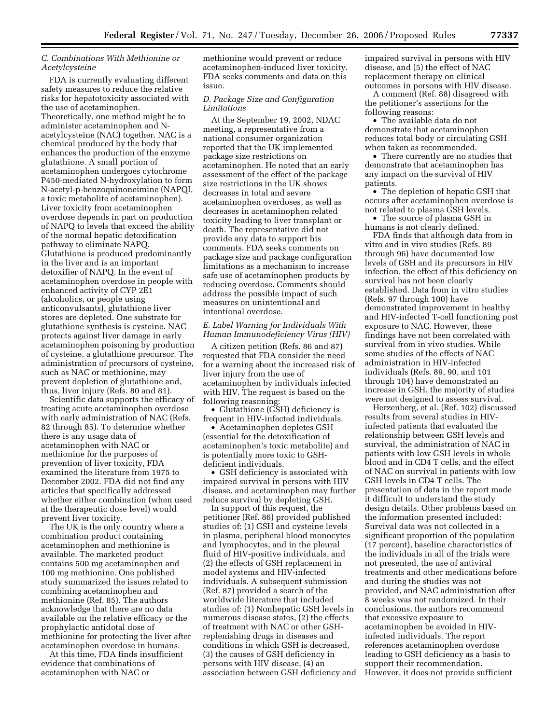# *C. Combinations With Methionine or Acetylcysteine*

FDA is currently evaluating different safety measures to reduce the relative risks for hepatotoxicity associated with the use of acetaminophen. Theoretically, one method might be to administer acetaminophen and Nacetylcysteine (NAC) together. NAC is a chemical produced by the body that enhances the production of the enzyme glutathione. A small portion of acetaminophen undergoes cytochrome P450-mediated N-hydroxylation to form N-acetyl-p-benzoquinoneimine (NAPQI, a toxic metabolite of acetaminophen). Liver toxicity from acetaminophen overdose depends in part on production of NAPQ to levels that exceed the ability of the normal hepatic detoxification pathway to eliminate NAPQ. Glutathione is produced predominantly in the liver and is an important detoxifier of NAPQ. In the event of acetaminophen overdose in people with enhanced activity of CYP 2E1 (alcoholics, or people using anticonvulsants), glutathione liver stores are depleted. One substrate for glutathione synthesis is cysteine. NAC protects against liver damage in early acetaminophen poisoning by production of cysteine, a glutathione precursor. The administration of precursors of cysteine, such as NAC or methionine, may prevent depletion of glutathione and, thus, liver injury (Refs. 80 and 81).

Scientific data supports the efficacy of treating acute acetaminophen overdose with early administration of NAC (Refs. 82 through 85). To determine whether there is any usage data of acetaminophen with NAC or methionine for the purposes of prevention of liver toxicity, FDA examined the literature from 1975 to December 2002. FDA did not find any articles that specifically addressed whether either combination (when used at the therapeutic dose level) would prevent liver toxicity.

The UK is the only country where a combination product containing acetaminophen and methionine is available. The marketed product contains 500 mg acetaminophen and 100 mg methionine. One published study summarized the issues related to combining acetaminophen and methionine (Ref. 85). The authors acknowledge that there are no data available on the relative efficacy or the prophylactic antidotal dose of methionine for protecting the liver after acetaminophen overdose in humans.

At this time, FDA finds insufficient evidence that combinations of acetaminophen with NAC or

methionine would prevent or reduce acetaminophen-induced liver toxicity. FDA seeks comments and data on this issue.

## *D. Package Size and Configuration Limitations*

At the September 19, 2002, NDAC meeting, a representative from a national consumer organization reported that the UK implemented package size restrictions on acetaminophen. He noted that an early assessment of the effect of the package size restrictions in the UK shows decreases in total and severe acetaminophen overdoses, as well as decreases in acetaminophen related toxicity leading to liver transplant or death. The representative did not provide any data to support his comments. FDA seeks comments on package size and package configuration limitations as a mechanism to increase safe use of acetaminophen products by reducing overdose. Comments should address the possible impact of such measures on unintentional and intentional overdose.

# *E. Label Warning for Individuals With Human Immunodeficiency Virus (HIV)*

A citizen petition (Refs. 86 and 87) requested that FDA consider the need for a warning about the increased risk of liver injury from the use of acetaminophen by individuals infected with HIV. The request is based on the following reasoning:

• Glutathione (GSH) deficiency is frequent in HIV-infected individuals.

• Acetaminophen depletes GSH (essential for the detoxification of acetaminophen's toxic metabolite) and is potentially more toxic to GSHdeficient individuals.

• GSH deficiency is associated with impaired survival in persons with HIV disease, and acetaminophen may further reduce survival by depleting GSH.

In support of this request, the petitioner (Ref. 86) provided published studies of: (1) GSH and cysteine levels in plasma, peripheral blood monocytes and lymphocytes, and in the pleural fluid of HIV-positive individuals, and (2) the effects of GSH replacement in model systems and HIV-infected individuals. A subsequent submission (Ref. 87) provided a search of the worldwide literature that included studies of: (1) Nonhepatic GSH levels in numerous disease states, (2) the effects of treatment with NAC or other GSHreplenishing drugs in diseases and conditions in which GSH is decreased, (3) the causes of GSH deficiency in persons with HIV disease, (4) an association between GSH deficiency and impaired survival in persons with HIV disease, and (5) the effect of NAC replacement therapy on clinical outcomes in persons with HIV disease.

A comment (Ref. 88) disagreed with the petitioner's assertions for the following reasons:

• The available data do not demonstrate that acetaminophen reduces total body or circulating GSH when taken as recommended.

• There currently are no studies that demonstrate that acetaminophen has any impact on the survival of HIV patients.

• The depletion of hepatic GSH that occurs after acetaminophen overdose is not related to plasma GSH levels.

• The source of plasma GSH in humans is not clearly defined.

FDA finds that although data from in vitro and in vivo studies (Refs. 89 through 96) have documented low levels of GSH and its precursors in HIV infection, the effect of this deficiency on survival has not been clearly established. Data from in vitro studies (Refs. 97 through 100) have demonstrated improvement in healthy and HIV-infected T-cell functioning post exposure to NAC. However, these findings have not been correlated with survival from in vivo studies. While some studies of the effects of NAC administration in HIV-infected individuals (Refs. 89, 90, and 101 through 104) have demonstrated an increase in GSH, the majority of studies were not designed to assess survival.

Herzenberg, et al. (Ref. 102) discussed results from several studies in HIVinfected patients that evaluated the relationship between GSH levels and survival, the administration of NAC in patients with low GSH levels in whole blood and in CD4 T cells, and the effect of NAC on survival in patients with low GSH levels in CD4 T cells. The presentation of data in the report made it difficult to understand the study design details. Other problems based on the information presented included: Survival data was not collected in a significant proportion of the population (17 percent), baseline characteristics of the individuals in all of the trials were not presented, the use of antiviral treatments and other medications before and during the studies was not provided, and NAC administration after 8 weeks was not randomized. In their conclusions, the authors recommend that excessive exposure to acetaminophen be avoided in HIVinfected individuals. The report references acetaminophen overdose leading to GSH deficiency as a basis to support their recommendation. However, it does not provide sufficient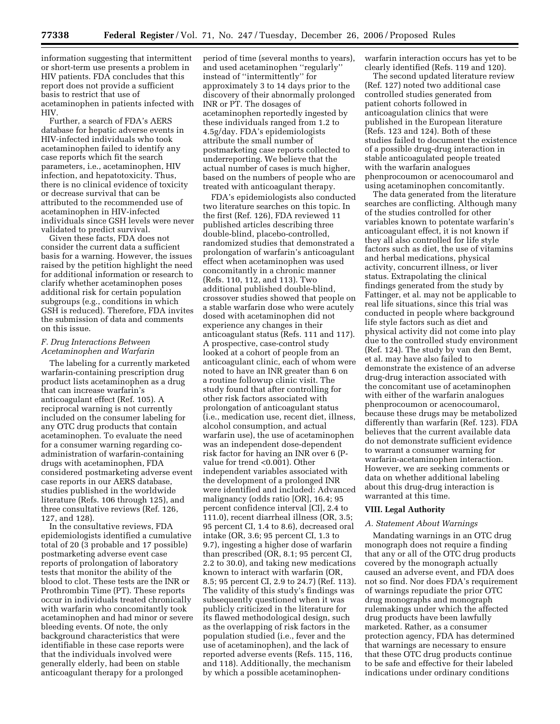information suggesting that intermittent or short-term use presents a problem in HIV patients. FDA concludes that this report does not provide a sufficient basis to restrict that use of acetaminophen in patients infected with HIV.

Further, a search of FDA's AERS database for hepatic adverse events in HIV-infected individuals who took acetaminophen failed to identify any case reports which fit the search parameters, i.e., acetaminophen, HIV infection, and hepatotoxicity. Thus, there is no clinical evidence of toxicity or decrease survival that can be attributed to the recommended use of acetaminophen in HIV-infected individuals since GSH levels were never validated to predict survival.

Given these facts, FDA does not consider the current data a sufficient basis for a warning. However, the issues raised by the petition highlight the need for additional information or research to clarify whether acetaminophen poses additional risk for certain population subgroups (e.g., conditions in which GSH is reduced). Therefore, FDA invites the submission of data and comments on this issue.

# *F. Drug Interactions Between Acetaminophen and Warfarin*

The labeling for a currently marketed warfarin-containing prescription drug product lists acetaminophen as a drug that can increase warfarin's anticoagulant effect (Ref. 105). A reciprocal warning is not currently included on the consumer labeling for any OTC drug products that contain acetaminophen. To evaluate the need for a consumer warning regarding coadministration of warfarin-containing drugs with acetaminophen, FDA considered postmarketing adverse event case reports in our AERS database, studies published in the worldwide literature (Refs. 106 through 125), and three consultative reviews (Ref. 126, 127, and 128).

In the consultative reviews, FDA epidemiologists identified a cumulative total of 20 (3 probable and 17 possible) postmarketing adverse event case reports of prolongation of laboratory tests that monitor the ability of the blood to clot. These tests are the INR or Prothrombin Time (PT). These reports occur in individuals treated chronically with warfarin who concomitantly took acetaminophen and had minor or severe bleeding events. Of note, the only background characteristics that were identifiable in these case reports were that the individuals involved were generally elderly, had been on stable anticoagulant therapy for a prolonged

period of time (several months to years), and used acetaminophen ''regularly'' instead of ''intermittently'' for approximately 3 to 14 days prior to the discovery of their abnormally prolonged INR or PT. The dosages of acetaminophen reportedly ingested by these individuals ranged from 1.2 to 4.5g/day. FDA's epidemiologists attribute the small number of postmarketing case reports collected to underreporting. We believe that the actual number of cases is much higher, based on the numbers of people who are treated with anticoagulant therapy.

FDA's epidemiologists also conducted two literature searches on this topic. In the first (Ref. 126), FDA reviewed 11 published articles describing three double-blind, placebo-controlled, randomized studies that demonstrated a prolongation of warfarin's anticoagulant effect when acetaminophen was used concomitantly in a chronic manner (Refs. 110, 112, and 113). Two additional published double-blind, crossover studies showed that people on a stable warfarin dose who were acutely dosed with acetaminophen did not experience any changes in their anticoagulant status (Refs. 111 and 117). A prospective, case-control study looked at a cohort of people from an anticoagulant clinic, each of whom were noted to have an INR greater than 6 on a routine followup clinic visit. The study found that after controlling for other risk factors associated with prolongation of anticoagulant status (i.e., medication use, recent diet, illness, alcohol consumption, and actual warfarin use), the use of acetaminophen was an independent dose-dependent risk factor for having an INR over 6 (Pvalue for trend <0.001). Other independent variables associated with the development of a prolonged INR were identified and included: Advanced malignancy (odds ratio [OR], 16.4; 95 percent confidence interval [CI], 2.4 to 111.0), recent diarrheal illness (OR, 3.5; 95 percent CI, 1.4 to 8.6), decreased oral intake (OR, 3.6; 95 percent CI, 1.3 to 9.7), ingesting a higher dose of warfarin than prescribed (OR, 8.1; 95 percent CI, 2.2 to 30.0), and taking new medications known to interact with warfarin (OR, 8.5; 95 percent CI, 2.9 to 24.7) (Ref. 113). The validity of this study's findings was subsequently questioned when it was publicly criticized in the literature for its flawed methodological design, such as the overlapping of risk factors in the population studied (i.e., fever and the use of acetaminophen), and the lack of reported adverse events (Refs. 115, 116, and 118). Additionally, the mechanism by which a possible acetaminophenwarfarin interaction occurs has yet to be clearly identified (Refs. 119 and 120).

The second updated literature review (Ref. 127) noted two additional case controlled studies generated from patient cohorts followed in anticoagulation clinics that were published in the European literature (Refs. 123 and 124). Both of these studies failed to document the existence of a possible drug-drug interaction in stable anticoagulated people treated with the warfarin analogues phenprocoumon or acenocoumarol and using acetaminophen concomitantly.

The data generated from the literature searches are conflicting. Although many of the studies controlled for other variables known to potentate warfarin's anticoagulant effect, it is not known if they all also controlled for life style factors such as diet, the use of vitamins and herbal medications, physical activity, concurrent illness, or liver status. Extrapolating the clinical findings generated from the study by Fattinger, et al. may not be applicable to real life situations, since this trial was conducted in people where background life style factors such as diet and physical activity did not come into play due to the controlled study environment (Ref. 124). The study by van den Bemt, et al. may have also failed to demonstrate the existence of an adverse drug-drug interaction associated with the concomitant use of acetaminophen with either of the warfarin analogues phenprocoumon or acenocoumarol, because these drugs may be metabolized differently than warfarin (Ref. 123). FDA believes that the current available data do not demonstrate sufficient evidence to warrant a consumer warning for warfarin-acetaminophen interaction. However, we are seeking comments or data on whether additional labeling about this drug-drug interaction is warranted at this time.

# **VIII. Legal Authority**

# *A. Statement About Warnings*

Mandating warnings in an OTC drug monograph does not require a finding that any or all of the OTC drug products covered by the monograph actually caused an adverse event, and FDA does not so find. Nor does FDA's requirement of warnings repudiate the prior OTC drug monographs and monograph rulemakings under which the affected drug products have been lawfully marketed. Rather, as a consumer protection agency, FDA has determined that warnings are necessary to ensure that these OTC drug products continue to be safe and effective for their labeled indications under ordinary conditions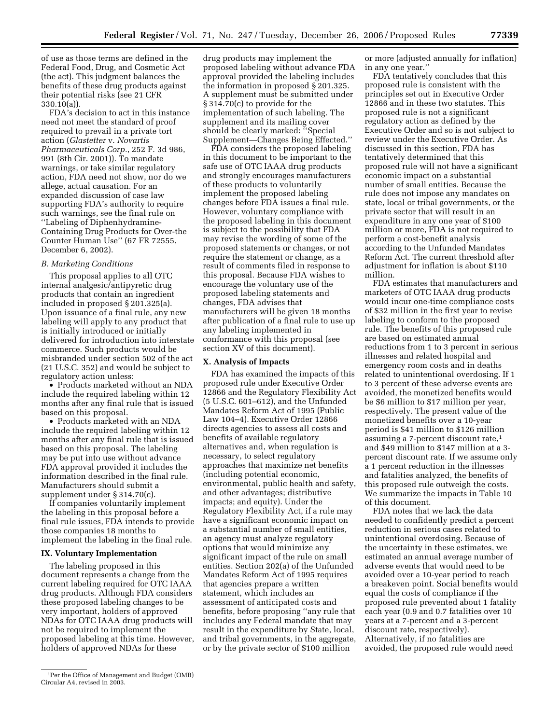of use as those terms are defined in the Federal Food, Drug, and Cosmetic Act (the act). This judgment balances the benefits of these drug products against their potential risks (see 21 CFR 330.10(a)).

FDA's decision to act in this instance need not meet the standard of proof required to prevail in a private tort action (*Glastetter* v. *Novartis Pharmaceuticals Corp.*, 252 F. 3d 986, 991 (8th Cir. 2001)). To mandate warnings, or take similar regulatory action, FDA need not show, nor do we allege, actual causation. For an expanded discussion of case law supporting FDA's authority to require such warnings, see the final rule on ''Labeling of Diphenhydramine-Containing Drug Products for Over-the Counter Human Use'' (67 FR 72555, December 6, 2002).

#### *B. Marketing Conditions*

This proposal applies to all OTC internal analgesic/antipyretic drug products that contain an ingredient included in proposed § 201.325(a). Upon issuance of a final rule, any new labeling will apply to any product that is initially introduced or initially delivered for introduction into interstate commerce. Such products would be misbranded under section 502 of the act (21 U.S.C. 352) and would be subject to regulatory action unless:

• Products marketed without an NDA include the required labeling within 12 months after any final rule that is issued based on this proposal.

• Products marketed with an NDA include the required labeling within 12 months after any final rule that is issued based on this proposal. The labeling may be put into use without advance FDA approval provided it includes the information described in the final rule. Manufacturers should submit a supplement under § 314.70(c).

If companies voluntarily implement the labeling in this proposal before a final rule issues, FDA intends to provide those companies 18 months to implement the labeling in the final rule.

# **IX. Voluntary Implementation**

The labeling proposed in this document represents a change from the current labeling required for OTC IAAA drug products. Although FDA considers these proposed labeling changes to be very important, holders of approved NDAs for OTC IAAA drug products will not be required to implement the proposed labeling at this time. However, holders of approved NDAs for these

FDA considers the proposed labeling in this document to be important to the safe use of OTC IAAA drug products and strongly encourages manufacturers of these products to voluntarily implement the proposed labeling changes before FDA issues a final rule. However, voluntary compliance with the proposed labeling in this document is subject to the possibility that FDA may revise the wording of some of the proposed statements or changes, or not require the statement or change, as a result of comments filed in response to this proposal. Because FDA wishes to encourage the voluntary use of the proposed labeling statements and changes, FDA advises that manufacturers will be given 18 months after publication of a final rule to use up any labeling implemented in conformance with this proposal (see section XV of this document).

### **X. Analysis of Impacts**

FDA has examined the impacts of this proposed rule under Executive Order 12866 and the Regulatory Flexibility Act (5 U.S.C. 601–612), and the Unfunded Mandates Reform Act of 1995 (Public Law 104–4). Executive Order 12866 directs agencies to assess all costs and benefits of available regulatory alternatives and, when regulation is necessary, to select regulatory approaches that maximize net benefits (including potential economic, environmental, public health and safety, and other advantages; distributive impacts; and equity). Under the Regulatory Flexibility Act, if a rule may have a significant economic impact on a substantial number of small entities, an agency must analyze regulatory options that would minimize any significant impact of the rule on small entities. Section 202(a) of the Unfunded Mandates Reform Act of 1995 requires that agencies prepare a written statement, which includes an assessment of anticipated costs and benefits, before proposing ''any rule that includes any Federal mandate that may result in the expenditure by State, local, and tribal governments, in the aggregate, or by the private sector of \$100 million

or more (adjusted annually for inflation) in any one year.''

FDA tentatively concludes that this proposed rule is consistent with the principles set out in Executive Order 12866 and in these two statutes. This proposed rule is not a significant regulatory action as defined by the Executive Order and so is not subject to review under the Executive Order. As discussed in this section, FDA has tentatively determined that this proposed rule will not have a significant economic impact on a substantial number of small entities. Because the rule does not impose any mandates on state, local or tribal governments, or the private sector that will result in an expenditure in any one year of \$100 million or more, FDA is not required to perform a cost-benefit analysis according to the Unfunded Mandates Reform Act. The current threshold after adjustment for inflation is about \$110 million.

FDA estimates that manufacturers and marketers of OTC IAAA drug products would incur one-time compliance costs of \$32 million in the first year to revise labeling to conform to the proposed rule. The benefits of this proposed rule are based on estimated annual reductions from 1 to 3 percent in serious illnesses and related hospital and emergency room costs and in deaths related to unintentional overdosing. If 1 to 3 percent of these adverse events are avoided, the monetized benefits would be \$6 million to \$17 million per year, respectively. The present value of the monetized benefits over a 10-year period is \$41 million to \$126 million assuming a 7-percent discount rate,1 and \$49 million to \$147 million at a 3 percent discount rate. If we assume only a 1 percent reduction in the illnesses and fatalities analyzed, the benefits of this proposed rule outweigh the costs. We summarize the impacts in Table 10 of this document.

FDA notes that we lack the data needed to confidently predict a percent reduction in serious cases related to unintentional overdosing. Because of the uncertainty in these estimates, we estimated an annual average number of adverse events that would need to be avoided over a 10-year period to reach a breakeven point. Social benefits would equal the costs of compliance if the proposed rule prevented about 1 fatality each year (0.9 and 0.7 fatalities over 10 years at a 7-percent and a 3-percent discount rate, respectively). Alternatively, if no fatalities are avoided, the proposed rule would need

drug products may implement the proposed labeling without advance FDA approval provided the labeling includes the information in proposed § 201.325. A supplement must be submitted under § 314.70(c) to provide for the implementation of such labeling. The supplement and its mailing cover should be clearly marked: ''Special Supplement—Changes Being Effected.''

<sup>1</sup>Per the Office of Management and Budget (OMB) Circular A4, revised in 2003.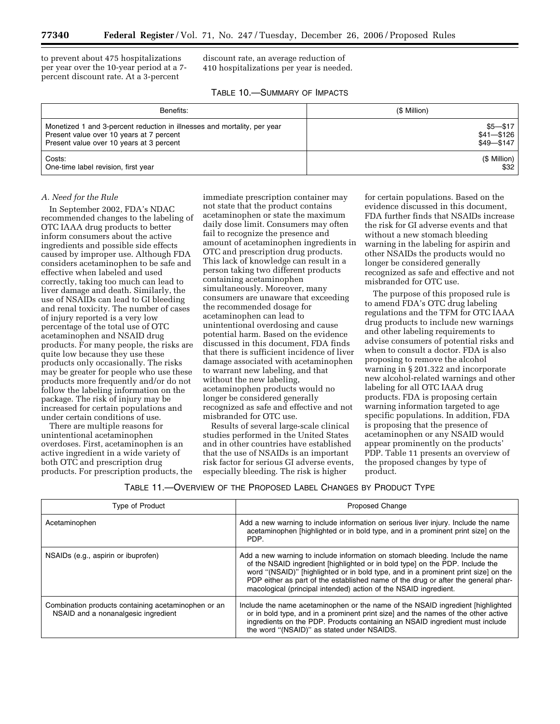to prevent about 475 hospitalizations per year over the 10-year period at a 7 percent discount rate. At a 3-percent

discount rate, an average reduction of 410 hospitalizations per year is needed.

| TABLE 10.-SUMMARY OF IMPACTS |  |  |
|------------------------------|--|--|
|------------------------------|--|--|

| Benefits:                                                                | (\$ Million) |
|--------------------------------------------------------------------------|--------------|
| Monetized 1 and 3-percent reduction in illnesses and mortality, per year | $$5 - $17$   |
| Present value over 10 years at 7 percent                                 | $$41 - $126$ |
| Present value over 10 years at 3 percent                                 | $$49 - $147$ |
| Costs:                                                                   | (\$ Million) |
| One-time label revision, first year                                      | \$32         |

### *A. Need for the Rule*

In September 2002, FDA's NDAC recommended changes to the labeling of OTC IAAA drug products to better inform consumers about the active ingredients and possible side effects caused by improper use. Although FDA considers acetaminophen to be safe and effective when labeled and used correctly, taking too much can lead to liver damage and death. Similarly, the use of NSAIDs can lead to GI bleeding and renal toxicity. The number of cases of injury reported is a very low percentage of the total use of OTC acetaminophen and NSAID drug products. For many people, the risks are quite low because they use these products only occasionally. The risks may be greater for people who use these products more frequently and/or do not follow the labeling information on the package. The risk of injury may be increased for certain populations and under certain conditions of use.

There are multiple reasons for unintentional acetaminophen overdoses. First, acetaminophen is an active ingredient in a wide variety of both OTC and prescription drug products. For prescription products, the

immediate prescription container may not state that the product contains acetaminophen or state the maximum daily dose limit. Consumers may often fail to recognize the presence and amount of acetaminophen ingredients in OTC and prescription drug products. This lack of knowledge can result in a person taking two different products containing acetaminophen simultaneously. Moreover, many consumers are unaware that exceeding the recommended dosage for acetaminophen can lead to unintentional overdosing and cause potential harm. Based on the evidence discussed in this document, FDA finds that there is sufficient incidence of liver damage associated with acetaminophen to warrant new labeling, and that without the new labeling, acetaminophen products would no longer be considered generally recognized as safe and effective and not misbranded for OTC use.

Results of several large-scale clinical studies performed in the United States and in other countries have established that the use of NSAIDs is an important risk factor for serious GI adverse events, especially bleeding. The risk is higher

for certain populations. Based on the evidence discussed in this document, FDA further finds that NSAIDs increase the risk for GI adverse events and that without a new stomach bleeding warning in the labeling for aspirin and other NSAIDs the products would no longer be considered generally recognized as safe and effective and not misbranded for OTC use.

The purpose of this proposed rule is to amend FDA's OTC drug labeling regulations and the TFM for OTC IAAA drug products to include new warnings and other labeling requirements to advise consumers of potential risks and when to consult a doctor. FDA is also proposing to remove the alcohol warning in § 201.322 and incorporate new alcohol-related warnings and other labeling for all OTC IAAA drug products. FDA is proposing certain warning information targeted to age specific populations. In addition, FDA is proposing that the presence of acetaminophen or any NSAID would appear prominently on the products' PDP. Table 11 presents an overview of the proposed changes by type of product.

### TABLE 11.—OVERVIEW OF THE PROPOSED LABEL CHANGES BY PRODUCT TYPE

| Type of Product                                                                            | Proposed Change                                                                                                                                                                                                                                                                                                                                                                                                |
|--------------------------------------------------------------------------------------------|----------------------------------------------------------------------------------------------------------------------------------------------------------------------------------------------------------------------------------------------------------------------------------------------------------------------------------------------------------------------------------------------------------------|
| Acetaminophen                                                                              | Add a new warning to include information on serious liver injury. Include the name<br>acetaminophen [highlighted or in bold type, and in a prominent print size] on the<br>PDP.                                                                                                                                                                                                                                |
| NSAIDs (e.g., aspirin or ibuprofen)                                                        | Add a new warning to include information on stomach bleeding. Include the name<br>of the NSAID ingredient [highlighted or in bold type] on the PDP. Include the<br>word "(NSAID)" [highlighted or in bold type, and in a prominent print size] on the<br>PDP either as part of the established name of the drug or after the general phar-<br>macological (principal intended) action of the NSAID ingredient. |
| Combination products containing acetaminophen or an<br>NSAID and a nonanalgesic ingredient | Include the name acetaminophen or the name of the NSAID ingredient [highlighted]<br>or in bold type, and in a prominent print size] and the names of the other active<br>ingredients on the PDP. Products containing an NSAID ingredient must include<br>the word "(NSAID)" as stated under NSAIDS.                                                                                                            |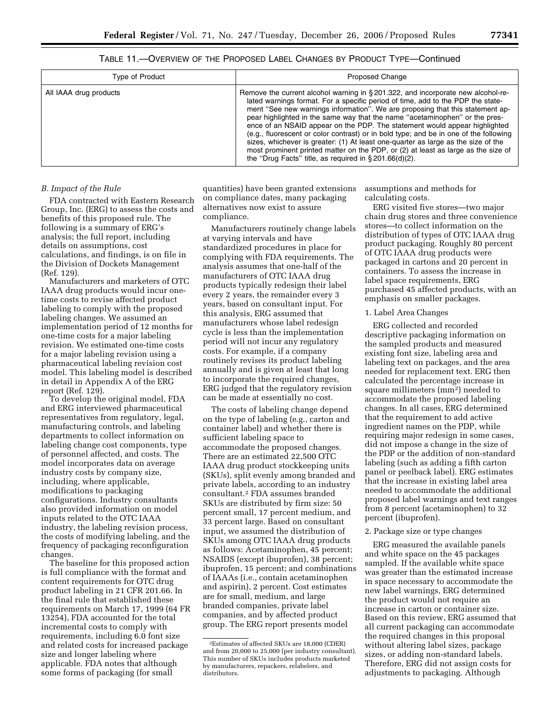| Type of Product        | Proposed Change                                                                                                                                                                                                                                                                                                                                                                                                                                                                                                                                                                                                                                                                                                                                   |
|------------------------|---------------------------------------------------------------------------------------------------------------------------------------------------------------------------------------------------------------------------------------------------------------------------------------------------------------------------------------------------------------------------------------------------------------------------------------------------------------------------------------------------------------------------------------------------------------------------------------------------------------------------------------------------------------------------------------------------------------------------------------------------|
| All IAAA drug products | Remove the current alcohol warning in §201.322, and incorporate new alcohol-re-<br>lated warnings format. For a specific period of time, add to the PDP the state-<br>ment "See new warnings information". We are proposing that this statement ap-<br>pear highlighted in the same way that the name "acetaminophen" or the pres-<br>ence of an NSAID appear on the PDP. The statement would appear highlighted<br>(e.g., fluorescent or color contrast) or in bold type; and be in one of the following<br>sizes, whichever is greater: (1) At least one-quarter as large as the size of the<br>most prominent printed matter on the PDP, or (2) at least as large as the size of<br>the "Drug Facts" title, as required in $\S 201.66(d)(2)$ . |

TABLE 11.—OVERVIEW OF THE PROPOSED LABEL CHANGES BY PRODUCT TYPE—Continued

#### *B. Impact of the Rule*

FDA contracted with Eastern Research Group, Inc. (ERG) to assess the costs and benefits of this proposed rule. The following is a summary of ERG's analysis; the full report, including details on assumptions, cost calculations, and findings, is on file in the Division of Dockets Management (Ref. 129).

Manufacturers and marketers of OTC IAAA drug products would incur onetime costs to revise affected product labeling to comply with the proposed labeling changes. We assumed an implementation period of 12 months for one-time costs for a major labeling revision. We estimated one-time costs for a major labeling revision using a pharmaceutical labeling revision cost model. This labeling model is described in detail in Appendix A of the ERG report (Ref.  $129$ ).

To develop the original model, FDA and ERG interviewed pharmaceutical representatives from regulatory, legal, manufacturing controls, and labeling departments to collect information on labeling change cost components, type of personnel affected, and costs. The model incorporates data on average industry costs by company size, including, where applicable, modifications to packaging configurations. Industry consultants also provided information on model inputs related to the OTC IAAA industry, the labeling revision process, the costs of modifying labeling, and the frequency of packaging reconfiguration changes.

The baseline for this proposed action is full compliance with the format and content requirements for OTC drug product labeling in 21 CFR 201.66. In the final rule that established these requirements on March 17, 1999 (64 FR 13254), FDA accounted for the total incremental costs to comply with requirements, including 6.0 font size and related costs for increased package size and longer labeling where applicable. FDA notes that although some forms of packaging (for small

quantities) have been granted extensions on compliance dates, many packaging alternatives now exist to assure compliance.

Manufacturers routinely change labels at varying intervals and have standardized procedures in place for complying with FDA requirements. The analysis assumes that one-half of the manufacturers of OTC IAAA drug products typically redesign their label every 2 years, the remainder every 3 years, based on consultant input. For this analysis, ERG assumed that manufacturers whose label redesign cycle is less than the implementation period will not incur any regulatory costs. For example, if a company routinely revises its product labeling annually and is given at least that long to incorporate the required changes, ERG judged that the regulatory revision can be made at essentially no cost.

The costs of labeling change depend on the type of labeling (e.g., carton and container label) and whether there is sufficient labeling space to accommodate the proposed changes. There are an estimated 22,500 OTC IAAA drug product stockkeeping units (SKUs), split evenly among branded and private labels, according to an industry consultant.2 FDA assumes branded SKUs are distributed by firm size: 50 percent small, 17 percent medium, and 33 percent large. Based on consultant input, we assumed the distribution of SKUs among OTC IAAA drug products as follows: Acetaminophen, 45 percent; NSAIDS (except ibuprofen), 38 percent; ibuprofen, 15 percent; and combinations of IAAAs (i.e., contain acetaminophen and aspirin), 2 percent. Cost estimates are for small, medium, and large branded companies, private label companies, and by affected product group. The ERG report presents model

assumptions and methods for calculating costs.

ERG visited five stores—two major chain drug stores and three convenience stores—to collect information on the distribution of types of OTC IAAA drug product packaging. Roughly 80 percent of OTC IAAA drug products were packaged in cartons and 20 percent in containers. To assess the increase in label space requirements, ERG purchased 45 affected products, with an emphasis on smaller packages.

# 1. Label Area Changes

ERG collected and recorded descriptive packaging information on the sampled products and measured existing font size, labeling area and labeling text on packages, and the area needed for replacement text. ERG then calculated the percentage increase in square millimeters (mm2) needed to accommodate the proposed labeling changes. In all cases, ERG determined that the requirement to add active ingredient names on the PDP, while requiring major redesign in some cases, did not impose a change in the size of the PDP or the addition of non-standard labeling (such as adding a fifth carton panel or peelback label). ERG estimates that the increase in existing label area needed to accommodate the additional proposed label warnings and text ranges from 8 percent (acetaminophen) to 32 percent (ibuprofen).

# 2. Package size or type changes

ERG measured the available panels and white space on the 45 packages sampled. If the available white space was greater than the estimated increase in space necessary to accommodate the new label warnings, ERG determined the product would not require an increase in carton or container size. Based on this review, ERG assumed that all current packaging can accommodate the required changes in this proposal without altering label sizes, package sizes, or adding non-standard labels. Therefore, ERG did not assign costs for adjustments to packaging. Although

<sup>2</sup>Estimates of affected SKUs are 18,000 (CDER) and from 20,000 to 25,000 (per industry consultant). This number of SKUs includes products marketed by manufacturers, repackers, relabelers, and distributors.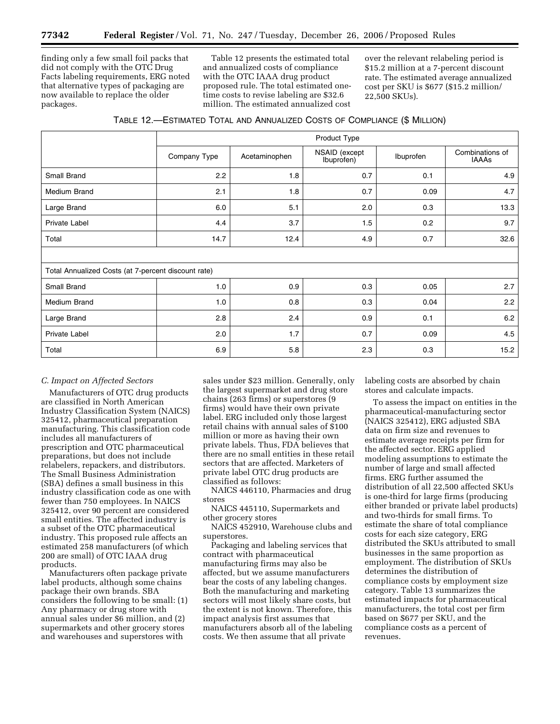finding only a few small foil packs that did not comply with the OTC Drug Facts labeling requirements, ERG noted that alternative types of packaging are now available to replace the older packages.

Table 12 presents the estimated total and annualized costs of compliance with the OTC IAAA drug product proposed rule. The total estimated onetime costs to revise labeling are \$32.6 million. The estimated annualized cost

over the relevant relabeling period is \$15.2 million at a 7-percent discount rate. The estimated average annualized cost per SKU is \$677 (\$15.2 million/ 22,500 SKUs).

| TABLE 12.-ESTIMATED TOTAL AND ANNUALIZED COSTS OF COMPLIANCE (\$ MILLION) |  |  |  |  |
|---------------------------------------------------------------------------|--|--|--|--|
|---------------------------------------------------------------------------|--|--|--|--|

|                                                     | Product Type |               |                             |           |                          |
|-----------------------------------------------------|--------------|---------------|-----------------------------|-----------|--------------------------|
|                                                     | Company Type | Acetaminophen | NSAID (except<br>Ibuprofen) | Ibuprofen | Combinations of<br>IAAAs |
| Small Brand                                         | 2.2          | 1.8           | 0.7                         | 0.1       | 4.9                      |
| <b>Medium Brand</b>                                 | 2.1          | 1.8           | 0.7                         | 0.09      | 4.7                      |
| Large Brand                                         | 6.0          | 5.1           | 2.0                         | 0.3       | 13.3                     |
| Private Label                                       | 4.4          | 3.7           | 1.5                         | 0.2       | 9.7                      |
| Total                                               | 14.7         | 12.4          | 4.9                         | 0.7       | 32.6                     |
|                                                     |              |               |                             |           |                          |
| Total Annualized Costs (at 7-percent discount rate) |              |               |                             |           |                          |
| Small Brand                                         | 1.0          | 0.9           | 0.3                         | 0.05      | 2.7                      |
| <b>Medium Brand</b>                                 | 1.0          | 0.8           | 0.3                         | 0.04      | 2.2                      |
| Large Brand                                         | 2.8          | 2.4           | 0.9                         | 0.1       | 6.2                      |
| Private Label                                       | 2.0          | 1.7           | 0.7                         | 0.09      | 4.5                      |
| Total                                               | 6.9          | 5.8           | 2.3                         | 0.3       | 15.2                     |

# *C. Impact on Affected Sectors*

Manufacturers of OTC drug products are classified in North American Industry Classification System (NAICS) 325412, pharmaceutical preparation manufacturing. This classification code includes all manufacturers of prescription and OTC pharmaceutical preparations, but does not include relabelers, repackers, and distributors. The Small Business Administration (SBA) defines a small business in this industry classification code as one with fewer than 750 employees. In NAICS 325412, over 90 percent are considered small entities. The affected industry is a subset of the OTC pharmaceutical industry. This proposed rule affects an estimated 258 manufacturers (of which 200 are small) of OTC IAAA drug products.

Manufacturers often package private label products, although some chains package their own brands. SBA considers the following to be small: (1) Any pharmacy or drug store with annual sales under \$6 million, and (2) supermarkets and other grocery stores and warehouses and superstores with

sales under \$23 million. Generally, only the largest supermarket and drug store chains (263 firms) or superstores (9 firms) would have their own private label. ERG included only those largest retail chains with annual sales of \$100 million or more as having their own private labels. Thus, FDA believes that there are no small entities in these retail sectors that are affected. Marketers of private label OTC drug products are classified as follows:

NAICS 446110, Pharmacies and drug stores

NAICS 445110, Supermarkets and other grocery stores

NAICS 452910, Warehouse clubs and superstores.

Packaging and labeling services that contract with pharmaceutical manufacturing firms may also be affected, but we assume manufacturers bear the costs of any labeling changes. Both the manufacturing and marketing sectors will most likely share costs, but the extent is not known. Therefore, this impact analysis first assumes that manufacturers absorb all of the labeling costs. We then assume that all private

labeling costs are absorbed by chain stores and calculate impacts.

To assess the impact on entities in the pharmaceutical-manufacturing sector (NAICS 325412), ERG adjusted SBA data on firm size and revenues to estimate average receipts per firm for the affected sector. ERG applied modeling assumptions to estimate the number of large and small affected firms. ERG further assumed the distribution of all 22,500 affected SKUs is one-third for large firms (producing either branded or private label products) and two-thirds for small firms. To estimate the share of total compliance costs for each size category, ERG distributed the SKUs attributed to small businesses in the same proportion as employment. The distribution of SKUs determines the distribution of compliance costs by employment size category. Table 13 summarizes the estimated impacts for pharmaceutical manufacturers, the total cost per firm based on \$677 per SKU, and the compliance costs as a percent of revenues.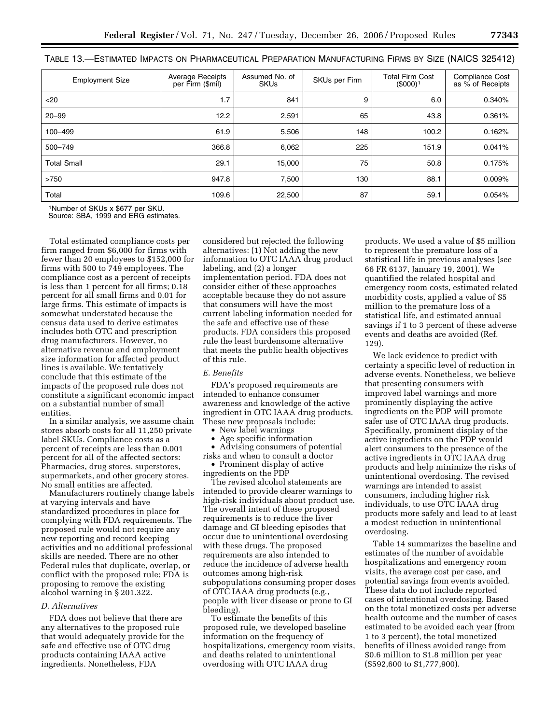| <b>Employment Size</b> | <b>Average Receipts</b><br>per Firm (\$mil) | Assumed No. of<br><b>SKUs</b> | SKUs per Firm | <b>Total Firm Cost</b><br>(\$000) <sup>1</sup> | <b>Compliance Cost</b><br>as % of Receipts |
|------------------------|---------------------------------------------|-------------------------------|---------------|------------------------------------------------|--------------------------------------------|
| $20$                   | 1.7                                         | 841                           | 9             | 6.0                                            | 0.340%                                     |
| $20 - 99$              | 12.2                                        | 2,591                         | 65            | 43.8                                           | 0.361%                                     |
| 100-499                | 61.9                                        | 5,506                         | 148           | 100.2                                          | 0.162%                                     |
| 500-749                | 366.8                                       | 6,062                         | 225           | 151.9                                          | 0.041%                                     |
| <b>Total Small</b>     | 29.1                                        | 15.000                        | 75            | 50.8                                           | 0.175%                                     |
| >750                   | 947.8                                       | 7,500                         | 130           | 88.1                                           | 0.009%                                     |
| Total                  | 109.6                                       | 22,500                        | 87            | 59.1                                           | 0.054%                                     |

|  |  | TABLE 13.—ESTIMATED IMPACTS ON PHARMACEUTICAL PREPARATION MANUFACTURING FIRMS BY SIZE (NAICS 325412) |  |  |
|--|--|------------------------------------------------------------------------------------------------------|--|--|
|--|--|------------------------------------------------------------------------------------------------------|--|--|

1Number of SKUs x \$677 per SKU.

Source: SBA, 1999 and ERG estimates.

Total estimated compliance costs per firm ranged from \$6,000 for firms with fewer than 20 employees to \$152,000 for firms with 500 to 749 employees. The compliance cost as a percent of receipts is less than 1 percent for all firms; 0.18 percent for all small firms and 0.01 for large firms. This estimate of impacts is somewhat understated because the census data used to derive estimates includes both OTC and prescription drug manufacturers. However, no alternative revenue and employment size information for affected product lines is available. We tentatively conclude that this estimate of the impacts of the proposed rule does not constitute a significant economic impact on a substantial number of small entities.

In a similar analysis, we assume chain stores absorb costs for all 11,250 private label SKUs. Compliance costs as a percent of receipts are less than 0.001 percent for all of the affected sectors: Pharmacies, drug stores, superstores, supermarkets, and other grocery stores. No small entities are affected.

Manufacturers routinely change labels at varying intervals and have standardized procedures in place for complying with FDA requirements. The proposed rule would not require any new reporting and record keeping activities and no additional professional skills are needed. There are no other Federal rules that duplicate, overlap, or conflict with the proposed rule; FDA is proposing to remove the existing alcohol warning in § 201.322.

# *D. Alternatives*

FDA does not believe that there are any alternatives to the proposed rule that would adequately provide for the safe and effective use of OTC drug products containing IAAA active ingredients. Nonetheless, FDA

considered but rejected the following alternatives: (1) Not adding the new information to OTC IAAA drug product labeling, and (2) a longer implementation period. FDA does not consider either of these approaches acceptable because they do not assure that consumers will have the most current labeling information needed for the safe and effective use of these products. FDA considers this proposed rule the least burdensome alternative that meets the public health objectives of this rule.

### *E. Benefits*

FDA's proposed requirements are intended to enhance consumer awareness and knowledge of the active ingredient in OTC IAAA drug products. These new proposals include:

- New label warnings
- Age specific information

• Advising consumers of potential risks and when to consult a doctor

• Prominent display of active ingredients on the PDP

The revised alcohol statements are intended to provide clearer warnings to high-risk individuals about product use. The overall intent of these proposed requirements is to reduce the liver damage and GI bleeding episodes that occur due to unintentional overdosing with these drugs. The proposed requirements are also intended to reduce the incidence of adverse health outcomes among high-risk subpopulations consuming proper doses of OTC IAAA drug products (e.g., people with liver disease or prone to GI bleeding).

To estimate the benefits of this proposed rule, we developed baseline information on the frequency of hospitalizations, emergency room visits, and deaths related to unintentional overdosing with OTC IAAA drug

products. We used a value of \$5 million to represent the premature loss of a statistical life in previous analyses (see 66 FR 6137, January 19, 2001). We quantified the related hospital and emergency room costs, estimated related morbidity costs, applied a value of \$5 million to the premature loss of a statistical life, and estimated annual savings if 1 to 3 percent of these adverse events and deaths are avoided (Ref. 129).

We lack evidence to predict with certainty a specific level of reduction in adverse events. Nonetheless, we believe that presenting consumers with improved label warnings and more prominently displaying the active ingredients on the PDP will promote safer use of OTC IAAA drug products. Specifically, prominent display of the active ingredients on the PDP would alert consumers to the presence of the active ingredients in OTC IAAA drug products and help minimize the risks of unintentional overdosing. The revised warnings are intended to assist consumers, including higher risk individuals, to use OTC IAAA drug products more safely and lead to at least a modest reduction in unintentional overdosing.

Table 14 summarizes the baseline and estimates of the number of avoidable hospitalizations and emergency room visits, the average cost per case, and potential savings from events avoided. These data do not include reported cases of intentional overdosing. Based on the total monetized costs per adverse health outcome and the number of cases estimated to be avoided each year (from 1 to 3 percent), the total monetized benefits of illness avoided range from \$0.6 million to \$1.8 million per year (\$592,600 to \$1,777,900).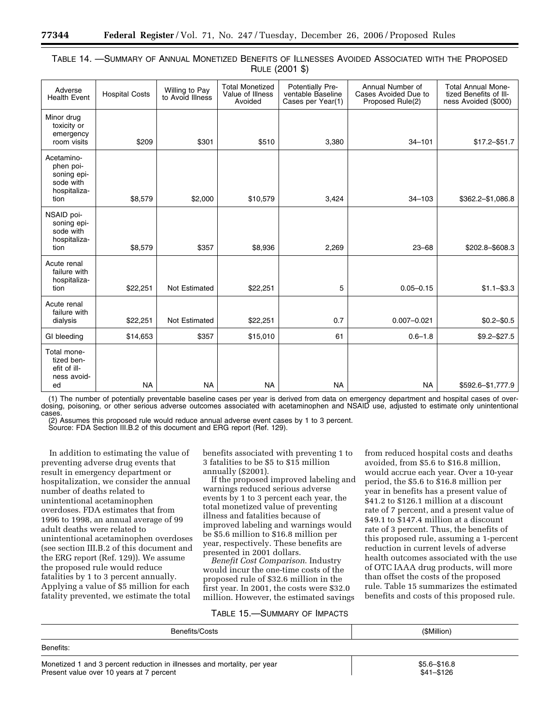| TABLE 14. - SUMMARY OF ANNUAL MONETIZED BENEFITS OF ILLNESSES AVOIDED ASSOCIATED WITH THE PROPOSED |  |  |                |  |  |  |  |
|----------------------------------------------------------------------------------------------------|--|--|----------------|--|--|--|--|
|                                                                                                    |  |  | RULE (2001 \$) |  |  |  |  |

| Adverse<br><b>Health Event</b>                                              | <b>Hospital Costs</b> | Willing to Pay<br>to Avoid Illness | <b>Total Monetized</b><br>Value of Illness<br>Avoided | Potentially Pre-<br>ventable Baseline<br>Cases per Year(1) | Annual Number of<br>Cases Avoided Due to<br>Proposed Rule(2) | <b>Total Annual Mone-</b><br>tized Benefits of III-<br>ness Avoided (\$000) |
|-----------------------------------------------------------------------------|-----------------------|------------------------------------|-------------------------------------------------------|------------------------------------------------------------|--------------------------------------------------------------|-----------------------------------------------------------------------------|
| Minor drug<br>toxicity or<br>emergency<br>room visits                       | \$209                 | \$301                              | \$510                                                 | 3,380                                                      | $34 - 101$                                                   | $$17.2 - $51.7$                                                             |
| Acetamino-<br>phen poi-<br>soning epi-<br>sode with<br>hospitaliza-<br>tion | \$8,579               | \$2,000                            | \$10,579                                              | 3,424                                                      | $34 - 103$                                                   | \$362.2-\$1,086.8                                                           |
| NSAID poi-<br>soning epi-<br>sode with<br>hospitaliza-<br>tion              | \$8,579               | \$357                              | \$8,936                                               | 2,269                                                      | $23 - 68$                                                    | \$202.8-\$608.3                                                             |
| Acute renal<br>failure with<br>hospitaliza-<br>tion                         | \$22,251              | Not Estimated                      | \$22,251                                              | 5                                                          | $0.05 - 0.15$                                                | $$1.1 - $3.3$                                                               |
| Acute renal<br>failure with<br>dialysis                                     | \$22,251              | Not Estimated                      | \$22,251                                              | 0.7                                                        | $0.007 - 0.021$                                              | $$0.2 - $0.5$                                                               |
| GI bleeding                                                                 | \$14,653              | \$357                              | \$15,010                                              | 61                                                         | $0.6 - 1.8$                                                  | $$9.2 - $27.5$                                                              |
| Total mone-<br>tized ben-<br>efit of ill-<br>ness avoid-<br>ed              | <b>NA</b>             | <b>NA</b>                          | <b>NA</b>                                             | <b>NA</b>                                                  | <b>NA</b>                                                    | \$592.6-\$1,777.9                                                           |
|                                                                             |                       |                                    |                                                       |                                                            |                                                              |                                                                             |

(1) The number of potentially preventable baseline cases per year is derived from data on emergency department and hospital cases of overdosing, poisoning, or other serious adverse outcomes associated with acetaminophen and NSAID use, adjusted to estimate only unintentional cases.

(2) Assumes this proposed rule would reduce annual adverse event cases by 1 to 3 percent.

Source: FDA Section III.B.2 of this document and ERG report (Ref. 129).

In addition to estimating the value of preventing adverse drug events that result in emergency department or hospitalization, we consider the annual number of deaths related to unintentional acetaminophen overdoses. FDA estimates that from 1996 to 1998, an annual average of 99 adult deaths were related to unintentional acetaminophen overdoses (see section III.B.2 of this document and the ERG report (Ref. 129)). We assume the proposed rule would reduce fatalities by 1 to 3 percent annually. Applying a value of \$5 million for each fatality prevented, we estimate the total

benefits associated with preventing 1 to 3 fatalities to be \$5 to \$15 million annually (\$2001).

If the proposed improved labeling and warnings reduced serious adverse events by 1 to 3 percent each year, the total monetized value of preventing illness and fatalities because of improved labeling and warnings would be \$5.6 million to \$16.8 million per year, respectively. These benefits are presented in 2001 dollars.

*Benefit Cost Comparison*. Industry would incur the one-time costs of the proposed rule of \$32.6 million in the first year. In 2001, the costs were \$32.0 million. However, the estimated savings

# TABLE 15.—SUMMARY OF IMPACTS

from reduced hospital costs and deaths avoided, from \$5.6 to \$16.8 million, would accrue each year. Over a 10-year period, the \$5.6 to \$16.8 million per year in benefits has a present value of \$41.2 to \$126.1 million at a discount rate of 7 percent, and a present value of \$49.1 to \$147.4 million at a discount rate of 3 percent. Thus, the benefits of this proposed rule, assuming a 1-percent reduction in current levels of adverse health outcomes associated with the use of OTC IAAA drug products, will more than offset the costs of the proposed rule. Table 15 summarizes the estimated benefits and costs of this proposed rule.

| Benefits/Costs | (\$Million) |
|----------------|-------------|
| Benefits:      |             |
|                | $A - A$     |

Monetized 1 and 3 percent reduction in illnesses and mortality, per year  $\sim$  \$5.6–\$16.8 Present value over 10 years at 7 percent  $$41–$126$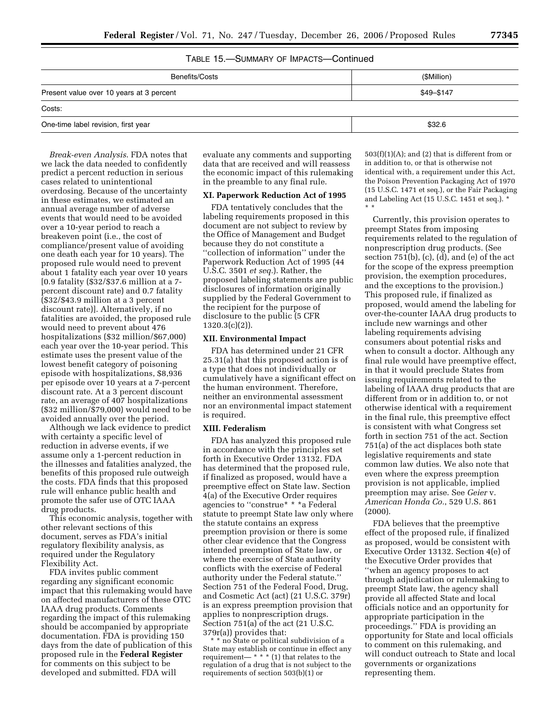# TABLE 15.—SUMMARY OF IMPACTS—Continued

| Benefits/Costs                           | (\$Million) |
|------------------------------------------|-------------|
| Present value over 10 years at 3 percent | \$49-\$147  |
| Costs:                                   |             |
| One-time label revision, first year      | \$32.6      |

*Break-even Analysis*. FDA notes that we lack the data needed to confidently predict a percent reduction in serious cases related to unintentional overdosing. Because of the uncertainty in these estimates, we estimated an annual average number of adverse events that would need to be avoided over a 10-year period to reach a breakeven point (i.e., the cost of compliance/present value of avoiding one death each year for 10 years). The proposed rule would need to prevent about 1 fatality each year over 10 years [0.9 fatality (\$32/\$37.6 million at a 7 percent discount rate) and 0.7 fatality (\$32/\$43.9 million at a 3 percent discount rate)]. Alternatively, if no fatalities are avoided, the proposed rule would need to prevent about 476 hospitalizations (\$32 million/\$67,000) each year over the 10-year period. This estimate uses the present value of the lowest benefit category of poisoning episode with hospitalizations, \$8,936 per episode over 10 years at a 7-percent discount rate. At a 3 percent discount rate, an average of 407 hospitalizations (\$32 million/\$79,000) would need to be avoided annually over the period.

Although we lack evidence to predict with certainty a specific level of reduction in adverse events, if we assume only a 1-percent reduction in the illnesses and fatalities analyzed, the benefits of this proposed rule outweigh the costs. FDA finds that this proposed rule will enhance public health and promote the safer use of OTC IAAA drug products.

This economic analysis, together with other relevant sections of this document, serves as FDA's initial regulatory flexibility analysis, as required under the Regulatory Flexibility Act.

FDA invites public comment regarding any significant economic impact that this rulemaking would have on affected manufacturers of these OTC IAAA drug products. Comments regarding the impact of this rulemaking should be accompanied by appropriate documentation. FDA is providing 150 days from the date of publication of this proposed rule in the **Federal Register**  for comments on this subject to be developed and submitted. FDA will

evaluate any comments and supporting data that are received and will reassess the economic impact of this rulemaking in the preamble to any final rule.

## **XI. Paperwork Reduction Act of 1995**

FDA tentatively concludes that the labeling requirements proposed in this document are not subject to review by the Office of Management and Budget because they do not constitute a ''collection of information'' under the Paperwork Reduction Act of 1995 (44 U.S.C. 3501 *et seq.*). Rather, the proposed labeling statements are public disclosures of information originally supplied by the Federal Government to the recipient for the purpose of disclosure to the public (5 CFR  $1320.3(c)(2)$ ).

#### **XII. Environmental Impact**

FDA has determined under 21 CFR 25.31(a) that this proposed action is of a type that does not individually or cumulatively have a significant effect on the human environment. Therefore, neither an environmental assessment nor an environmental impact statement is required.

#### **XIII. Federalism**

FDA has analyzed this proposed rule in accordance with the principles set forth in Executive Order 13132. FDA has determined that the proposed rule, if finalized as proposed, would have a preemptive effect on State law. Section 4(a) of the Executive Order requires agencies to ''construe\* \* \*a Federal statute to preempt State law only where the statute contains an express preemption provision or there is some other clear evidence that the Congress intended preemption of State law, or where the exercise of State authority conflicts with the exercise of Federal authority under the Federal statute.'' Section 751 of the Federal Food, Drug, and Cosmetic Act (act) (21 U.S.C. 379r) is an express preemption provision that applies to nonprescription drugs. Section 751(a) of the act (21 U.S.C. 379r(a)) provides that:

\* \* no State or political subdivision of a State may establish or continue in effect any requirement—  $***$  (1) that relates to the regulation of a drug that is not subject to the requirements of section 503(b)(1) or

 $503(f)(1)(A)$ ; and (2) that is different from or in addition to, or that is otherwise not identical with, a requirement under this Act, the Poison Prevention Packaging Act of 1970 (15 U.S.C. 1471 et seq.), or the Fair Packaging and Labeling Act (15 U.S.C. 1451 et seq.). \* \* \*

Currently, this provision operates to preempt States from imposing requirements related to the regulation of nonprescription drug products. (See section 751(b), (c), (d), and (e) of the act for the scope of the express preemption provision, the exemption procedures, and the exceptions to the provision.) This proposed rule, if finalized as proposed, would amend the labeling for over-the-counter IAAA drug products to include new warnings and other labeling requirements advising consumers about potential risks and when to consult a doctor. Although any final rule would have preemptive effect, in that it would preclude States from issuing requirements related to the labeling of IAAA drug products that are different from or in addition to, or not otherwise identical with a requirement in the final rule, this preemptive effect is consistent with what Congress set forth in section 751 of the act. Section 751(a) of the act displaces both state legislative requirements and state common law duties. We also note that even where the express preemption provision is not applicable, implied preemption may arise. See *Geier* v. *American Honda Co.*, 529 U.S. 861 (2000).

FDA believes that the preemptive effect of the proposed rule, if finalized as proposed, would be consistent with Executive Order 13132. Section 4(e) of the Executive Order provides that ''when an agency proposes to act through adjudication or rulemaking to preempt State law, the agency shall provide all affected State and local officials notice and an opportunity for appropriate participation in the proceedings.'' FDA is providing an opportunity for State and local officials to comment on this rulemaking, and will conduct outreach to State and local governments or organizations representing them.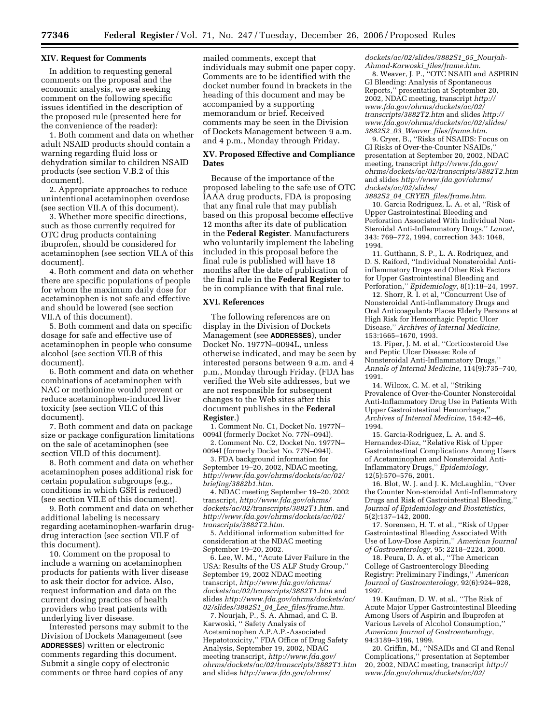### **XIV. Request for Comments**

In addition to requesting general comments on the proposal and the economic analysis, we are seeking comment on the following specific issues identified in the description of the proposed rule (presented here for the convenience of the reader):

1. Both comment and data on whether adult NSAID products should contain a warning regarding fluid loss or dehydration similar to children NSAID products (see section V.B.2 of this document).

2. Appropriate approaches to reduce unintentional acetaminophen overdose (see section VII.A of this document).

3. Whether more specific directions, such as those currently required for OTC drug products containing ibuprofen, should be considered for acetaminophen (see section VII.A of this document).

4. Both comment and data on whether there are specific populations of people for whom the maximum daily dose for acetaminophen is not safe and effective and should be lowered (see section VII.A of this document).

5. Both comment and data on specific dosage for safe and effective use of acetaminophen in people who consume alcohol (see section VII.B of this document).

6. Both comment and data on whether combinations of acetaminophen with NAC or methionine would prevent or reduce acetaminophen-induced liver toxicity (see section VII.C of this document).

7. Both comment and data on package size or package configuration limitations on the sale of acetaminophen (see section VII.D of this document).

8. Both comment and data on whether acetaminophen poses additional risk for certain population subgroups (e.g., conditions in which GSH is reduced) (see section VII.E of this document).

9. Both comment and data on whether additional labeling is necessary regarding acetaminophen-warfarin drugdrug interaction (see section VII.F of this document).

10. Comment on the proposal to include a warning on acetaminophen products for patients with liver disease to ask their doctor for advice. Also, request information and data on the current dosing practices of health providers who treat patients with underlying liver disease.

Interested persons may submit to the Division of Dockets Management (see **ADDRESSES**) written or electronic comments regarding this document. Submit a single copy of electronic comments or three hard copies of any

mailed comments, except that individuals may submit one paper copy. Comments are to be identified with the docket number found in brackets in the heading of this document and may be accompanied by a supporting memorandum or brief. Received comments may be seen in the Division of Dockets Management between 9 a.m. and 4 p.m., Monday through Friday.

# **XV. Proposed Effective and Compliance Dates**

Because of the importance of the proposed labeling to the safe use of OTC IAAA drug products, FDA is proposing that any final rule that may publish based on this proposal become effective 12 months after its date of publication in the **Federal Register**. Manufacturers who voluntarily implement the labeling included in this proposal before the final rule is published will have 18 months after the date of publication of the final rule in the **Federal Register** to be in compliance with that final rule.

# **XVI. References**

The following references are on display in the Division of Dockets Management (see **ADDRESSES**), under Docket No. 1977N–0094L, unless otherwise indicated, and may be seen by interested persons between 9 a.m. and 4 p.m., Monday through Friday. (FDA has verified the Web site addresses, but we are not responsible for subsequent changes to the Web sites after this document publishes in the **Federal Register**.)

1. Comment No. C1, Docket No. 1977N– 0094I (formerly Docket No. 77N–094I).

2. Comment No. C2, Docket No. 1977N– 0094I (formerly Docket No. 77N–094I).

3. FDA background information for September 19–20, 2002, NDAC meeting, *http://www.fda.gov/ohrms/dockets/ac/02/ briefing/3882b1.htm*.

4. NDAC meeting September 19–20, 2002 transcript, *http://www.fda.gov/ohrms/ dockets/ac/02/transcripts/3882T1.htm*. and *http://www.fda.gov/ohrms/dockets/ac/02/ transcripts/3882T2.htm*.

5. Additional information submitted for consideration at the NDAC meeting September 19–20, 2002.

6. Lee, W. M., ''Acute Liver Failure in the USA: Results of the US ALF Study Group,'' September 19, 2002 NDAC meeting transcript, *http://www.fda.gov/ohrms/ dockets/ac/02/transcripts/3882T1.htm* and slides *http://www.fda.gov/ohrms/dockets/ac/ 02/slides/3882S1*\_*04*\_*Lee*\_*files/frame.htm*.

7. Nourjah, P., S. A. Ahmad, and C. B. Karwoski, '' Safety Analysis of Acetaminophen A.P.A.P.-Associated Hepatotoxicity,'' FDA Office of Drug Safety Analysis, September 19, 2002, NDAC meeting transcript, *http://www.fda.gov/ ohrms/dockets/ac/02/transcripts/3882T1.htm*  and slides *http://www.fda.gov/ohrms/* 

*dockets/ac/02/slides/3882S1*\_*05*\_*Nourjah-Ahmad-Karwoski*\_*files/frame.htm*.

8. Weaver, J. P., ''OTC NSAID and ASPIRIN GI Bleeding: Analysis of Spontaneous Reports,'' presentation at September 20, 2002, NDAC meeting, transcript *http:// www.fda.gov/ohrms/dockets/ac/02/ transcripts/3882T2.htm* and slides *http:// www.fda.gov/ohrms/dockets/ac/02/slides/ 3882S2*\_*03*\_*Weaver*\_*files/frame.htm*.

9. Cryer, B., ''Risks of NSAIDS: Focus on GI Risks of Over-the-Counter NSAIDs,'' presentation at September 20, 2002, NDAC meeting, transcript *http://www.fda.gov/ ohrms/dockets/ac/02/transcripts/3882T2.htm*  and slides *http://www.fda.gov/ohrms/ dockets/ac/02/slides/* 

*3882S2*\_*04*\_*CRYER*\_*files/frame.htm*. 10. Garcia Rodriguez, L. A. et al, ''Risk of Upper Gastrointestinal Bleeding and Perforation Associated With Individual Non-Steroidal Anti-Inflammatory Drugs,'' *Lancet*, 343: 769–772, 1994, correction 343: 1048, 1994.

11. Gutthann, S. P., L. A. Rodriquez, and D. S. Raiford, ''Individual Nonsteroidal Antiinflammatory Drugs and Other Risk Factors for Upper Gastrointestinal Bleeding and Perforation,'' *Epidemiology*, 8(1):18–24, 1997.

12. Shorr, R. I. et al, ''Concurrent Use of Nonsteroidal Anti-inflammatory Drugs and Oral Anticoagulants Places Elderly Persons at High Risk for Hemorrhagic Peptic Ulcer Disease,'' *Archives of Internal Medicine*, 153:1665–1670, 1993.

13. Piper, J. M. et al, ''Corticosteroid Use and Peptic Ulcer Disease: Role of Nonsteroidal Anti-Inflammatory Drugs,'' *Annals of Internal Medicine*, 114(9):735–740, 1991.

14. Wilcox, C. M. et al, ''Striking Prevalence of Over-the-Counter Nonsteroidal Anti-Inflammatory Drug Use in Patients With Upper Gastrointestinal Hemorrhage,'' *Archives of Internal Medicine*, 154:42–46, 1994.

15. Garcia-Rodriguez, L. A. and S. Hernandez-Diaz, ''Relative Risk of Upper Gastrointestinal Complications Among Users of Acetaminophen and Nonsteroidal Anti-Inflammatory Drugs,'' *Epidemiology*, 12(5):570–576, 2001.

16. Blot, W. J. and J. K. McLaughlin, ''Over the Counter Non-steroidal Anti-Inflammatory Drugs and Risk of Gastrointestinal Bleeding,'' *Journal of Epidemiology and Biostatistics*, 5(2):137–142, 2000.

17. Sorensen, H. T. et al., ''Risk of Upper Gastrointestinal Bleeding Associated With Use of Low-Dose Aspirin,'' *American Journal of Gastroenterology*, 95: 2218–2224, 2000.

18. Peura, D. A. et al., ''The American College of Gastroenterology Bleeding Registry: Preliminary Findings,'' *American Journal of Gastroenterology*, 92(6):924–928, 1997.

19. Kaufman, D. W. et al., ''The Risk of Acute Major Upper Gastrointestinal Bleeding Among Users of Aspirin and Ibuprofen at Various Levels of Alcohol Consumption,'' *American Journal of Gastroenterology*, 94:3189–3196, 1999.

20. Griffin, M., ''NSAIDs and GI and Renal Complications,'' presentation at September 20, 2002, NDAC meeting, transcript *http:// www.fda.gov/ohrms/dockets/ac/02/*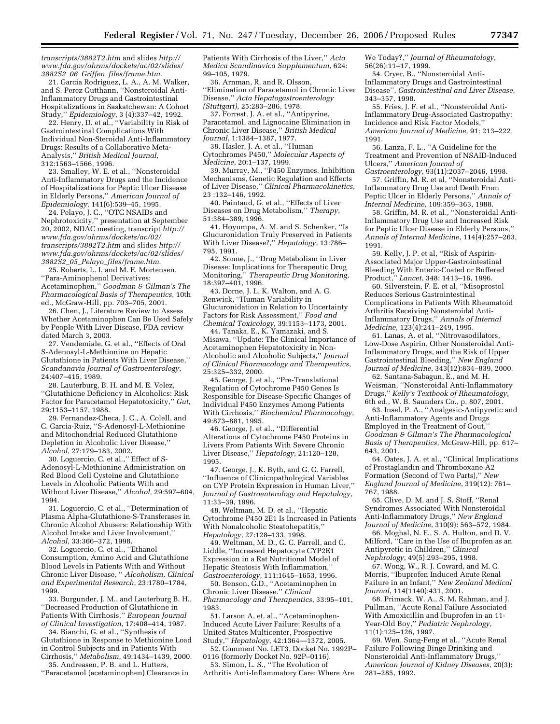*transcripts/3882T2.htm* and slides *http:// www.fda.gov/ohrms/dockets/ac/02/slides/ 3882S2*\_*06*\_*Griffen*\_*files/frame.htm*.

21. Garcia Rodriguez, L. A., A. M. Walker, and S. Perez Gutthann, ''Nonsteroidal Anti-Inflammatory Drugs and Gastrointestinal Hospitalizations in Saskatchewan: A Cohort Study,'' *Epidemiology*, 3 (4):337–42, 1992.

22. Henry, D. et al., ''Variability in Risk of Gastrointestinal Complications With Individual Non-Steroidal Anti-Inflammatory Drugs: Results of a Collaborative Meta-Analysis,'' *British Medical Journal*, 312:1563–1566, 1996.

23. Smalley, W. E. et al., ''Nonsteroidal Anti-Inflammatory Drugs and the Incidence of Hospitalizations for Peptic Ulcer Disease in Elderly Persons,'' *American Journal of Epidemiology*, 141(6):539–45, 1995.

24. Pelayo, J. C., ''OTC NSAIDs and Nephrotoxicity,'' presentation at September 20, 2002, NDAC meeting, transcript *http:// www.fda.gov/ohrms/dockets/ac/02/ transcripts/3882T2.htm* and slides *http:// www.fda.gov/ohrms/dockets/ac/02/slides/ 3882S2*\_*05*\_*Pelayo*\_*files/frame.htm*.

25. Roberts, L. I. and M. E. Mortensen, ''Para-Aminophenol Derivatives: Acetaminophen,'' *Goodman & Gilman's The Pharmacological Basis of Therapeutics*, 10th ed., McGraw-Hill, pp. 703–705, 2001.

26. Chen, J., Literature Review to Assess Whether Acetaminophen Can Be Used Safely by People With Liver Disease, FDA review dated March 3, 2003.

27. Vendemiale, G. et al., ''Effects of Oral S-Adenosyl-L-Methionine on Hepatic Glutathione in Patients With Liver Disease,'' *Scandanavia Journal of Gastroenterology*, 24:407–415, 1989.

28. Lauterburg, B. H. and M. E. Velez, ''Glutathione Deficiency in Alcoholics: Risk Factor for Paracetamol Hepatotoxicity,'' *Gut*, 29:1153–1157, 1988.

29. Fernandez-Checa, J. C., A. Colell, and C. Garcia-Ruiz, ''S-Adenosyl-L-Methionine and Mitochondrial Reduced Glutathione Depletion in Alcoholic Liver Disease,'' *Alcohol*, 27:179–183, 2002.

30. Loguercio, C. et al.,'' Effect of S-Adenosyl-L-Methionine Administration on Red Blood Cell Cysteine and Glutathione Levels in Alcoholic Patients With and Without Liver Disease,'' *Alcohol*, 29:597–604, 1994.

31. Loguercio, C. et al., ''Determination of Plasma Alpha-Glutathione-S-Transferases in Chronic Alcohol Abusers: Relationship With Alcohol Intake and Liver Involvement,'' *Alcohol*, 33:366–372, 1998.

32. Loguercio, C. et al., ''Ethanol Consumption, Amino Acid and Glutathione Blood Levels in Patients With and Without Chronic Liver Disease, '' *Alcoholism, Clinical and Experimental Research*, 23:1780–1784, 1999.

33. Burgunder, J. M., and Lauterburg B. H., ''Decreased Production of Glutathione in Patients With Cirrhosis,'' *European Journal of Clinical Investigation*, 17:408–414, 1987.

34. Bianchi, G. et al., ''Synthesis of Glutathione in Response to Methionine Load in Control Subjects and in Patients With Cirrhosis,'' *Metabolism*, 49:1434–1439, 2000.

35. Andreasen, P. B. and L. Hutters, ''Paracetamol (acetaminophen) Clearance in Patients With Cirrhosis of the Liver,'' *Acta Medica Scandinavica Supplementum*, 624: 99–105, 1979.

36. Arnman, R. and R. Olsson, ''Elimination of Paracetamol in Chronic Liver Disease,'' *Acta Hepatogastroenterology (Stuttgart)*, 25:283–286, 1978.

37. Forrest, J. A. et al., ''Antipyrine, Paracetamol, and Lignocaine Elimination in Chronic Liver Disease,'' *British Medical Journal*, 1:1384–1387, 1977.

38. Hasler, J. A. et al., ''Human

Cytochromes P450,'' *Molecular Aspects of Medicine*, 20:1–137, 1999.

39. Murray, M., ''P450 Enzymes. Inhibition Mechanisms, Genetic Regulation and Effects of Liver Disease,'' *Clinical Pharmacokinetics*, 23 :132–146, 1992.

40. Paintaud, G. et al., ''Effects of Liver Diseases on Drug Metabolism,'' *Therapy*, 51:384–389, 1996.

41. Hoyumpa, A. M. and S. Schenker, ''Is Glucuronidation Truly Preserved in Patients With Liver Disease?,'' *Hepatology*, 13:786– 795, 1991.

42. Sonne, J., ''Drug Metabolism in Liver Disease: Implications for Therapeutic Drug Monitoring,'' *Therapeutic Drug Monitoring*, 18:397–401, 1996.

43. Dorne, J. L, K. Walton, and A. G. Renwick, ''Human Variability in Glucuronidation in Relation to Uncertainty Factors for Risk Assessment,'' *Food and Chemical Toxicology*, 39:1153–1173, 2001.

44. Tanaka, E., K. Yamazaki, and S. Misawa, ''Update: The Clinical Importance of Acetaminophen Hepatotoxicity in Non-Alcoholic and Alcoholic Subjects,'' *Journal of Clinical Pharmacology and Therapeutics*, 25:325–332, 2000.

45. George, J. et al., ''Pre-Translational Regulation of Cytochrome P450 Genes Is Responsible for Disease-Specific Changes of Individual P450 Enzymes Among Patients With Cirrhosis,'' *Biochemical Pharmacology*, 49:873–881, 1995.

46. George, J. et al., ''Differential Alterations of Cytochrome P450 Proteins in Livers From Patients With Severe Chronic Liver Disease,'' *Hepatology*, 21:120–128, 1995.

47. George, J., K. Byth, and G. C. Farrell, ''Influence of Clinicopathological Variables on CYP Protein Expression in Human Liver,'' *Journal of Gastroenterology and Hepatology*, 11:33–39, 1996.

48. Weltman, M. D. et al., ''Hepatic Cytochrome P450 2E1 Is Increased in Patients With Nonalcoholic Steatohepatitis,'' *Hepatology*, 27:128–133, 1998.

49. Weltman, M. D., G. C. Farrell, and C. Liddle, ''Increased Hepatocyte CYP2E1 Expression in a Rat Nutritional Model of Hepatic Steatosis With Inflammation,'' *Gastroenterology*, 111:1645–1653, 1996.

50. Benson, G.D., ''Acetaminophen in Chronic Liver Disease.'' *Clinical Pharmacology and Therapeutics*, 33:95–101, 1983.

51. Larson A, et. al., ''Acetaminophen-Induced Acute Liver Failure: Results of a United States Multicenter, Prospective Study,'' *Hepatology*, 42:1364—1372, 2005.

52. Comment No. LET3, Docket No. 1992P– 0116 (formerly Docket No. 92P–0116).

53. Simon, L. S., ''The Evolution of Arthritis Anti-Inflammatory Care: Where Are We Today?,'' *Journal of Rheumatology*, 56(26):11–17, 1999.

54. Cryer, B., ''Nonsteroidal Anti-Inflammatory Drugs and Gastrointestinal Disease'', *Gastrointestinal and Liver Disease*, 343–357, 1998.

55. Fries, J. F. et al., ''Nonsteroidal Anti-Inflammatory Drug-Associated Gastropathy: Incidence and Risk Factor Models,'' *American Journal of Medicine*, 91: 213–222, 1991.

56. Lanza, F. L., ''A Guideline for the Treatment and Prevention of NSAID-Induced Ulcers,'' *American Journal of Gastroenterology*, 93(11):2037–2046, 1998.

57. Griffin, M. R. et al, ''Nonsteroidal Anti-Inflammatory Drug Use and Death From Peptic Ulcer in Elderly Persons,'' *Annals of Internal Medicine*, 109:359–363, 1988.

58. Griffin, M. R. et al., ''Nonsteroidal Anti-Inflammatory Drug Use and Increased Risk for Peptic Ulcer Disease in Elderly Persons,'' *Annals of Internal Medicine*, 114(4):257–263, 1991.

59. Kelly, J. P. et al, ''Risk of Aspirin-Associated Major Upper-Gastrointestinal Bleeding With Enteric-Coated or Buffered Product,'' *Lancet*, 348: 1413–16, 1996.

60. Silverstein, F. E. et al, ''Misoprostol Reduces Serious Gastrointestinal Complications in Patients With Rheumatoid Arthritis Receiving Nonsteroidal Anti-Inflammatory Drugs,'' *Annals of Internal Medicine*, 123(4):241–249, 1995.

61. Lanas, A. et al, ''Nitrovasodilators, Low-Dose Aspirin, Other Nonsteroidal Anti-Inflammatory Drugs, and the Risk of Upper Gastrointestinal Bleeding,'' *New England Journal of Medicine*, 343(12):834–839, 2000.

62. Santana-Sabagun, E., and M. H. Weisman, ''Nonsteroidal Anti-Inflammatory Drugs,'' *Kelly's Textbook of Rheumatology*, 6th ed., W. B. Saunders Co., p. 807, 2001.

63. Insel, P. A., ''Analgesic-Antipyretic and Anti-Inflammatory Agents and Drugs Employed in the Treatment of Gout,'' *Goodman & Gilman's The Pharmacological Basis of Therapeutics*, McGraw-Hill, pp. 617– 643, 2001.

64. Oates, J. A. et al., ''Clinical Implications of Prostaglandin and Thromboxane A2 Formation (Second of Two Parts),'' *New England Journal of Medicine*, 319(12): 761– 767, 1988.

65. Clive, D. M. and J. S. Stoff, ''Renal Syndromes Associated With Nonsteroidal Anti-Inflammatory Drugs,'' *New England Journal of Medicine*, 310(9): 563–572, 1984.

66. Moghal, N. E., S. A. Hulton, and D. V. Milford, ''Care in the Use of Ibuprofen as an Antipyretic in Children,'' *Clinical Nephrology*, 49(5):293–295, 1998.

67. Wong, W., R. J. Coward, and M. C. Morris, ''Ibuprofen Induced Acute Renal Failure in an Infant,'' *New Zealand Medical Journal*, 114(1140):431, 2001.

68. Primack, W. A., S. M. Rahman, and J. Pullman, ''Acute Renal Failure Associated With Amoxicillin and Ibuprofen in an 11- Year-Old Boy,'' *Pediatric Nephrology*, 11(1):125–126, 1997.

69. Wen, Sung-Feng et al., ''Acute Renal Failure Following Binge Drinking and Nonsteroidal Anti-Inflammatory Drugs,'' *American Journal of Kidney Diseases*, 20(3): 281–285, 1992.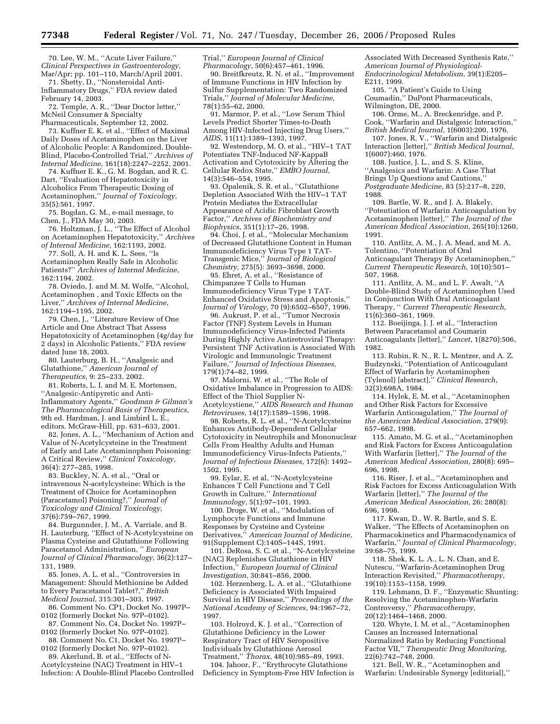70. Lee, W. M., ''Acute Liver Failure,'' *Clinical Perspectives in Gastroenterology*, Mar/Apr; pp. 101–110, March/April 2001.

71. Shetty, D., ''Nonsteroidal Anti-Inflammatory Drugs,'' FDA review dated February 14, 2003.

72. Temple, A. R., ''Dear Doctor letter,'' McNeil Consumer & Specialty

Pharmaceuticals, September 12, 2002. 73. Kuffner E. K. et al., ''Effect of Maximal Daily Doses of Acetaminophen on the Liver of Alcoholic People: A Randomized, Double-Blind, Placebo-Controlled Trial,'' *Archives of Internal Medicine*, 161(18):2247–2252, 2001.

74. Kuffner E. K., G. M. Bogdan, and R. C. Dart, ''Evaluation of Hepatotoxicity in Alcoholics From Therapeutic Dosing of Acetaminophen,'' *Journal of Toxicology*, 35(5):561, 1997.

75. Bogdan, G. M., e-mail message, to Chen, J., FDA May 30, 2003.

76. Holtzman, J. L., ''The Effect of Alcohol on Acetaminophen Hepatotoxicity,'' *Archives of Internal Medicine*, 162:1193, 2002.

77. Soll, A. H. and K. L. Sees, ''Is Acetaminophen Really Safe in Alcoholic Patients?'' *Archives of Internal Medicine*, 162:1194, 2002.

78. Oviedo, J. and M. M. Wolfe, ''Alcohol, Acetaminophen , and Toxic Effects on the Liver,'' *Archives of Internal Medicine*, 162:1194–1195, 2002.

79. Chen, J., ''Literature Review of One Article and One Abstract That Assess Hepatotoxicity of Acetaminophen (4g/day for 2 days) in Alcoholic Patients,'' FDA review dated June 18, 2003.

80. Lauterburg, B. H., ''Analgesic and Glutathione,'' *American Journal of Therapeutics*, 9: 25–233, 2002.

81. Roberts, L. I. and M. E. Mortensen, ''Analgesic-Antipyretic and Anti-Inflammatory Agents,'' *Goodman & Gilman's The Pharmacological Basis of Therapeutics*, 9th ed. Hardman, J. and Limbird L. E., editors. McGraw-Hill, pp. 631–633, 2001.

82. Jones, A. L., ''Mechanism of Action and Value of N-Acetylcysteine in the Treatment of Early and Late Acetaminophen Poisoning: A Critical Review,'' *Clinical Toxicology*, 36(4): 277–285, 1998.

83. Buckley, N. A. et al., ''Oral or intravenous N-acetylcysteine: Which is the Treatment of Choice for Acetaminophen (Paracetamol) Poisoning?,'' *Journal of Toxicology and Clinical Toxicology*, 37(6):759–767, 1999.

84. Burgunnder, J. M., A. Varriale, and B. H. Lauterburg, ''Effect of N-Acetylcysteine on Plasma Cysteine and Glutathione Following Paracetamol Administration, '' *European Journal of Clinical Pharmacology*, 36(2):127– 131, 1989.

85. Jones, A. L. et al., ''Controversies in Management: Should Methionine be Added to Every Paracetamol Tablet?,'' *British Medical Journal*, 315:301–303, 1997.

86. Comment No. CP1, Docket No. 1997P– 0102 (formerly Docket No. 97P–0102).

87. Comment No. C4, Docket No. 1997P– 0102 (formerly Docket No. 97P–0102).

88. Comment No. C1, Docket No. 1997P– 0102 (formerly Docket No. 97P–0102).

89. Akerlund, B. et al., ''Effects of N-

Acetylcysteine (NAC) Treatment in HIV–1 Infection: A Double-Blind Placebo Controlled Trial,'' *European Journal of Clinical Pharmacology*, 50(6):457–461, 1996.

90. Breitfkreutz, R. N. et al., ''Improvement of Immune Functions in HIV Infection by Sulfur Supplementation: Two Randomized Trials,'' *Journal of Molecular Medicine*, 78(1):55–62, 2000.

91. Marmor, P. et al., ''Low Serum Thiol Levels Predict Shorter Times-to-Death Among HIV-Infected Injecting Drug Users,'' *AIDS*, 11(11):1389–1393, 1997.

92. Westendorp, M. O. et al., ''HIV–1 TAT Potentiates TNF-Induced NF-KappaB Activation and Cytotoxicity by Altering the Cellular Redox State,'' *EMBO Journal*, 14(3):546–554, 1995.

93. Opalenik, S. R. et al., ''Glutathione Depletion Associated With the HIV–1 TAT Protein Mediates the Extracellular Appearance of Acidic Fibroblast Growth Factor,'' *Archives of Biochemistry and Biophysics*, 351(1):17–26, 1998.

94. Choi, J. et al., ''Molecular Mechanism of Decreased Glutathione Content in Human Immunodeficiency Virus Type 1 TAT-Transgenic Mice,'' *Journal of Biological Chemistry*, 275(5): 3693–3698, 2000.

95. Ehret, A. et al., ''Resistance of Chimpanzee T Cells to Human Immunodeficiency Virus Type 1 TAT-Enhanced Oxidative Stress and Apoptosis,'' *Journal of Virology*, 70 (9):6502–6507, 1996.

96. Aukrust, P. et al., ''Tumor Necrosis Factor (TNF) System Levels in Human Immunodeficiency Virus-Infected Patients During Highly Active Antiretroviral Therapy: Persistent TNF Activation is Associated With Virologic and Immunologic Treatment Failure,'' *Journal of Infectious Diseases*, 179(1):74–82, 1999.

97. Malorni, W. et al., ''The Role of Oxidative Imbalance in Progression to AIDS: Effect of the Thiol Supplier N-Acetylcystiene,'' *AIDS Research and Human Retroviruses*, 14(17):1589–1596, 1998.

98. Roberts, R. L. et al., ''N-Acetylcysteine Enhances Antibody-Dependent Cellular Cytotoxicity in Neutrophils and Mononuclear Cells From Healthy Adults and Human Immunodeficiency Virus-Infects Patients,'' *Journal of Infectious Diseases*, 172(6): 1492– 1502, 1995.

99. Eylar, E. et al, ''N-Acetylcysteine Enhances T Cell Functions and T Cell Growth in Culture,'' *International Immunology*, 5(1):97–101, 1993.

100. Droge, W. et al., ''Modulation of Lymphocyte Functions and Immune Responses by Cysteine and Cysteine Derivatives,'' *American Journal of Medicine*, 91(Supplement C):140S–144S, 1991.

101. DeRosa, S. C. et al., ''N-Acetylcysteine (NAC) Replenishes Glutathione in HIV Infection,'' *European Journal of Clinical Investigation*, 30:841–856, 2000.

102. Herzenberg, L. A. et al., ''Glutathione Deficiency is Associated With Impaired Survival in HIV Disease,'' *Proceedings of the National Academy of Sciences*, 94:1967–72, 1997.

103. Holroyd, K. J. et al., ''Correction of Glutathione Deficiency in the Lower Respiratory Tract of HIV Seropositive Individuals by Glutathione Aerosol Treatment,'' *Thorax*, 48(10):985–89, 1993.

104. Jahoor, F., ''Erythrocyte Glutathione Deficiency in Symptom-Free HIV Infection is Associated With Decreased Synthesis Rate,'' *American Journal of Physiological-Endocrinological Metabolism*, 39(1):E205– E211, 1999.

105. ''A Patient's Guide to Using Coumadin,'' DuPont Pharmaceuticals, Wilmington, DE, 2000.

106. Orme, M., A. Breckenridge, and P. Cook, ''Warfarin and Distalgesic Interaction,'' *British Medical Journal*, 1(6003):200, 1976.

107. Jones, R. V., ''Warfarin and Distalgesic Interaction [letter],'' *British Medical Journal*, 1(6007):460, 1976.

108. Justice, J. L., and S. S. Kline, ''Analgesics and Warfarin: A Case That Brings Up Questions and Cautions,'' *Postgraduate Medicine*, 83 (5):217–8, 220,

1988.

109. Bartle, W. R., and J. A. Blakely, ''Potentiation of Warfarin Anticoagulation by Acetaminophen [letter],'' *The Journal of the American Medical Association*, 265(10):1260, 1991.

110. Antlitz, A. M., J. A. Mead, and M. A. Tolentino, ''Potentiation of Oral Anticoagulant Therapy By Acetaminophen,'' *Current Therapeutic Research*, 10(10):501– 507, 1968.

111. Antlitz, A. M., and L. F. Awalt, ''A Double-Blind Study of Acetaminophen Used in Conjunction With Oral Anticoagulant Therapy, '' *Current Therapeutic Research*, 11(6):360–361, 1969.

112. Boeijinga, J. J. et al., ''Interaction Between Paracetamol and Coumarin Anticoagulants [letter],'' *Lancet*, 1(8270):506, 1982.

113. Rubin, R. N., R. L. Mentzer, and A. Z. Budzynski, ''Potentiation of Anticoagulant Effect of Warfarin by Acetaminophen (Tylenol) [abstract],'' *Clinical Research*, 32(3):698A, 1984.

114. Hylek, E. M. et al., ''Acetaminophen and Other Risk Factors for Excessive Warfarin Anticoagulation,'' *The Journal of the American Medical Association*, 279(9): 657–662, 1998.

115. Amato, M. G. et al., ''Acetaminophen and Risk Factors for Excess Anticoagulation With Warfarin [letter],'' *The Journal of the American Medical Association*, 280(8): 695– 696, 1998.

116. Riser, J. et al., ''Acetaminophen and Risk Factors for Excess Anticoagulation With Warfarin [letter],'' *The Journal of the American Medical Association*, 26; 280(8): 696, 1998.

117. Kwan, D., W. R. Bartle, and S. E. Walker, ''The Effects of Acetaminophen on Pharmacokinetics and Pharmacodynamics of Warfarin,'' *Journal of Clinical Pharmacology*, 39:68–75, 1999.

118. Shek, K. L. A., L. N. Chan, and E. Nutescu, ''Warfarin-Acetaminophen Drug Interaction Revisited,'' *Pharmacotherapy*, 19(10):1153–1158, 1999.

119. Lehmann, D. F., ''Enzymatic Shunting: Resolving the Acetaminophen-Warfarin Controversy,'' *Pharmacotherapy*, 20(12):1464–1468, 2000.

120. Whyte, I. M. et al., ''Acetaminophen Causes an Increased International Normalized Ratio by Reducing Functional Factor VII,'' *Therapeutic Drug Monitoring*, 22(6):742–748, 2000.

121. Bell, W. R., ''Acetaminophen and Warfarin: Undesirable Synergy [editorial],''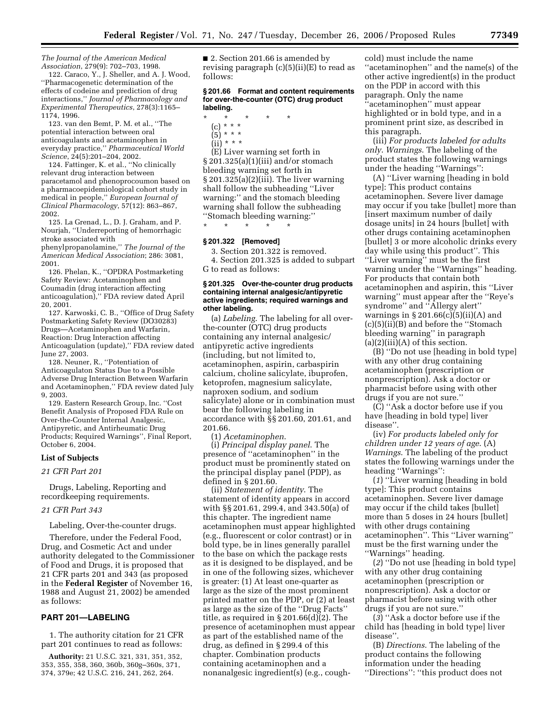*The Journal of the American Medical Association*, 279(9): 702–703, 1998.

122. Caraco, Y., J. Sheller, and A. J. Wood, ''Pharmacogenetic determination of the effects of codeine and prediction of drug interactions,'' *Journal of Pharmacology and Experimental Therapeutics*, 278(3):1165– 1174, 1996.

123. van den Bemt, P. M. et al., ''The potential interaction between oral anticoagulants and acetaminophen in everyday practice,'' *Pharmaceutical World Science*, 24(5):201–204, 2002.

124. Fattinger, K. et al., ''No clinically relevant drug interaction between paracetamol and phenoprocoumon based on a pharmacoepidemiological cohort study in medical in people,'' *European Journal of Clinical Pharmacology*, 57(12): 863–867, 2002.

125. La Grenad, L., D. J. Graham, and P. Nourjah, ''Underreporting of hemorrhagic stroke associated with

phenylpropanolamine,'' *The Journal of the American Medical Association*; 286: 3081, 2001.

126. Phelan, K., ''OPDRA Postmarketing Safety Review: Acetaminophen and Coumadin (drug interaction affecting anticoagulation),'' FDA review dated April 20, 2001.

127. Karwoski, C. B., ''Office of Drug Safety Postmarketing Safety Review (DO30283) Drugs—Acetaminophen and Warfarin, Reaction: Drug Interaction affecting Anticoagulation (update),'' FDA review dated June 27, 2003.

128. Neuner, R., ''Potentiation of Anticoagulaton Status Due to a Possible Adverse Drug Interaction Between Warfarin and Acetaminophen,'' FDA review dated July 9, 2003.

129. Eastern Research Group, Inc. ''Cost Benefit Analysis of Proposed FDA Rule on Over-the-Counter Internal Analgesic, Antipyretic, and Antirheumatic Drug Products; Required Warnings'', Final Report, October 6, 2004.

#### **List of Subjects**

*21 CFR Part 201* 

Drugs, Labeling, Reporting and recordkeeping requirements.

#### *21 CFR Part 343*

Labeling, Over-the-counter drugs.

Therefore, under the Federal Food, Drug, and Cosmetic Act and under authority delegated to the Commissioner of Food and Drugs, it is proposed that 21 CFR parts 201 and 343 (as proposed in the **Federal Register** of November 16, 1988 and August 21, 2002) be amended as follows:

# **PART 201—LABELING**

1. The authority citation for 21 CFR part 201 continues to read as follows:

**Authority:** 21 U.S.C. 321, 331, 351, 352, 353, 355, 358, 360, 360b, 360g–360s, 371, 374, 379e; 42 U.S.C. 216, 241, 262, 264.

■ 2. Section 201.66 is amended by revising paragraph (c)(5)(ii)(E) to read as follows:

#### **§ 201.66 Format and content requirements for over-the-counter (OTC) drug product labeling.**

- \* \* \* \* \*
	- (c) \* \* \*
	- $(5) * * *$
	- (ii) \* \* \*

(E) Liver warning set forth in § 201.325(a)(1)(iii) and/or stomach bleeding warning set forth in § 201.325(a)(2)(iii). The liver warning shall follow the subheading ''Liver warning:'' and the stomach bleeding warning shall follow the subheading ''Stomach bleeding warning:''

\* \* \* \* \*

### **§ 201.322 [Removed]**

3. Section 201.322 is removed. 4. Section 201.325 is added to subpart G to read as follows:

#### **§ 201.325 Over-the-counter drug products containing internal analgesic/antipyretic active ingredients; required warnings and other labeling.**

(a) *Labeling*. The labeling for all overthe-counter (OTC) drug products containing any internal analgesic/ antipyretic active ingredients (including, but not limited to, acetaminophen, aspirin, carbaspirin calcium, choline salicylate, ibuprofen, ketoprofen, magnesium salicylate, naproxen sodium, and sodium salicylate) alone or in combination must bear the following labeling in accordance with §§ 201.60, 201.61, and 201.66.

(1) *Acetaminophen*.

(i) *Principal display panel*. The presence of ''acetaminophen'' in the product must be prominently stated on the principal display panel (PDP), as defined in § 201.60.

(ii) *Statement of identity*. The statement of identity appears in accord with §§ 201.61, 299.4, and 343.50(a) of this chapter. The ingredient name acetaminophen must appear highlighted (e.g., fluorescent or color contrast) or in bold type, be in lines generally parallel to the base on which the package rests as it is designed to be displayed, and be in one of the following sizes, whichever is greater: (1) At least one-quarter as large as the size of the most prominent printed matter on the PDP, or (2) at least as large as the size of the ''Drug Facts'' title, as required in § 201.66(d)(2). The presence of acetaminophen must appear as part of the established name of the drug, as defined in § 299.4 of this chapter. Combination products containing acetaminophen and a nonanalgesic ingredient(s) (e.g., coughcold) must include the name ''acetaminophen'' and the name(s) of the other active ingredient(s) in the product on the PDP in accord with this paragraph. Only the name ''acetaminophen'' must appear highlighted or in bold type, and in a prominent print size, as described in this paragraph.

(iii) *For products labeled for adults only*. *Warnings*. The labeling of the product states the following warnings under the heading ''Warnings'':

(A) ''Liver warning [heading in bold type]: This product contains acetaminophen. Severe liver damage may occur if you take [bullet] more than [insert maximum number of daily dosage units] in 24 hours [bullet] with other drugs containing acetaminophen [bullet] 3 or more alcoholic drinks every day while using this product''. This ''Liver warning'' must be the first warning under the ''Warnings'' heading. For products that contain both acetaminophen and aspirin, this ''Liver warning'' must appear after the ''Reye's syndrome'' and ''Allergy alert'' warnings in  $\S 201.66(c)(5)(ii)(A)$  and (c)(5)(ii)(B) and before the ''Stomach bleeding warning'' in paragraph  $(a)(2)(iii)(A)$  of this section.

(B) ''Do not use [heading in bold type] with any other drug containing acetaminophen (prescription or nonprescription). Ask a doctor or pharmacist before using with other drugs if you are not sure.''

(C) ''Ask a doctor before use if you have [heading in bold type] liver disease''.

(iv) *For products labeled only for children under 12 years of age*. (A) *Warnings*. The labeling of the product states the following warnings under the heading ''Warnings'':

(*1*) ''Liver warning [heading in bold type]: This product contains acetaminophen. Severe liver damage may occur if the child takes [bullet] more than 5 doses in 24 hours [bullet] with other drugs containing acetaminophen''. This ''Liver warning'' must be the first warning under the ''Warnings'' heading.

(*2*) ''Do not use [heading in bold type] with any other drug containing acetaminophen (prescription or nonprescription). Ask a doctor or pharmacist before using with other drugs if you are not sure.''

(*3*) ''Ask a doctor before use if the child has [heading in bold type] liver disease''.

(B) *Directions*. The labeling of the product contains the following information under the heading ''Directions'': ''this product does not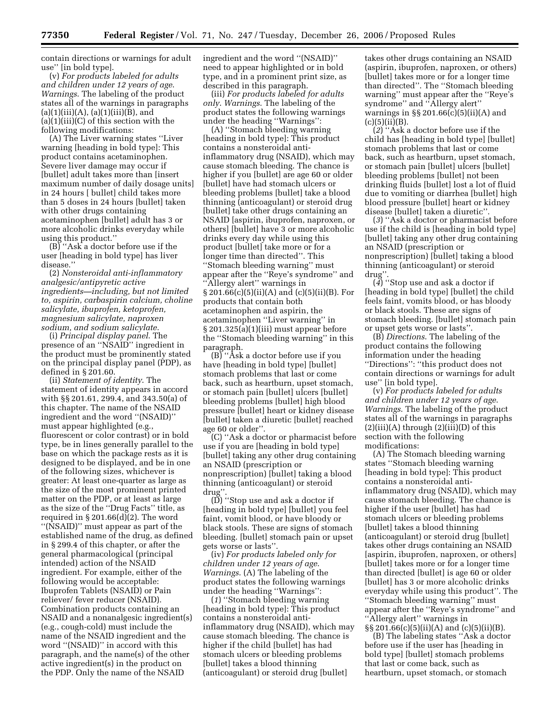contain directions or warnings for adult use'' [in bold type].

(v) *For products labeled for adults and children under 12 years of age*. *Warnings*. The labeling of the product states all of the warnings in paragraphs  $(a)(1)(iii)(A), (a)(1)(iii)(B), and$  $(a)(1)(iii)(C)$  of this section with the following modifications:

(A) The Liver warning states ''Liver warning [heading in bold type]: This product contains acetaminophen. Severe liver damage may occur if [bullet] adult takes more than [insert maximum number of daily dosage units] in 24 hours [ bullet] child takes more than 5 doses in 24 hours [bullet] taken with other drugs containing acetaminophen [bullet] adult has 3 or more alcoholic drinks everyday while using this product.''

(B) ''Ask a doctor before use if the user [heading in bold type] has liver disease.''

(2) *Nonsteroidal anti-inflammatory analgesic/antipyretic active ingredients—including, but not limited to, aspirin, carbaspirin calcium, choline salicylate, ibuprofen, ketoprofen, magnesium salicylate, naproxen sodium, and sodium salicylate*.

(i) *Principal display panel*. The presence of an ''NSAID'' ingredient in the product must be prominently stated on the principal display panel (PDP), as defined in § 201.60.

(ii) *Statement of identity*. The statement of identity appears in accord with §§ 201.61, 299.4, and 343.50(a) of this chapter. The name of the NSAID ingredient and the word ''(NSAID)'' must appear highlighted (e.g., fluorescent or color contrast) or in bold type, be in lines generally parallel to the base on which the package rests as it is designed to be displayed, and be in one of the following sizes, whichever is greater: At least one-quarter as large as the size of the most prominent printed matter on the PDP, or at least as large as the size of the ''Drug Facts'' title, as required in  $\S 201.66(d)(2)$ . The word ''(NSAID)'' must appear as part of the established name of the drug, as defined in § 299.4 of this chapter, or after the general pharmacological (principal intended) action of the NSAID ingredient. For example, either of the following would be acceptable: Ibuprofen Tablets (NSAID) or Pain reliever/ fever reducer (NSAID). Combination products containing an NSAID and a nonanalgesic ingredient(s) (e.g., cough-cold) must include the name of the NSAID ingredient and the word ''(NSAID)'' in accord with this paragraph, and the name(s) of the other active ingredient(s) in the product on the PDP. Only the name of the NSAID

ingredient and the word ''(NSAID)'' need to appear highlighted or in bold type, and in a prominent print size, as described in this paragraph.

(iii) *For products labeled for adults only*. *Warnings*. The labeling of the product states the following warnings under the heading ''Warnings'':

(A) ''Stomach bleeding warning [heading in bold type]: This product contains a nonsteroidal antiinflammatory drug (NSAID), which may cause stomach bleeding. The chance is higher if you [bullet] are age 60 or older [bullet] have had stomach ulcers or bleeding problems [bullet] take a blood thinning (anticoagulant) or steroid drug [bullet] take other drugs containing an NSAID [aspirin, ibuprofen, naproxen, or others] [bullet] have 3 or more alcoholic drinks every day while using this product [bullet] take more or for a longer time than directed''. This ''Stomach bleeding warning'' must appear after the ''Reye's syndrome'' and ''Allergy alert'' warnings in § 201.66(c)(5)(ii)(A) and (c)(5)(ii)(B). For products that contain both acetaminophen and aspirin, the acetaminophen ''Liver warning'' in § 201.325(a)(1)(iii) must appear before the ''Stomach bleeding warning'' in this paragraph.

(B) ''Ask a doctor before use if you have [heading in bold type] [bullet] stomach problems that last or come back, such as heartburn, upset stomach, or stomach pain [bullet] ulcers [bullet] bleeding problems [bullet] high blood pressure [bullet] heart or kidney disease [bullet] taken a diuretic [bullet] reached age 60 or older''.

(C) ''Ask a doctor or pharmacist before use if you are [heading in bold type] [bullet] taking any other drug containing an NSAID (prescription or nonprescription) [bullet] taking a blood thinning (anticoagulant) or steroid drug''.

(D) ''Stop use and ask a doctor if [heading in bold type] [bullet] you feel faint, vomit blood, or have bloody or black stools. These are signs of stomach bleeding. [bullet] stomach pain or upset gets worse or lasts''.

(iv) *For products labeled only for children under 12 years of age*. *Warnings*. (A) The labeling of the product states the following warnings under the heading ''Warnings'':

(*1*) ''Stomach bleeding warning [heading in bold type]: This product contains a nonsteroidal antiinflammatory drug (NSAID), which may cause stomach bleeding. The chance is higher if the child [bullet] has had stomach ulcers or bleeding problems [bullet] takes a blood thinning (anticoagulant) or steroid drug [bullet]

takes other drugs containing an NSAID (aspirin, ibuprofen, naproxen, or others) [bullet] takes more or for a longer time than directed''. The ''Stomach bleeding warning'' must appear after the ''Reye's syndrome'' and ''Allergy alert'' warnings in  $\S$  201.66(c)(5)(ii)(A) and  $(c)(5)(ii)(B).$ 

(*2*) ''Ask a doctor before use if the child has [heading in bold type] [bullet] stomach problems that last or come back, such as heartburn, upset stomach, or stomach pain [bullet] ulcers [bullet] bleeding problems [bullet] not been drinking fluids [bullet] lost a lot of fluid due to vomiting or diarrhea [bullet] high blood pressure [bullet] heart or kidney disease [bullet] taken a diuretic''.

(*3*) ''Ask a doctor or pharmacist before use if the child is [heading in bold type] [bullet] taking any other drug containing an NSAID (prescription or nonprescription) [bullet] taking a blood thinning (anticoagulant) or steroid drug''.

(*4*) ''Stop use and ask a doctor if [heading in bold type] [bullet] the child feels faint, vomits blood, or has bloody or black stools. These are signs of stomach bleeding. [bullet] stomach pain or upset gets worse or lasts''.

(B) *Directions*. The labeling of the product contains the following information under the heading ''Directions'': ''this product does not contain directions or warnings for adult use'' [in bold type].

(v) *For products labeled for adults and children under 12 years of age*. *Warnings*. The labeling of the product states all of the warnings in paragraphs  $(2)(iii)(A)$  through  $(2)(iii)(D)$  of this section with the following modifications:

(A) The Stomach bleeding warning states ''Stomach bleeding warning [heading in bold type]: This product contains a nonsteroidal antiinflammatory drug (NSAID), which may cause stomach bleeding. The chance is higher if the user [bullet] has had stomach ulcers or bleeding problems [bullet] takes a blood thinning (anticoagulant) or steroid drug [bullet] takes other drugs containing an NSAID [aspirin, ibuprofen, naproxen, or others] [bullet] takes more or for a longer time than directed [bullet] is age 60 or older [bullet] has 3 or more alcoholic drinks everyday while using this product''. The ''Stomach bleeding warning'' must appear after the ''Reye's syndrome'' and ''Allergy alert'' warnings in §§ 201.66(c)(5)(ii)(A) and (c)(5)(ii)(B).

(B) The labeling states ''Ask a doctor before use if the user has [heading in bold type] [bullet] stomach problems that last or come back, such as heartburn, upset stomach, or stomach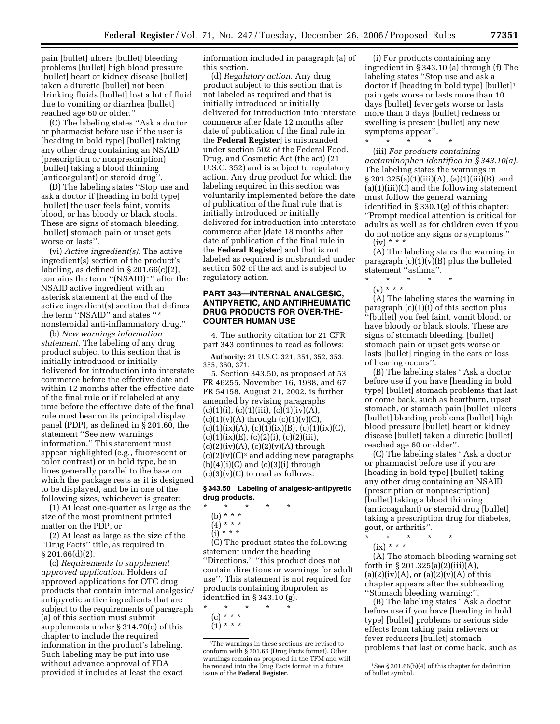pain [bullet] ulcers [bullet] bleeding problems [bullet] high blood pressure [bullet] heart or kidney disease [bullet] taken a diuretic [bullet] not been drinking fluids [bullet] lost a lot of fluid due to vomiting or diarrhea [bullet] reached age 60 or older.''

(C) The labeling states ''Ask a doctor or pharmacist before use if the user is [heading in bold type] [bullet] taking any other drug containing an NSAID (prescription or nonprescription) [bullet] taking a blood thinning (anticoagulant) or steroid drug''.

(D) The labeling states ''Stop use and ask a doctor if [heading in bold type] [bullet] the user feels faint, vomits blood, or has bloody or black stools. These are signs of stomach bleeding. [bullet] stomach pain or upset gets worse or lasts''.

(vi) *Active ingredient(s)*. The active ingredient(s) section of the product's labeling, as defined in  $\S 201.66(c)(2)$ , contains the term ''(NSAID)\*'' after the NSAID active ingredient with an asterisk statement at the end of the active ingredient(s) section that defines the term ''NSAID'' and states ''\* nonsteroidal anti-inflammatory drug.''

(b) *New warnings information statement*. The labeling of any drug product subject to this section that is initially introduced or initially delivered for introduction into interstate commerce before the effective date and within 12 months after the effective date of the final rule or if relabeled at any time before the effective date of the final rule must bear on its principal display panel (PDP), as defined in § 201.60, the statement ''See new warnings information.'' This statement must appear highlighted (e.g., fluorescent or color contrast) or in bold type, be in lines generally parallel to the base on which the package rests as it is designed to be displayed, and be in one of the following sizes, whichever is greater:

(1) At least one-quarter as large as the size of the most prominent printed matter on the PDP, or

(2) At least as large as the size of the ''Drug Facts'' title, as required in  $\S 201.66(d)(2)$ .

(c) *Requirements to supplement approved application*. Holders of approved applications for OTC drug products that contain internal analgesic/ antipyretic active ingredients that are subject to the requirements of paragraph (a) of this section must submit supplements under § 314.70(c) of this chapter to include the required information in the product's labeling. Such labeling may be put into use without advance approval of FDA provided it includes at least the exact

information included in paragraph (a) of this section.

(d) *Regulatory action*. Any drug product subject to this section that is not labeled as required and that is initially introduced or initially delivered for introduction into interstate commerce after [date 12 months after date of publication of the final rule in the **Federal Register**] is misbranded under section 502 of the Federal Food, Drug, and Cosmetic Act (the act) (21 U.S.C. 352) and is subject to regulatory action. Any drug product for which the labeling required in this section was voluntarily implemented before the date of publication of the final rule that is initially introduced or initially delivered for introduction into interstate commerce after [date 18 months after date of publication of the final rule in the **Federal Register**] and that is not labeled as required is misbranded under section 502 of the act and is subject to regulatory action.

# **PART 343—INTERNAL ANALGESIC, ANTIPYRETIC, AND ANTIRHEUMATIC DRUG PRODUCTS FOR OVER-THE-COUNTER HUMAN USE**

4. The authority citation for 21 CFR part 343 continues to read as follows:

**Authority:** 21 U.S.C. 321, 351, 352, 353, 355, 360, 371.

5. Section 343.50, as proposed at 53 FR 46255, November 16, 1988, and 67 FR 54158, August 21, 2002, is further amended by revising paragraphs  $(c)(1)(i), (c)(1)(iii), (c)(1)(iv)(A),$  $(c)(1)(v)(A)$  through  $(c)(1)(v)(C)$  $(c)(1)(ix)(A), (c)(1)(ix)(B), (c)(1)(ix)(C),$  $(c)(1)(ix)(E), (c)(2)(i), (c)(2)(iii),$  $(c)(2)(iv)(A), (c)(2)(v)(A)$  through  $(c)(2)(v)(C)<sup>3</sup>$  and adding new paragraphs  $(b)(4)(i)(C)$  and  $(c)(3)(i)$  through  $(c)(3)(v)(C)$  to read as follows:

### **§ 343.50 Labeling of analgesic-antipyretic drug products.**

- \* \* \* \* \*
	- (b) \* \* \*
	- $(4)^{\ast}$  \* \* \*
	- $(i) * * * *$

(C) The product states the following statement under the heading ''Directions,'' ''this product does not contain directions or warnings for adult use''. This statement is not required for products containing ibuprofen as identified in § 343.10 (g).

\* \* \* \* \* (c) \* \* \* (1) \* \* \*

(i) For products containing any ingredient in § 343.10 (a) through (f) The labeling states ''Stop use and ask a doctor if [heading in bold type] [bullet]1 pain gets worse or lasts more than 10 days [bullet] fever gets worse or lasts more than 3 days [bullet] redness or swelling is present [bullet] any new symptoms appear''.

(iii) *For products containing acetaminophen identified in § 343.10(a)*. The labeling states the warnings in  $\S 201.325(a)(1)(iii)(A), (a)(1)(iii)(B), and$  $(a)(1)(iii)(C)$  and the following statement must follow the general warning identified in § 330.1(g) of this chapter: ''Prompt medical attention is critical for adults as well as for children even if you do not notice any signs or symptoms.'' (iv) \* \* \*

(A) The labeling states the warning in paragraph (c)(1)(v)(B) plus the bulleted statement ''asthma''.

 $\star$   $\star$  $(v) * * * *$ 

\* \* \* \* \*

(A) The labeling states the warning in paragraph (c)(1)(i) of this section plus ''[bullet] you feel faint, vomit blood, or have bloody or black stools. These are signs of stomach bleeding. [bullet] stomach pain or upset gets worse or lasts [bullet] ringing in the ears or loss of hearing occurs''.

(B) The labeling states ''Ask a doctor before use if you have [heading in bold type] [bullet] stomach problems that last or come back, such as heartburn, upset stomach, or stomach pain [bullet] ulcers [bullet] bleeding problems [bullet] high blood pressure [bullet] heart or kidney disease [bullet] taken a diuretic [bullet] reached age 60 or older''.

(C) The labeling states ''Ask a doctor or pharmacist before use if you are [heading in bold type] [bullet] taking any other drug containing an NSAID (prescription or nonprescription) [bullet] taking a blood thinning (anticoagulant) or steroid drug [bullet] taking a prescription drug for diabetes, gout, or arthritis''.

\* \* \* \* \*  $(ix) * * *$ 

(A) The stomach bleeding warning set forth in  $\S 201.325(a)(2)(iii)(A),$  $(a)(2)(iv)(A)$ , or  $(a)(2)(v)(A)$  of this chapter appears after the subheading ''Stomach bleeding warning:''.

(B) The labeling states ''Ask a doctor before use if you have [heading in bold type] [bullet] problems or serious side effects from taking pain relievers or fever reducers [bullet] stomach problems that last or come back, such as

<sup>3</sup>The warnings in these sections are revised to conform with § 201.66 (Drug Facts format). Other warnings remain as proposed in the TFM and will be revised into the Drug Facts format in a future issue of the **Federal Register**.

<sup>1</sup>See § 201.66(b)(4) of this chapter for definition of bullet symbol.